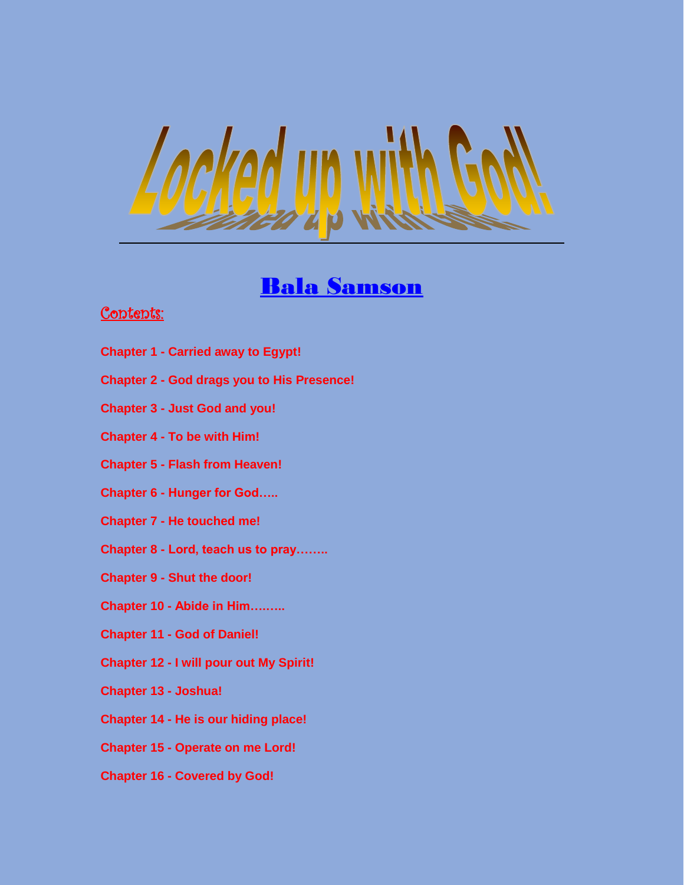

# Bala Samson

# Contents:

- **Chapter 1 - Carried away to Egypt!**
- **Chapter 2 - God drags you to His Presence!**
- **Chapter 3 - Just God and you!**
- **Chapter 4 - To be with Him!**
- **Chapter 5 - Flash from Heaven!**
- **Chapter 6 - Hunger for God…..**
- **Chapter 7 - He touched me!**
- **Chapter 8 - Lord, teach us to pray……..**
- **Chapter 9 - Shut the door!**
- **Chapter 10 - Abide in Him….…..**
- **Chapter 11 - God of Daniel!**
- **Chapter 12 - I will pour out My Spirit!**
- **Chapter 13 - Joshua!**
- **Chapter 14 - He is our hiding place!**
- **Chapter 15 - Operate on me Lord!**
- **Chapter 16 - Covered by God!**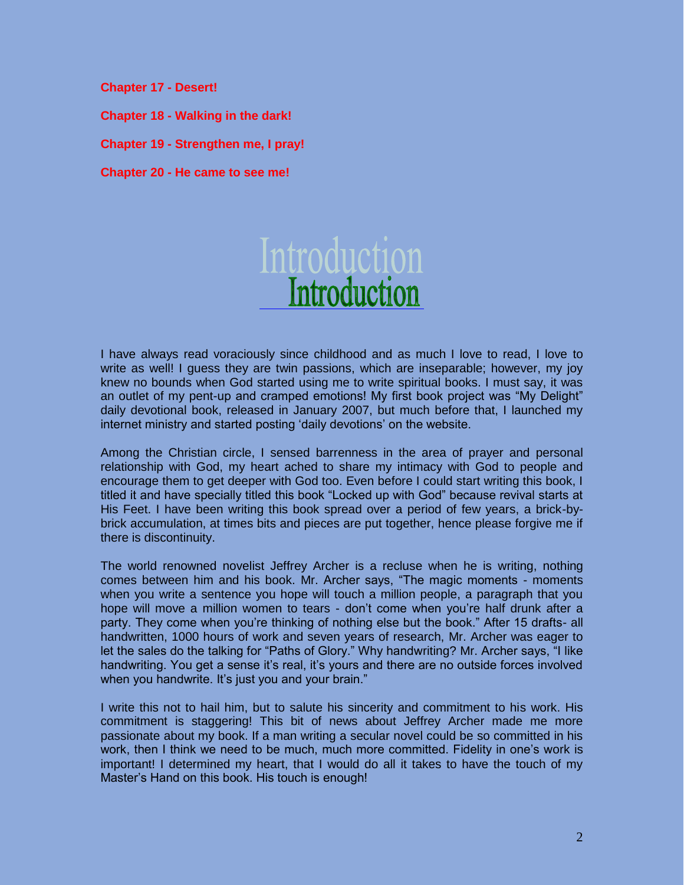**Chapter 17 - Desert!** 

**Chapter 18 - Walking in the dark!** 

**Chapter 19 - Strengthen me, I pray!** 

**Chapter 20 - He came to see me!**

# Introduction

I have always read voraciously since childhood and as much I love to read, I love to write as well! I guess they are twin passions, which are inseparable; however, my joy knew no bounds when God started using me to write spiritual books. I must say, it was an outlet of my pent-up and cramped emotions! My first book project was "My Delight" daily devotional book, released in January 2007, but much before that, I launched my internet ministry and started posting 'daily devotions' on the website.

Among the Christian circle, I sensed barrenness in the area of prayer and personal relationship with God, my heart ached to share my intimacy with God to people and encourage them to get deeper with God too. Even before I could start writing this book, I titled it and have specially titled this book "Locked up with God" because revival starts at His Feet. I have been writing this book spread over a period of few years, a brick-bybrick accumulation, at times bits and pieces are put together, hence please forgive me if there is discontinuity.

The world renowned novelist Jeffrey Archer is a recluse when he is writing, nothing comes between him and his book. Mr. Archer says, "The magic moments - moments when you write a sentence you hope will touch a million people, a paragraph that you hope will move a million women to tears - don't come when you're half drunk after a party. They come when you're thinking of nothing else but the book." After 15 drafts- all handwritten, 1000 hours of work and seven years of research, Mr. Archer was eager to let the sales do the talking for "Paths of Glory." Why handwriting? Mr. Archer says, "I like handwriting. You get a sense it's real, it's yours and there are no outside forces involved when you handwrite. It's just you and your brain."

I write this not to hail him, but to salute his sincerity and commitment to his work. His commitment is staggering! This bit of news about Jeffrey Archer made me more passionate about my book. If a man writing a secular novel could be so committed in his work, then I think we need to be much, much more committed. Fidelity in one's work is important! I determined my heart, that I would do all it takes to have the touch of my Master's Hand on this book. His touch is enough!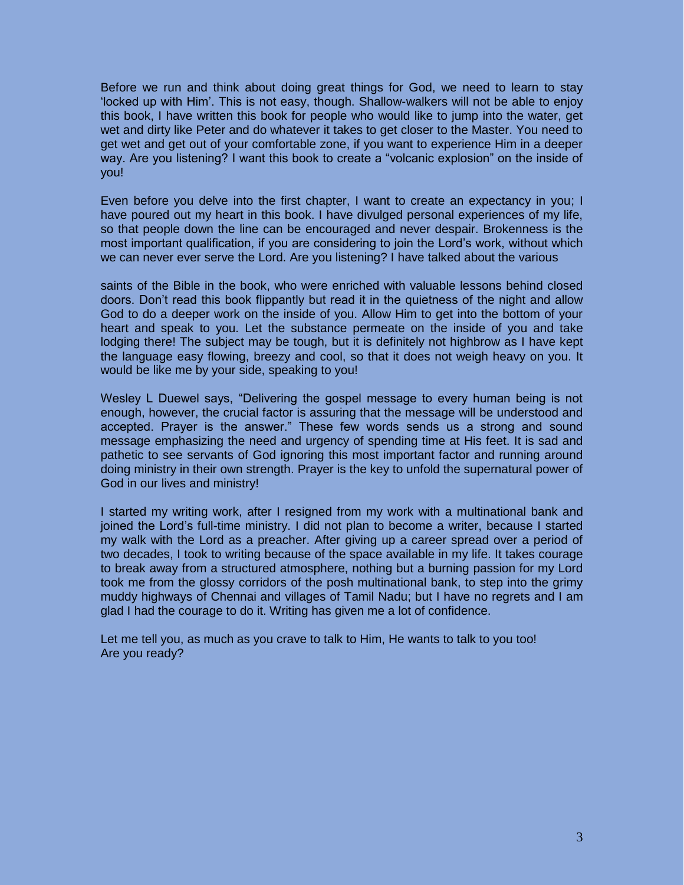Before we run and think about doing great things for God, we need to learn to stay 'locked up with Him'. This is not easy, though. Shallow-walkers will not be able to enjoy this book, I have written this book for people who would like to jump into the water, get wet and dirty like Peter and do whatever it takes to get closer to the Master. You need to get wet and get out of your comfortable zone, if you want to experience Him in a deeper way. Are you listening? I want this book to create a "volcanic explosion" on the inside of you!

Even before you delve into the first chapter, I want to create an expectancy in you; I have poured out my heart in this book. I have divulged personal experiences of my life, so that people down the line can be encouraged and never despair. Brokenness is the most important qualification, if you are considering to join the Lord's work, without which we can never ever serve the Lord. Are you listening? I have talked about the various

saints of the Bible in the book, who were enriched with valuable lessons behind closed doors. Don't read this book flippantly but read it in the quietness of the night and allow God to do a deeper work on the inside of you. Allow Him to get into the bottom of your heart and speak to you. Let the substance permeate on the inside of you and take lodging there! The subject may be tough, but it is definitely not highbrow as I have kept the language easy flowing, breezy and cool, so that it does not weigh heavy on you. It would be like me by your side, speaking to you!

Wesley L Duewel says, "Delivering the gospel message to every human being is not enough, however, the crucial factor is assuring that the message will be understood and accepted. Prayer is the answer." These few words sends us a strong and sound message emphasizing the need and urgency of spending time at His feet. It is sad and pathetic to see servants of God ignoring this most important factor and running around doing ministry in their own strength. Prayer is the key to unfold the supernatural power of God in our lives and ministry!

I started my writing work, after I resigned from my work with a multinational bank and joined the Lord's full-time ministry. I did not plan to become a writer, because I started my walk with the Lord as a preacher. After giving up a career spread over a period of two decades, I took to writing because of the space available in my life. It takes courage to break away from a structured atmosphere, nothing but a burning passion for my Lord took me from the glossy corridors of the posh multinational bank, to step into the grimy muddy highways of Chennai and villages of Tamil Nadu; but I have no regrets and I am glad I had the courage to do it. Writing has given me a lot of confidence.

Let me tell you, as much as you crave to talk to Him, He wants to talk to you too! Are you ready?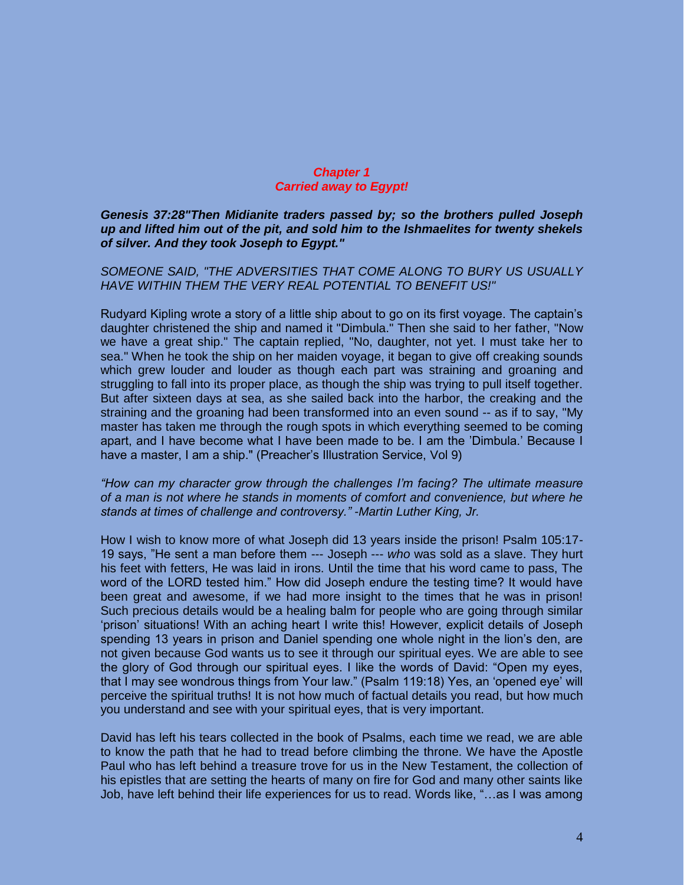#### *Chapter 1 Carried away to Egypt!*

*Genesis 37:28"Then Midianite traders passed by; so the brothers pulled Joseph up and lifted him out of the pit, and sold him to the Ishmaelites for twenty shekels of silver. And they took Joseph to Egypt."*

*SOMEONE SAID, "THE ADVERSITIES THAT COME ALONG TO BURY US USUALLY HAVE WITHIN THEM THE VERY REAL POTENTIAL TO BENEFIT US!"* 

Rudyard Kipling wrote a story of a little ship about to go on its first voyage. The captain's daughter christened the ship and named it "Dimbula." Then she said to her father, "Now we have a great ship." The captain replied, "No, daughter, not yet. I must take her to sea." When he took the ship on her maiden voyage, it began to give off creaking sounds which grew louder and louder as though each part was straining and groaning and struggling to fall into its proper place, as though the ship was trying to pull itself together. But after sixteen days at sea, as she sailed back into the harbor, the creaking and the straining and the groaning had been transformed into an even sound -- as if to say, "My master has taken me through the rough spots in which everything seemed to be coming apart, and I have become what I have been made to be. I am the 'Dimbula.' Because I have a master, I am a ship." (Preacher's Illustration Service, Vol 9)

#### *"How can my character grow through the challenges I'm facing? The ultimate measure of a man is not where he stands in moments of comfort and convenience, but where he stands at times of challenge and controversy." -Martin Luther King, Jr.*

How I wish to know more of what Joseph did 13 years inside the prison! Psalm 105:17- 19 says, "He sent a man before them --- Joseph --- *who* was sold as a slave. They hurt his feet with fetters, He was laid in irons. Until the time that his word came to pass, The word of the LORD tested him." How did Joseph endure the testing time? It would have been great and awesome, if we had more insight to the times that he was in prison! Such precious details would be a healing balm for people who are going through similar 'prison' situations! With an aching heart I write this! However, explicit details of Joseph spending 13 years in prison and Daniel spending one whole night in the lion's den, are not given because God wants us to see it through our spiritual eyes. We are able to see the glory of God through our spiritual eyes. I like the words of David: "Open my eyes, that I may see wondrous things from Your law." (Psalm 119:18) Yes, an 'opened eye' will perceive the spiritual truths! It is not how much of factual details you read, but how much you understand and see with your spiritual eyes, that is very important.

David has left his tears collected in the book of Psalms, each time we read, we are able to know the path that he had to tread before climbing the throne. We have the Apostle Paul who has left behind a treasure trove for us in the New Testament, the collection of his epistles that are setting the hearts of many on fire for God and many other saints like Job, have left behind their life experiences for us to read. Words like, "…as I was among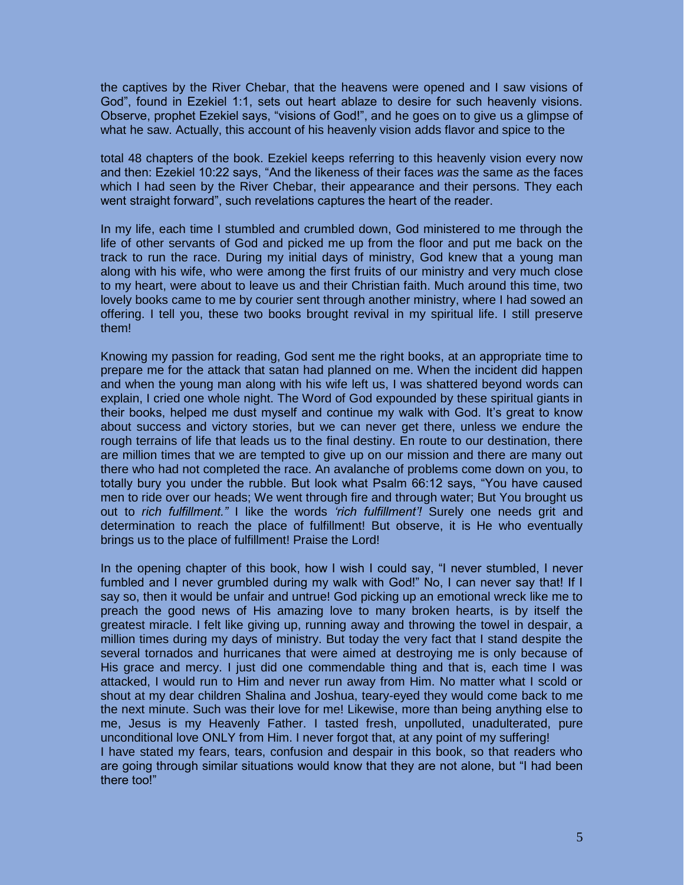the captives by the River Chebar, that the heavens were opened and I saw visions of God", found in Ezekiel 1:1, sets out heart ablaze to desire for such heavenly visions. Observe, prophet Ezekiel says, "visions of God!", and he goes on to give us a glimpse of what he saw. Actually, this account of his heavenly vision adds flavor and spice to the

total 48 chapters of the book. Ezekiel keeps referring to this heavenly vision every now and then: Ezekiel 10:22 says, "And the likeness of their faces *was* the same *as* the faces which I had seen by the River Chebar, their appearance and their persons. They each went straight forward", such revelations captures the heart of the reader.

In my life, each time I stumbled and crumbled down, God ministered to me through the life of other servants of God and picked me up from the floor and put me back on the track to run the race. During my initial days of ministry, God knew that a young man along with his wife, who were among the first fruits of our ministry and very much close to my heart, were about to leave us and their Christian faith. Much around this time, two lovely books came to me by courier sent through another ministry, where I had sowed an offering. I tell you, these two books brought revival in my spiritual life. I still preserve them!

Knowing my passion for reading, God sent me the right books, at an appropriate time to prepare me for the attack that satan had planned on me. When the incident did happen and when the young man along with his wife left us, I was shattered beyond words can explain, I cried one whole night. The Word of God expounded by these spiritual giants in their books, helped me dust myself and continue my walk with God. It's great to know about success and victory stories, but we can never get there, unless we endure the rough terrains of life that leads us to the final destiny. En route to our destination, there are million times that we are tempted to give up on our mission and there are many out there who had not completed the race. An avalanche of problems come down on you, to totally bury you under the rubble. But look what Psalm 66:12 says, "You have caused men to ride over our heads; We went through fire and through water; But You brought us out to *rich fulfillment."* I like the words *'rich fulfillment'!* Surely one needs grit and determination to reach the place of fulfillment! But observe, it is He who eventually brings us to the place of fulfillment! Praise the Lord!

In the opening chapter of this book, how I wish I could say, "I never stumbled, I never fumbled and I never grumbled during my walk with God!" No, I can never say that! If I say so, then it would be unfair and untrue! God picking up an emotional wreck like me to preach the good news of His amazing love to many broken hearts, is by itself the greatest miracle. I felt like giving up, running away and throwing the towel in despair, a million times during my days of ministry. But today the very fact that I stand despite the several tornados and hurricanes that were aimed at destroying me is only because of His grace and mercy. I just did one commendable thing and that is, each time I was attacked, I would run to Him and never run away from Him. No matter what I scold or shout at my dear children Shalina and Joshua, teary-eyed they would come back to me the next minute. Such was their love for me! Likewise, more than being anything else to me, Jesus is my Heavenly Father. I tasted fresh, unpolluted, unadulterated, pure unconditional love ONLY from Him. I never forgot that, at any point of my suffering! I have stated my fears, tears, confusion and despair in this book, so that readers who are going through similar situations would know that they are not alone, but "I had been there too!"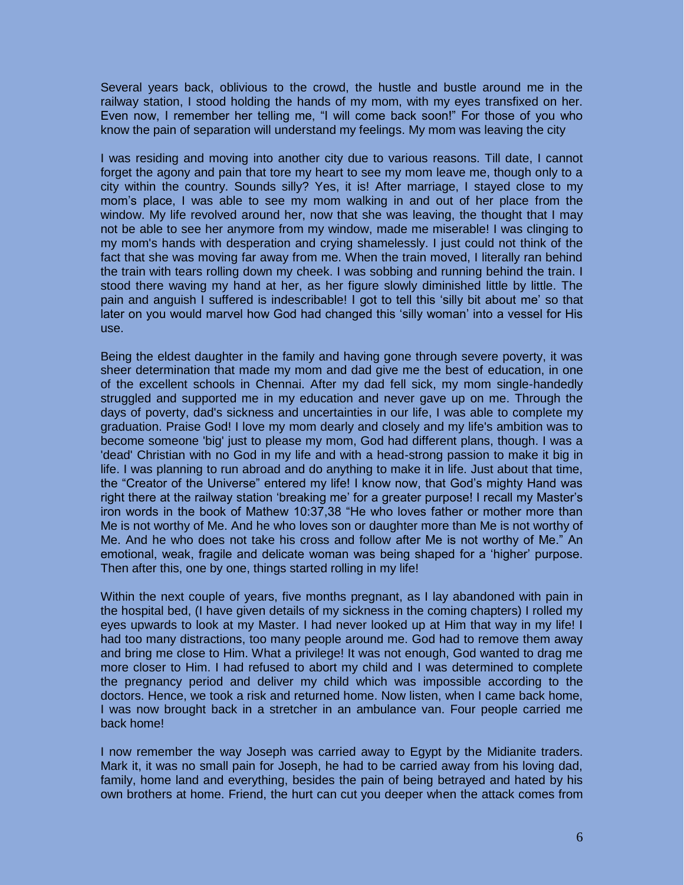Several years back, oblivious to the crowd, the hustle and bustle around me in the railway station, I stood holding the hands of my mom, with my eyes transfixed on her. Even now, I remember her telling me, "I will come back soon!" For those of you who know the pain of separation will understand my feelings. My mom was leaving the city

I was residing and moving into another city due to various reasons. Till date, I cannot forget the agony and pain that tore my heart to see my mom leave me, though only to a city within the country. Sounds silly? Yes, it is! After marriage, I stayed close to my mom's place, I was able to see my mom walking in and out of her place from the window. My life revolved around her, now that she was leaving, the thought that I may not be able to see her anymore from my window, made me miserable! I was clinging to my mom's hands with desperation and crying shamelessly. I just could not think of the fact that she was moving far away from me. When the train moved, I literally ran behind the train with tears rolling down my cheek. I was sobbing and running behind the train. I stood there waving my hand at her, as her figure slowly diminished little by little. The pain and anguish I suffered is indescribable! I got to tell this 'silly bit about me' so that later on you would marvel how God had changed this 'silly woman' into a vessel for His use.

Being the eldest daughter in the family and having gone through severe poverty, it was sheer determination that made my mom and dad give me the best of education, in one of the excellent schools in Chennai. After my dad fell sick, my mom single-handedly struggled and supported me in my education and never gave up on me. Through the days of poverty, dad's sickness and uncertainties in our life, I was able to complete my graduation. Praise God! I love my mom dearly and closely and my life's ambition was to become someone 'big' just to please my mom, God had different plans, though. I was a 'dead' Christian with no God in my life and with a head-strong passion to make it big in life. I was planning to run abroad and do anything to make it in life. Just about that time, the "Creator of the Universe" entered my life! I know now, that God's mighty Hand was right there at the railway station 'breaking me' for a greater purpose! I recall my Master's iron words in the book of Mathew 10:37,38 "He who loves father or mother more than Me is not worthy of Me. And he who loves son or daughter more than Me is not worthy of Me. And he who does not take his cross and follow after Me is not worthy of Me." An emotional, weak, fragile and delicate woman was being shaped for a 'higher' purpose. Then after this, one by one, things started rolling in my life!

Within the next couple of years, five months pregnant, as I lay abandoned with pain in the hospital bed, (I have given details of my sickness in the coming chapters) I rolled my eyes upwards to look at my Master. I had never looked up at Him that way in my life! I had too many distractions, too many people around me. God had to remove them away and bring me close to Him. What a privilege! It was not enough, God wanted to drag me more closer to Him. I had refused to abort my child and I was determined to complete the pregnancy period and deliver my child which was impossible according to the doctors. Hence, we took a risk and returned home. Now listen, when I came back home, I was now brought back in a stretcher in an ambulance van. Four people carried me back home!

I now remember the way Joseph was carried away to Egypt by the Midianite traders. Mark it, it was no small pain for Joseph, he had to be carried away from his loving dad, family, home land and everything, besides the pain of being betrayed and hated by his own brothers at home. Friend, the hurt can cut you deeper when the attack comes from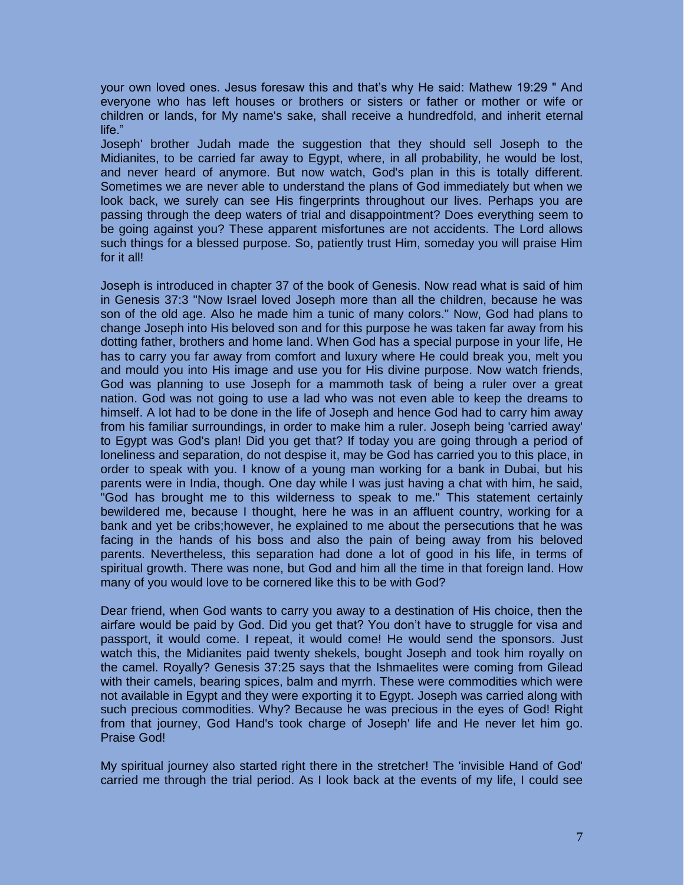your own loved ones. Jesus foresaw this and that's why He said: Mathew 19:29 " And everyone who has left houses or brothers or sisters or father or mother or wife or children or lands, for My name's sake, shall receive a hundredfold, and inherit eternal life."

Joseph' brother Judah made the suggestion that they should sell Joseph to the Midianites, to be carried far away to Egypt, where, in all probability, he would be lost, and never heard of anymore. But now watch, God's plan in this is totally different. Sometimes we are never able to understand the plans of God immediately but when we look back, we surely can see His fingerprints throughout our lives. Perhaps you are passing through the deep waters of trial and disappointment? Does everything seem to be going against you? These apparent misfortunes are not accidents. The Lord allows such things for a blessed purpose. So, patiently trust Him, someday you will praise Him for it all!

Joseph is introduced in chapter 37 of the book of Genesis. Now read what is said of him in Genesis 37:3 "Now Israel loved Joseph more than all the children, because he was son of the old age. Also he made him a tunic of many colors." Now, God had plans to change Joseph into His beloved son and for this purpose he was taken far away from his dotting father, brothers and home land. When God has a special purpose in your life, He has to carry you far away from comfort and luxury where He could break you, melt you and mould you into His image and use you for His divine purpose. Now watch friends, God was planning to use Joseph for a mammoth task of being a ruler over a great nation. God was not going to use a lad who was not even able to keep the dreams to himself. A lot had to be done in the life of Joseph and hence God had to carry him away from his familiar surroundings, in order to make him a ruler. Joseph being 'carried away' to Egypt was God's plan! Did you get that? If today you are going through a period of loneliness and separation, do not despise it, may be God has carried you to this place, in order to speak with you. I know of a young man working for a bank in Dubai, but his parents were in India, though. One day while I was just having a chat with him, he said, "God has brought me to this wilderness to speak to me." This statement certainly bewildered me, because I thought, here he was in an affluent country, working for a bank and yet be cribs;however, he explained to me about the persecutions that he was facing in the hands of his boss and also the pain of being away from his beloved parents. Nevertheless, this separation had done a lot of good in his life, in terms of spiritual growth. There was none, but God and him all the time in that foreign land. How many of you would love to be cornered like this to be with God?

Dear friend, when God wants to carry you away to a destination of His choice, then the airfare would be paid by God. Did you get that? You don't have to struggle for visa and passport, it would come. I repeat, it would come! He would send the sponsors. Just watch this, the Midianites paid twenty shekels, bought Joseph and took him royally on the camel. Royally? Genesis 37:25 says that the Ishmaelites were coming from Gilead with their camels, bearing spices, balm and myrrh. These were commodities which were not available in Egypt and they were exporting it to Egypt. Joseph was carried along with such precious commodities. Why? Because he was precious in the eyes of God! Right from that journey, God Hand's took charge of Joseph' life and He never let him go. Praise God!

My spiritual journey also started right there in the stretcher! The 'invisible Hand of God' carried me through the trial period. As I look back at the events of my life, I could see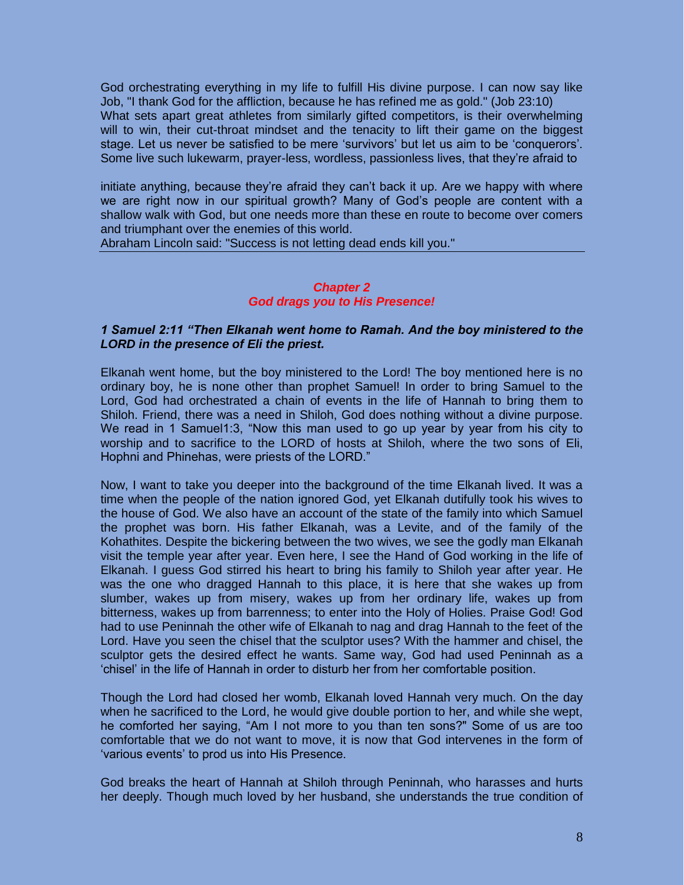God orchestrating everything in my life to fulfill His divine purpose. I can now say like Job, "I thank God for the affliction, because he has refined me as gold." (Job 23:10) What sets apart great athletes from similarly gifted competitors, is their overwhelming will to win, their cut-throat mindset and the tenacity to lift their game on the biggest stage. Let us never be satisfied to be mere 'survivors' but let us aim to be 'conquerors'. Some live such lukewarm, prayer-less, wordless, passionless lives, that they're afraid to

initiate anything, because they're afraid they can't back it up. Are we happy with where we are right now in our spiritual growth? Many of God's people are content with a shallow walk with God, but one needs more than these en route to become over comers and triumphant over the enemies of this world.

Abraham Lincoln said: "Success is not letting dead ends kill you."

#### *Chapter 2 God drags you to His Presence!*

#### *1 Samuel 2:11 "Then Elkanah went home to Ramah. And the boy ministered to the LORD in the presence of Eli the priest.*

Elkanah went home, but the boy ministered to the Lord! The boy mentioned here is no ordinary boy, he is none other than prophet Samuel! In order to bring Samuel to the Lord, God had orchestrated a chain of events in the life of Hannah to bring them to Shiloh. Friend, there was a need in Shiloh, God does nothing without a divine purpose. We read in 1 Samuel1:3, "Now this man used to go up year by year from his city to worship and to sacrifice to the LORD of hosts at Shiloh, where the two sons of Eli, Hophni and Phinehas, were priests of the LORD."

Now, I want to take you deeper into the background of the time Elkanah lived. It was a time when the people of the nation ignored God, yet Elkanah dutifully took his wives to the house of God. We also have an account of the state of the family into which Samuel the prophet was born. His father Elkanah, was a Levite, and of the family of the Kohathites. Despite the bickering between the two wives, we see the godly man Elkanah visit the temple year after year. Even here, I see the Hand of God working in the life of Elkanah. I guess God stirred his heart to bring his family to Shiloh year after year. He was the one who dragged Hannah to this place, it is here that she wakes up from slumber, wakes up from misery, wakes up from her ordinary life, wakes up from bitterness, wakes up from barrenness; to enter into the Holy of Holies. Praise God! God had to use Peninnah the other wife of Elkanah to nag and drag Hannah to the feet of the Lord. Have you seen the chisel that the sculptor uses? With the hammer and chisel, the sculptor gets the desired effect he wants. Same way, God had used Peninnah as a 'chisel' in the life of Hannah in order to disturb her from her comfortable position.

Though the Lord had closed her womb, Elkanah loved Hannah very much. On the day when he sacrificed to the Lord, he would give double portion to her, and while she wept, he comforted her saying, "Am I not more to you than ten sons?" Some of us are too comfortable that we do not want to move, it is now that God intervenes in the form of 'various events' to prod us into His Presence.

God breaks the heart of Hannah at Shiloh through Peninnah, who harasses and hurts her deeply. Though much loved by her husband, she understands the true condition of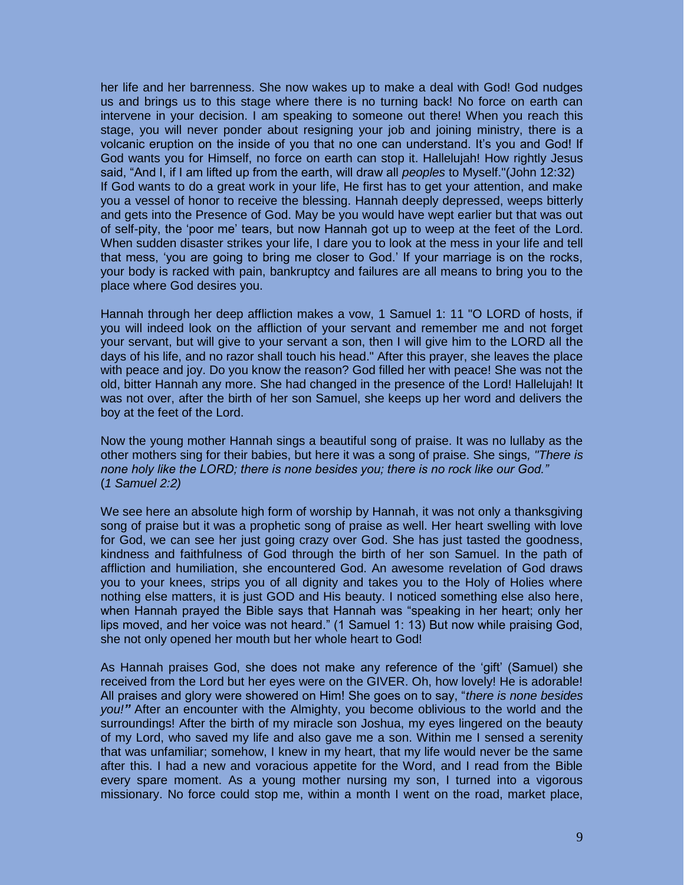her life and her barrenness. She now wakes up to make a deal with God! God nudges us and brings us to this stage where there is no turning back! No force on earth can intervene in your decision. I am speaking to someone out there! When you reach this stage, you will never ponder about resigning your job and joining ministry, there is a volcanic eruption on the inside of you that no one can understand. It's you and God! If God wants you for Himself, no force on earth can stop it. Hallelujah! How rightly Jesus said, "And I, if I am lifted up from the earth, will draw all *peoples* to Myself."(John 12:32) If God wants to do a great work in your life, He first has to get your attention, and make you a vessel of honor to receive the blessing. Hannah deeply depressed, weeps bitterly and gets into the Presence of God. May be you would have wept earlier but that was out of self-pity, the 'poor me' tears, but now Hannah got up to weep at the feet of the Lord. When sudden disaster strikes your life, I dare you to look at the mess in your life and tell that mess, 'you are going to bring me closer to God.' If your marriage is on the rocks, your body is racked with pain, bankruptcy and failures are all means to bring you to the place where God desires you.

Hannah through her deep affliction makes a vow, 1 Samuel 1: 11 "O LORD of hosts, if you will indeed look on the affliction of your servant and remember me and not forget your servant, but will give to your servant a son, then I will give him to the LORD all the days of his life, and no razor shall touch his head." After this prayer, she leaves the place with peace and joy. Do you know the reason? God filled her with peace! She was not the old, bitter Hannah any more. She had changed in the presence of the Lord! Hallelujah! It was not over, after the birth of her son Samuel, she keeps up her word and delivers the boy at the feet of the Lord.

Now the young mother Hannah sings a beautiful song of praise. It was no lullaby as the other mothers sing for their babies, but here it was a song of praise. She sings*, "There is none holy like the LORD; there is none besides you; there is no rock like our God."*  (*1 Samuel 2:2)*

We see here an absolute high form of worship by Hannah, it was not only a thanksgiving song of praise but it was a prophetic song of praise as well. Her heart swelling with love for God, we can see her just going crazy over God. She has just tasted the goodness, kindness and faithfulness of God through the birth of her son Samuel. In the path of affliction and humiliation, she encountered God. An awesome revelation of God draws you to your knees, strips you of all dignity and takes you to the Holy of Holies where nothing else matters, it is just GOD and His beauty. I noticed something else also here, when Hannah prayed the Bible says that Hannah was "speaking in her heart; only her lips moved, and her voice was not heard." (1 Samuel 1: 13) But now while praising God, she not only opened her mouth but her whole heart to God!

As Hannah praises God, she does not make any reference of the 'gift' (Samuel) she received from the Lord but her eyes were on the GIVER. Oh, how lovely! He is adorable! All praises and glory were showered on Him! She goes on to say, "*there is none besides you!"* After an encounter with the Almighty, you become oblivious to the world and the surroundings! After the birth of my miracle son Joshua, my eyes lingered on the beauty of my Lord, who saved my life and also gave me a son. Within me I sensed a serenity that was unfamiliar; somehow, I knew in my heart, that my life would never be the same after this. I had a new and voracious appetite for the Word, and I read from the Bible every spare moment. As a young mother nursing my son, I turned into a vigorous missionary. No force could stop me, within a month I went on the road, market place,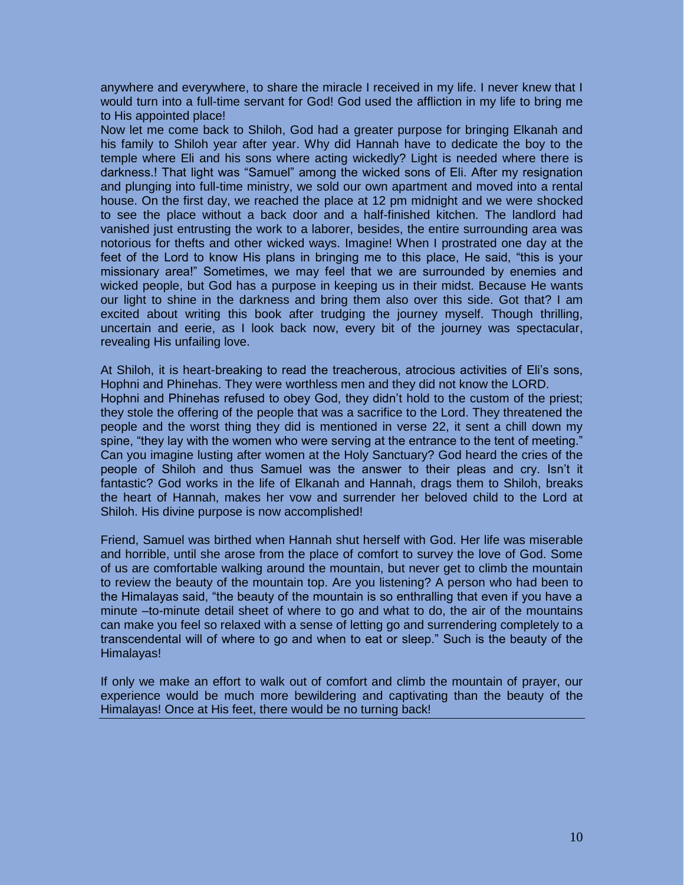anywhere and everywhere, to share the miracle I received in my life. I never knew that I would turn into a full-time servant for God! God used the affliction in my life to bring me to His appointed place!

Now let me come back to Shiloh, God had a greater purpose for bringing Elkanah and his family to Shiloh year after year. Why did Hannah have to dedicate the boy to the temple where Eli and his sons where acting wickedly? Light is needed where there is darkness.! That light was "Samuel" among the wicked sons of Eli. After my resignation and plunging into full-time ministry, we sold our own apartment and moved into a rental house. On the first day, we reached the place at 12 pm midnight and we were shocked to see the place without a back door and a half-finished kitchen. The landlord had vanished just entrusting the work to a laborer, besides, the entire surrounding area was notorious for thefts and other wicked ways. Imagine! When I prostrated one day at the feet of the Lord to know His plans in bringing me to this place, He said, "this is your missionary area!" Sometimes, we may feel that we are surrounded by enemies and wicked people, but God has a purpose in keeping us in their midst. Because He wants our light to shine in the darkness and bring them also over this side. Got that? I am excited about writing this book after trudging the journey myself. Though thrilling, uncertain and eerie, as I look back now, every bit of the journey was spectacular, revealing His unfailing love.

At Shiloh, it is heart-breaking to read the treacherous, atrocious activities of Eli's sons, Hophni and Phinehas. They were worthless men and they did not know the LORD. Hophni and Phinehas refused to obey God, they didn't hold to the custom of the priest; they stole the offering of the people that was a sacrifice to the Lord. They threatened the people and the worst thing they did is mentioned in verse 22, it sent a chill down my spine, "they lay with the women who were serving at the entrance to the tent of meeting." Can you imagine lusting after women at the Holy Sanctuary? God heard the cries of the people of Shiloh and thus Samuel was the answer to their pleas and cry. Isn't it fantastic? God works in the life of Elkanah and Hannah, drags them to Shiloh, breaks the heart of Hannah, makes her vow and surrender her beloved child to the Lord at Shiloh. His divine purpose is now accomplished!

Friend, Samuel was birthed when Hannah shut herself with God. Her life was miserable and horrible, until she arose from the place of comfort to survey the love of God. Some of us are comfortable walking around the mountain, but never get to climb the mountain to review the beauty of the mountain top. Are you listening? A person who had been to the Himalayas said, "the beauty of the mountain is so enthralling that even if you have a minute –to-minute detail sheet of where to go and what to do, the air of the mountains can make you feel so relaxed with a sense of letting go and surrendering completely to a transcendental will of where to go and when to eat or sleep." Such is the beauty of the Himalayas!

If only we make an effort to walk out of comfort and climb the mountain of prayer, our experience would be much more bewildering and captivating than the beauty of the Himalayas! Once at His feet, there would be no turning back!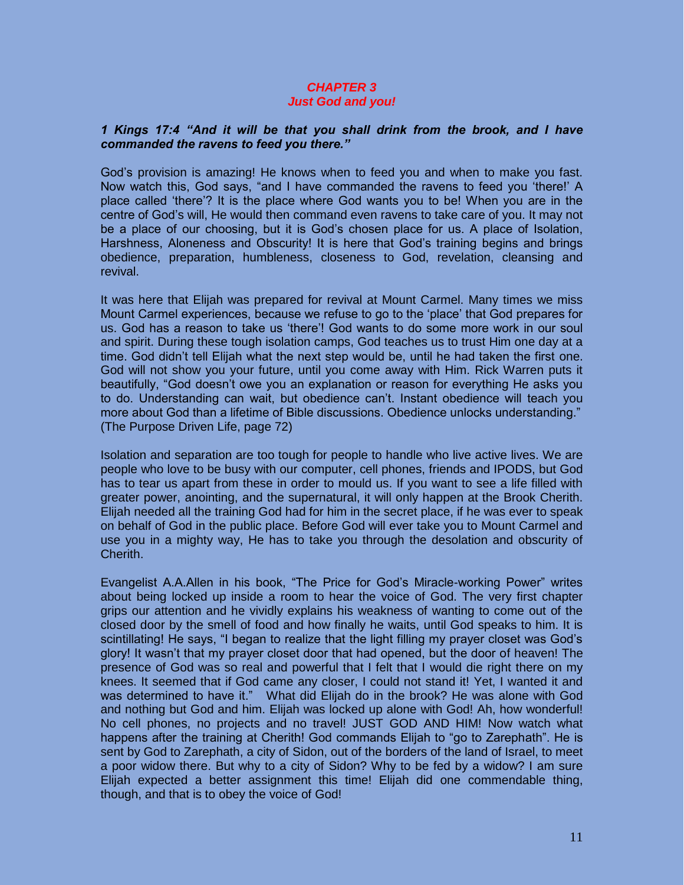#### *CHAPTER 3 Just God and you!*

#### *1 Kings 17:4 "And it will be that you shall drink from the brook, and I have commanded the ravens to feed you there."*

God's provision is amazing! He knows when to feed you and when to make you fast. Now watch this, God says, "and I have commanded the ravens to feed you 'there!' A place called 'there'? It is the place where God wants you to be! When you are in the centre of God's will, He would then command even ravens to take care of you. It may not be a place of our choosing, but it is God's chosen place for us. A place of Isolation, Harshness, Aloneness and Obscurity! It is here that God's training begins and brings obedience, preparation, humbleness, closeness to God, revelation, cleansing and revival.

It was here that Elijah was prepared for revival at Mount Carmel. Many times we miss Mount Carmel experiences, because we refuse to go to the 'place' that God prepares for us. God has a reason to take us 'there'! God wants to do some more work in our soul and spirit. During these tough isolation camps, God teaches us to trust Him one day at a time. God didn't tell Elijah what the next step would be, until he had taken the first one. God will not show you your future, until you come away with Him. Rick Warren puts it beautifully, "God doesn't owe you an explanation or reason for everything He asks you to do. Understanding can wait, but obedience can't. Instant obedience will teach you more about God than a lifetime of Bible discussions. Obedience unlocks understanding." (The Purpose Driven Life, page 72)

Isolation and separation are too tough for people to handle who live active lives. We are people who love to be busy with our computer, cell phones, friends and IPODS, but God has to tear us apart from these in order to mould us. If you want to see a life filled with greater power, anointing, and the supernatural, it will only happen at the Brook Cherith. Elijah needed all the training God had for him in the secret place, if he was ever to speak on behalf of God in the public place. Before God will ever take you to Mount Carmel and use you in a mighty way, He has to take you through the desolation and obscurity of Cherith.

Evangelist A.A.Allen in his book, "The Price for God's Miracle-working Power" writes about being locked up inside a room to hear the voice of God. The very first chapter grips our attention and he vividly explains his weakness of wanting to come out of the closed door by the smell of food and how finally he waits, until God speaks to him. It is scintillating! He says, "I began to realize that the light filling my prayer closet was God's glory! It wasn't that my prayer closet door that had opened, but the door of heaven! The presence of God was so real and powerful that I felt that I would die right there on my knees. It seemed that if God came any closer, I could not stand it! Yet, I wanted it and was determined to have it." What did Elijah do in the brook? He was alone with God and nothing but God and him. Elijah was locked up alone with God! Ah, how wonderful! No cell phones, no projects and no travel! JUST GOD AND HIM! Now watch what happens after the training at Cherith! God commands Elijah to "go to Zarephath". He is sent by God to Zarephath, a city of Sidon, out of the borders of the land of Israel, to meet a poor widow there. But why to a city of Sidon? Why to be fed by a widow? I am sure Elijah expected a better assignment this time! Elijah did one commendable thing, though, and that is to obey the voice of God!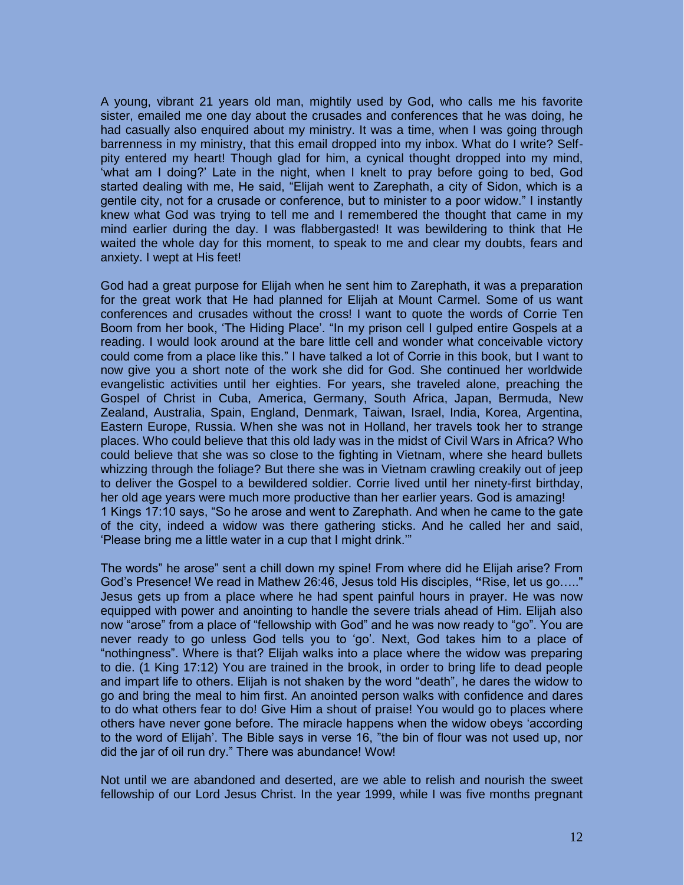A young, vibrant 21 years old man, mightily used by God, who calls me his favorite sister, emailed me one day about the crusades and conferences that he was doing, he had casually also enquired about my ministry. It was a time, when I was going through barrenness in my ministry, that this email dropped into my inbox. What do I write? Selfpity entered my heart! Though glad for him, a cynical thought dropped into my mind, 'what am I doing?' Late in the night, when I knelt to pray before going to bed, God started dealing with me, He said, "Elijah went to Zarephath, a city of Sidon, which is a gentile city, not for a crusade or conference, but to minister to a poor widow." I instantly knew what God was trying to tell me and I remembered the thought that came in my mind earlier during the day. I was flabbergasted! It was bewildering to think that He waited the whole day for this moment, to speak to me and clear my doubts, fears and anxiety. I wept at His feet!

God had a great purpose for Elijah when he sent him to Zarephath, it was a preparation for the great work that He had planned for Elijah at Mount Carmel. Some of us want conferences and crusades without the cross! I want to quote the words of Corrie Ten Boom from her book, 'The Hiding Place'. "In my prison cell I gulped entire Gospels at a reading. I would look around at the bare little cell and wonder what conceivable victory could come from a place like this." I have talked a lot of Corrie in this book, but I want to now give you a short note of the work she did for God. She continued her worldwide evangelistic activities until her eighties. For years, she traveled alone, preaching the Gospel of Christ in Cuba, America, Germany, South Africa, Japan, Bermuda, New Zealand, Australia, Spain, England, Denmark, Taiwan, Israel, India, Korea, Argentina, Eastern Europe, Russia. When she was not in Holland, her travels took her to strange places. Who could believe that this old lady was in the midst of Civil Wars in Africa? Who could believe that she was so close to the fighting in Vietnam, where she heard bullets whizzing through the foliage? But there she was in Vietnam crawling creakily out of jeep to deliver the Gospel to a bewildered soldier. Corrie lived until her ninety-first birthday, her old age years were much more productive than her earlier years. God is amazing! 1 Kings 17:10 says, "So he arose and went to Zarephath. And when he came to the gate of the city, indeed a widow was there gathering sticks. And he called her and said, 'Please bring me a little water in a cup that I might drink.'"

The words" he arose" sent a chill down my spine! From where did he Elijah arise? From God's Presence! We read in Mathew 26:46, Jesus told His disciples, **"**Rise, let us go….." Jesus gets up from a place where he had spent painful hours in prayer. He was now equipped with power and anointing to handle the severe trials ahead of Him. Elijah also now "arose" from a place of "fellowship with God" and he was now ready to "go". You are never ready to go unless God tells you to 'go'. Next, God takes him to a place of "nothingness". Where is that? Elijah walks into a place where the widow was preparing to die. (1 King 17:12) You are trained in the brook, in order to bring life to dead people and impart life to others. Elijah is not shaken by the word "death", he dares the widow to go and bring the meal to him first. An anointed person walks with confidence and dares to do what others fear to do! Give Him a shout of praise! You would go to places where others have never gone before. The miracle happens when the widow obeys 'according to the word of Elijah'. The Bible says in verse 16, "the bin of flour was not used up, nor did the jar of oil run dry." There was abundance! Wow!

Not until we are abandoned and deserted, are we able to relish and nourish the sweet fellowship of our Lord Jesus Christ. In the year 1999, while I was five months pregnant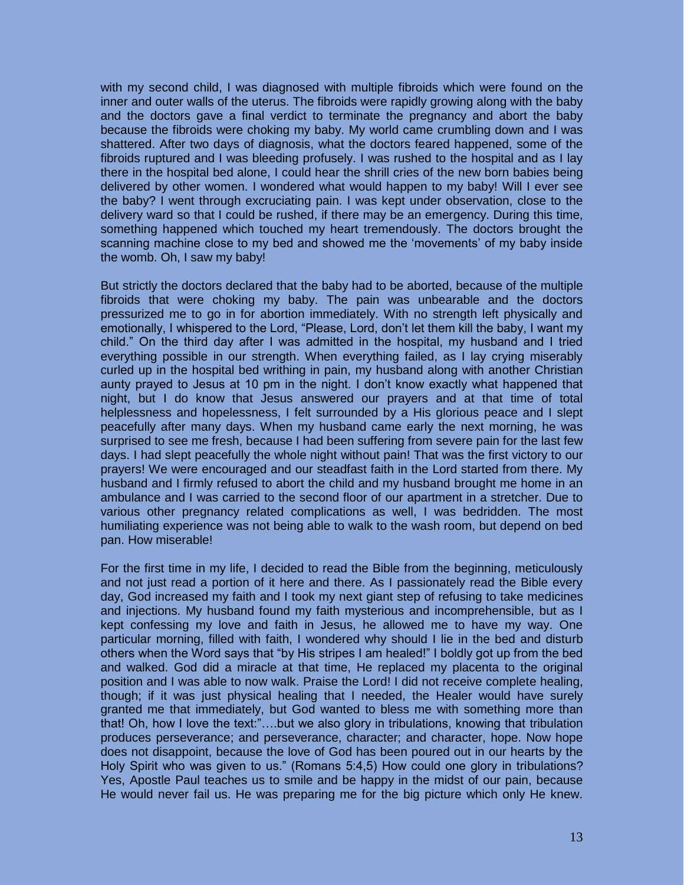with my second child, I was diagnosed with multiple fibroids which were found on the inner and outer walls of the uterus. The fibroids were rapidly growing along with the baby and the doctors gave a final verdict to terminate the pregnancy and abort the baby because the fibroids were choking my baby. My world came crumbling down and I was shattered. After two days of diagnosis, what the doctors feared happened, some of the fibroids ruptured and I was bleeding profusely. I was rushed to the hospital and as I lay there in the hospital bed alone, I could hear the shrill cries of the new born babies being delivered by other women. I wondered what would happen to my baby! Will I ever see the baby? I went through excruciating pain. I was kept under observation, close to the delivery ward so that I could be rushed, if there may be an emergency. During this time, something happened which touched my heart tremendously. The doctors brought the scanning machine close to my bed and showed me the 'movements' of my baby inside the womb. Oh, I saw my baby!

But strictly the doctors declared that the baby had to be aborted, because of the multiple fibroids that were choking my baby. The pain was unbearable and the doctors pressurized me to go in for abortion immediately. With no strength left physically and emotionally, I whispered to the Lord, "Please, Lord, don't let them kill the baby, I want my child." On the third day after I was admitted in the hospital, my husband and I tried everything possible in our strength. When everything failed, as I lay crying miserably curled up in the hospital bed writhing in pain, my husband along with another Christian aunty prayed to Jesus at 10 pm in the night. I don't know exactly what happened that night, but I do know that Jesus answered our prayers and at that time of total helplessness and hopelessness, I felt surrounded by a His glorious peace and I slept peacefully after many days. When my husband came early the next morning, he was surprised to see me fresh, because I had been suffering from severe pain for the last few days. I had slept peacefully the whole night without pain! That was the first victory to our prayers! We were encouraged and our steadfast faith in the Lord started from there. My husband and I firmly refused to abort the child and my husband brought me home in an ambulance and I was carried to the second floor of our apartment in a stretcher. Due to various other pregnancy related complications as well, I was bedridden. The most humiliating experience was not being able to walk to the wash room, but depend on bed pan. How miserable!

For the first time in my life, I decided to read the Bible from the beginning, meticulously and not just read a portion of it here and there. As I passionately read the Bible every day, God increased my faith and I took my next giant step of refusing to take medicines and injections. My husband found my faith mysterious and incomprehensible, but as I kept confessing my love and faith in Jesus, he allowed me to have my way. One particular morning, filled with faith, I wondered why should I lie in the bed and disturb others when the Word says that "by His stripes I am healed!" I boldly got up from the bed and walked. God did a miracle at that time, He replaced my placenta to the original position and I was able to now walk. Praise the Lord! I did not receive complete healing, though; if it was just physical healing that I needed, the Healer would have surely granted me that immediately, but God wanted to bless me with something more than that! Oh, how I love the text:"….but we also glory in tribulations, knowing that tribulation produces perseverance; and perseverance, character; and character, hope. Now hope does not disappoint, because the love of God has been poured out in our hearts by the Holy Spirit who was given to us." (Romans 5:4,5) How could one glory in tribulations? Yes, Apostle Paul teaches us to smile and be happy in the midst of our pain, because He would never fail us. He was preparing me for the big picture which only He knew.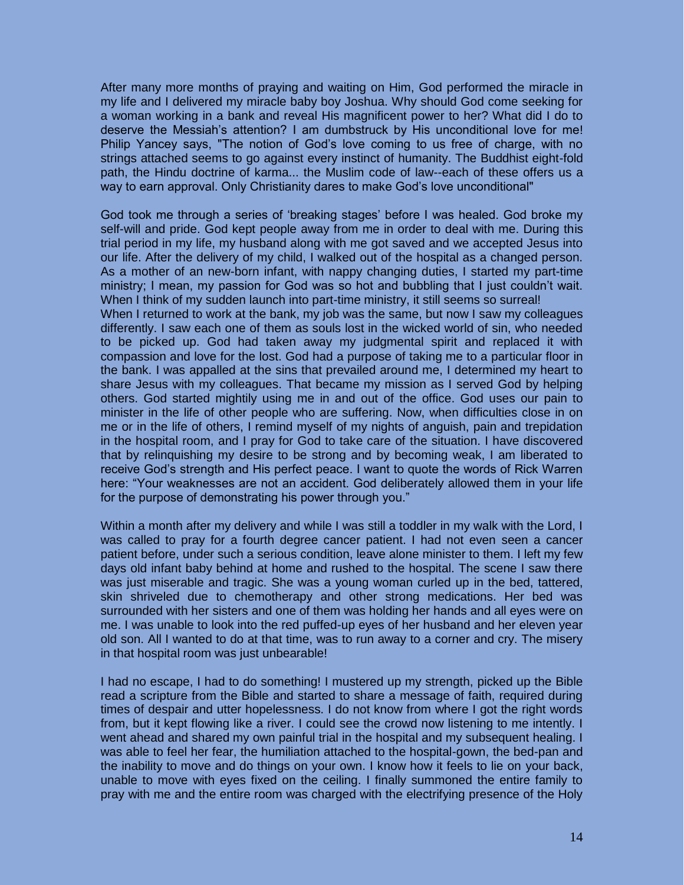After many more months of praying and waiting on Him, God performed the miracle in my life and I delivered my miracle baby boy Joshua. Why should God come seeking for a woman working in a bank and reveal His magnificent power to her? What did I do to deserve the Messiah's attention? I am dumbstruck by His unconditional love for me! Philip Yancey says, "The notion of God's love coming to us free of charge, with no strings attached seems to go against every instinct of humanity. The Buddhist eight-fold path, the Hindu doctrine of karma... the Muslim code of law--each of these offers us a way to earn approval. Only Christianity dares to make God's love unconditional"

God took me through a series of 'breaking stages' before I was healed. God broke my self-will and pride. God kept people away from me in order to deal with me. During this trial period in my life, my husband along with me got saved and we accepted Jesus into our life. After the delivery of my child, I walked out of the hospital as a changed person. As a mother of an new-born infant, with nappy changing duties, I started my part-time ministry; I mean, my passion for God was so hot and bubbling that I just couldn't wait. When I think of my sudden launch into part-time ministry, it still seems so surreal!

When I returned to work at the bank, my job was the same, but now I saw my colleagues differently. I saw each one of them as souls lost in the wicked world of sin, who needed to be picked up. God had taken away my judgmental spirit and replaced it with compassion and love for the lost. God had a purpose of taking me to a particular floor in the bank. I was appalled at the sins that prevailed around me, I determined my heart to share Jesus with my colleagues. That became my mission as I served God by helping others. God started mightily using me in and out of the office. God uses our pain to minister in the life of other people who are suffering. Now, when difficulties close in on me or in the life of others, I remind myself of my nights of anguish, pain and trepidation in the hospital room, and I pray for God to take care of the situation. I have discovered that by relinquishing my desire to be strong and by becoming weak, I am liberated to receive God's strength and His perfect peace. I want to quote the words of Rick Warren here: "Your weaknesses are not an accident. God deliberately allowed them in your life for the purpose of demonstrating his power through you."

Within a month after my delivery and while I was still a toddler in my walk with the Lord, I was called to pray for a fourth degree cancer patient. I had not even seen a cancer patient before, under such a serious condition, leave alone minister to them. I left my few days old infant baby behind at home and rushed to the hospital. The scene I saw there was just miserable and tragic. She was a young woman curled up in the bed, tattered, skin shriveled due to chemotherapy and other strong medications. Her bed was surrounded with her sisters and one of them was holding her hands and all eyes were on me. I was unable to look into the red puffed-up eyes of her husband and her eleven year old son. All I wanted to do at that time, was to run away to a corner and cry. The misery in that hospital room was just unbearable!

I had no escape, I had to do something! I mustered up my strength, picked up the Bible read a scripture from the Bible and started to share a message of faith, required during times of despair and utter hopelessness. I do not know from where I got the right words from, but it kept flowing like a river. I could see the crowd now listening to me intently. I went ahead and shared my own painful trial in the hospital and my subsequent healing. I was able to feel her fear, the humiliation attached to the hospital-gown, the bed-pan and the inability to move and do things on your own. I know how it feels to lie on your back, unable to move with eyes fixed on the ceiling. I finally summoned the entire family to pray with me and the entire room was charged with the electrifying presence of the Holy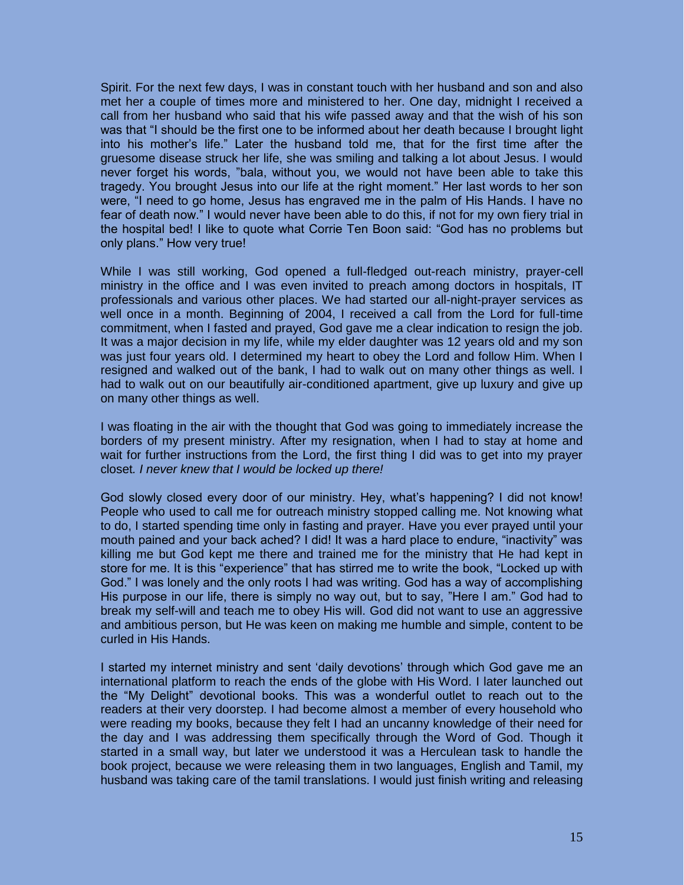Spirit. For the next few days, I was in constant touch with her husband and son and also met her a couple of times more and ministered to her. One day, midnight I received a call from her husband who said that his wife passed away and that the wish of his son was that "I should be the first one to be informed about her death because I brought light into his mother's life." Later the husband told me, that for the first time after the gruesome disease struck her life, she was smiling and talking a lot about Jesus. I would never forget his words, "bala, without you, we would not have been able to take this tragedy. You brought Jesus into our life at the right moment." Her last words to her son were, "I need to go home, Jesus has engraved me in the palm of His Hands. I have no fear of death now." I would never have been able to do this, if not for my own fiery trial in the hospital bed! I like to quote what Corrie Ten Boon said: "God has no problems but only plans." How very true!

While I was still working, God opened a full-fledged out-reach ministry, prayer-cell ministry in the office and I was even invited to preach among doctors in hospitals, IT professionals and various other places. We had started our all-night-prayer services as well once in a month. Beginning of 2004, I received a call from the Lord for full-time commitment, when I fasted and prayed, God gave me a clear indication to resign the job. It was a major decision in my life, while my elder daughter was 12 years old and my son was just four years old. I determined my heart to obey the Lord and follow Him. When I resigned and walked out of the bank, I had to walk out on many other things as well. I had to walk out on our beautifully air-conditioned apartment, give up luxury and give up on many other things as well.

I was floating in the air with the thought that God was going to immediately increase the borders of my present ministry. After my resignation, when I had to stay at home and wait for further instructions from the Lord, the first thing I did was to get into my prayer closet*. I never knew that I would be locked up there!* 

God slowly closed every door of our ministry. Hey, what's happening? I did not know! People who used to call me for outreach ministry stopped calling me. Not knowing what to do, I started spending time only in fasting and prayer. Have you ever prayed until your mouth pained and your back ached? I did! It was a hard place to endure, "inactivity" was killing me but God kept me there and trained me for the ministry that He had kept in store for me. It is this "experience" that has stirred me to write the book, "Locked up with God." I was lonely and the only roots I had was writing. God has a way of accomplishing His purpose in our life, there is simply no way out, but to say, "Here I am." God had to break my self-will and teach me to obey His will. God did not want to use an aggressive and ambitious person, but He was keen on making me humble and simple, content to be curled in His Hands.

I started my internet ministry and sent 'daily devotions' through which God gave me an international platform to reach the ends of the globe with His Word. I later launched out the "My Delight" devotional books. This was a wonderful outlet to reach out to the readers at their very doorstep. I had become almost a member of every household who were reading my books, because they felt I had an uncanny knowledge of their need for the day and I was addressing them specifically through the Word of God. Though it started in a small way, but later we understood it was a Herculean task to handle the book project, because we were releasing them in two languages, English and Tamil, my husband was taking care of the tamil translations. I would just finish writing and releasing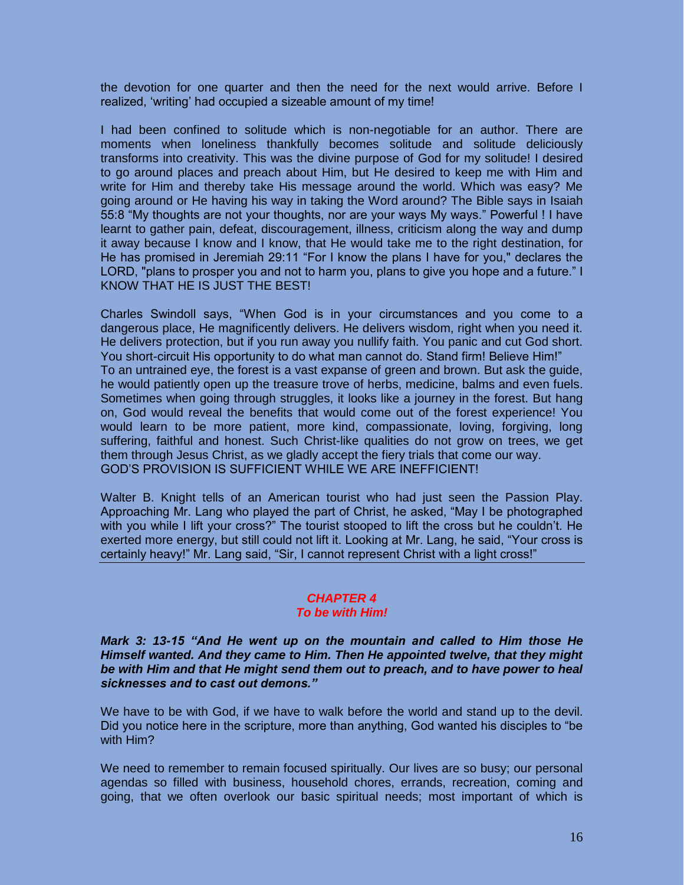the devotion for one quarter and then the need for the next would arrive. Before I realized, 'writing' had occupied a sizeable amount of my time!

I had been confined to solitude which is non-negotiable for an author. There are moments when loneliness thankfully becomes solitude and solitude deliciously transforms into creativity. This was the divine purpose of God for my solitude! I desired to go around places and preach about Him, but He desired to keep me with Him and write for Him and thereby take His message around the world. Which was easy? Me going around or He having his way in taking the Word around? The Bible says in Isaiah 55:8 "My thoughts are not your thoughts, nor are your ways My ways." Powerful ! I have learnt to gather pain, defeat, discouragement, illness, criticism along the way and dump it away because I know and I know, that He would take me to the right destination, for He has promised in Jeremiah 29:11 "For I know the plans I have for you," declares the LORD, "plans to prosper you and not to harm you, plans to give you hope and a future." I KNOW THAT HE IS JUST THE BEST!

Charles Swindoll says, "When God is in your circumstances and you come to a dangerous place, He magnificently delivers. He delivers wisdom, right when you need it. He delivers protection, but if you run away you nullify faith. You panic and cut God short. You short-circuit His opportunity to do what man cannot do. Stand firm! Believe Him!" To an untrained eye, the forest is a vast expanse of green and brown. But ask the guide, he would patiently open up the treasure trove of herbs, medicine, balms and even fuels. Sometimes when going through struggles, it looks like a journey in the forest. But hang on, God would reveal the benefits that would come out of the forest experience! You would learn to be more patient, more kind, compassionate, loving, forgiving, long suffering, faithful and honest. Such Christ-like qualities do not grow on trees, we get them through Jesus Christ, as we gladly accept the fiery trials that come our way. GOD'S PROVISION IS SUFFICIENT WHILE WE ARE INEFFICIENT!

Walter B. Knight tells of an American tourist who had just seen the Passion Play. Approaching Mr. Lang who played the part of Christ, he asked, "May I be photographed with you while I lift your cross?" The tourist stooped to lift the cross but he couldn't. He exerted more energy, but still could not lift it. Looking at Mr. Lang, he said, "Your cross is certainly heavy!" Mr. Lang said, "Sir, I cannot represent Christ with a light cross!"

#### *CHAPTER 4 To be with Him!*

#### *Mark 3: 13-15 "And He went up on the mountain and called to Him those He Himself wanted. And they came to Him. Then He appointed twelve, that they might be with Him and that He might send them out to preach, and to have power to heal sicknesses and to cast out demons."*

We have to be with God, if we have to walk before the world and stand up to the devil. Did you notice here in the scripture, more than anything, God wanted his disciples to "be with Him?

We need to remember to remain focused spiritually. Our lives are so busy; our personal agendas so filled with business, household chores, errands, recreation, coming and going, that we often overlook our basic spiritual needs; most important of which is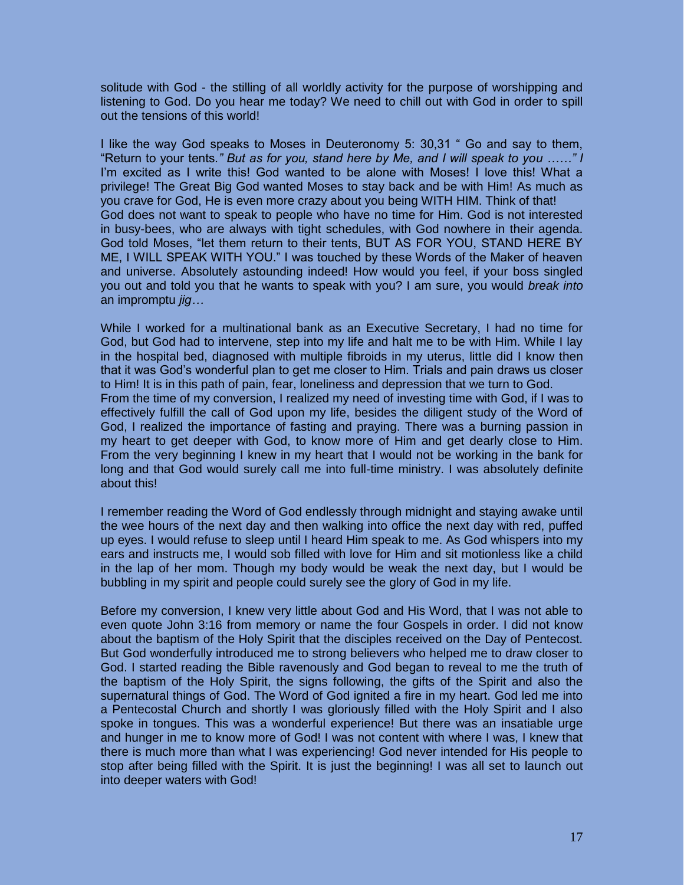solitude with God - the stilling of all worldly activity for the purpose of worshipping and listening to God. Do you hear me today? We need to chill out with God in order to spill out the tensions of this world!

I like the way God speaks to Moses in Deuteronomy 5: 30,31 " Go and say to them, "Return to your tents*." But as for you, stand here by Me, and I will speak to you ……" I*  I'm excited as I write this! God wanted to be alone with Moses! I love this! What a privilege! The Great Big God wanted Moses to stay back and be with Him! As much as you crave for God, He is even more crazy about you being WITH HIM. Think of that! God does not want to speak to people who have no time for Him. God is not interested in busy-bees, who are always with tight schedules, with God nowhere in their agenda. God told Moses, "let them return to their tents, BUT AS FOR YOU, STAND HERE BY ME, I WILL SPEAK WITH YOU." I was touched by these Words of the Maker of heaven and universe. Absolutely astounding indeed! How would you feel, if your boss singled you out and told you that he wants to speak with you? I am sure, you would *break into*  an impromptu *jig…* 

While I worked for a multinational bank as an Executive Secretary, I had no time for God, but God had to intervene, step into my life and halt me to be with Him. While I lay in the hospital bed, diagnosed with multiple fibroids in my uterus, little did I know then that it was God's wonderful plan to get me closer to Him. Trials and pain draws us closer to Him! It is in this path of pain, fear, loneliness and depression that we turn to God. From the time of my conversion, I realized my need of investing time with God, if I was to effectively fulfill the call of God upon my life, besides the diligent study of the Word of God, I realized the importance of fasting and praying. There was a burning passion in my heart to get deeper with God, to know more of Him and get dearly close to Him. From the very beginning I knew in my heart that I would not be working in the bank for long and that God would surely call me into full-time ministry. I was absolutely definite about this!

I remember reading the Word of God endlessly through midnight and staying awake until the wee hours of the next day and then walking into office the next day with red, puffed up eyes. I would refuse to sleep until I heard Him speak to me. As God whispers into my ears and instructs me, I would sob filled with love for Him and sit motionless like a child in the lap of her mom. Though my body would be weak the next day, but I would be bubbling in my spirit and people could surely see the glory of God in my life.

Before my conversion, I knew very little about God and His Word, that I was not able to even quote John 3:16 from memory or name the four Gospels in order. I did not know about the baptism of the Holy Spirit that the disciples received on the Day of Pentecost. But God wonderfully introduced me to strong believers who helped me to draw closer to God. I started reading the Bible ravenously and God began to reveal to me the truth of the baptism of the Holy Spirit, the signs following, the gifts of the Spirit and also the supernatural things of God. The Word of God ignited a fire in my heart. God led me into a Pentecostal Church and shortly I was gloriously filled with the Holy Spirit and I also spoke in tongues. This was a wonderful experience! But there was an insatiable urge and hunger in me to know more of God! I was not content with where I was, I knew that there is much more than what I was experiencing! God never intended for His people to stop after being filled with the Spirit. It is just the beginning! I was all set to launch out into deeper waters with God!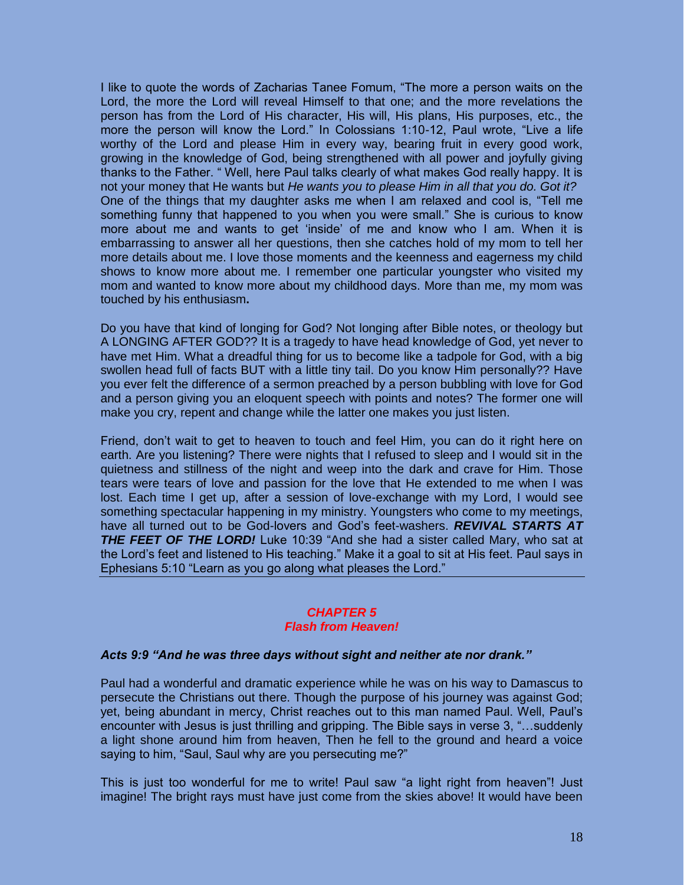I like to quote the words of Zacharias Tanee Fomum, "The more a person waits on the Lord, the more the Lord will reveal Himself to that one; and the more revelations the person has from the Lord of His character, His will, His plans, His purposes, etc., the more the person will know the Lord." In Colossians 1:10-12, Paul wrote, "Live a life worthy of the Lord and please Him in every way, bearing fruit in every good work, growing in the knowledge of God, being strengthened with all power and joyfully giving thanks to the Father. " Well, here Paul talks clearly of what makes God really happy. It is not your money that He wants but *He wants you to please Him in all that you do. Got it?*  One of the things that my daughter asks me when I am relaxed and cool is, "Tell me something funny that happened to you when you were small." She is curious to know more about me and wants to get 'inside' of me and know who I am. When it is embarrassing to answer all her questions, then she catches hold of my mom to tell her more details about me. I love those moments and the keenness and eagerness my child shows to know more about me. I remember one particular youngster who visited my mom and wanted to know more about my childhood days. More than me, my mom was touched by his enthusiasm**.** 

Do you have that kind of longing for God? Not longing after Bible notes, or theology but A LONGING AFTER GOD?? It is a tragedy to have head knowledge of God, yet never to have met Him. What a dreadful thing for us to become like a tadpole for God, with a big swollen head full of facts BUT with a little tiny tail. Do you know Him personally?? Have you ever felt the difference of a sermon preached by a person bubbling with love for God and a person giving you an eloquent speech with points and notes? The former one will make you cry, repent and change while the latter one makes you just listen.

Friend, don't wait to get to heaven to touch and feel Him, you can do it right here on earth. Are you listening? There were nights that I refused to sleep and I would sit in the quietness and stillness of the night and weep into the dark and crave for Him. Those tears were tears of love and passion for the love that He extended to me when I was lost. Each time I get up, after a session of love-exchange with my Lord, I would see something spectacular happening in my ministry. Youngsters who come to my meetings, have all turned out to be God-lovers and God's feet-washers. *REVIVAL STARTS AT*  **THE FEET OF THE LORD!** Luke 10:39 "And she had a sister called Mary, who sat at the Lord's feet and listened to His teaching." Make it a goal to sit at His feet. Paul says in Ephesians 5:10 "Learn as you go along what pleases the Lord."

#### *CHAPTER 5 Flash from Heaven!*

#### *Acts 9:9 "And he was three days without sight and neither ate nor drank."*

Paul had a wonderful and dramatic experience while he was on his way to Damascus to persecute the Christians out there. Though the purpose of his journey was against God; yet, being abundant in mercy, Christ reaches out to this man named Paul. Well, Paul's encounter with Jesus is just thrilling and gripping. The Bible says in verse 3, "…suddenly a light shone around him from heaven, Then he fell to the ground and heard a voice saying to him, "Saul, Saul why are you persecuting me?"

This is just too wonderful for me to write! Paul saw "a light right from heaven"! Just imagine! The bright rays must have just come from the skies above! It would have been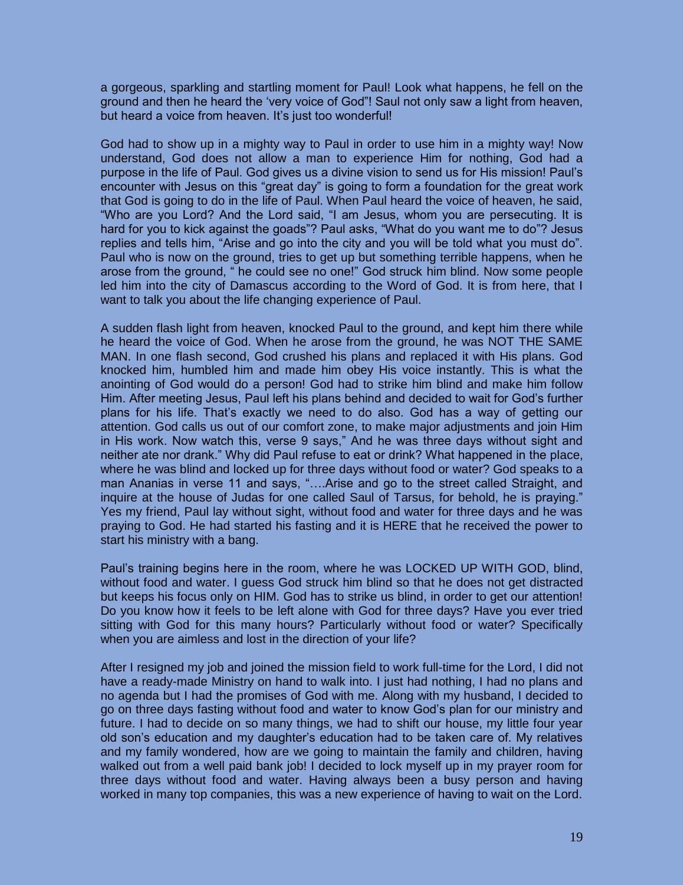a gorgeous, sparkling and startling moment for Paul! Look what happens, he fell on the ground and then he heard the 'very voice of God"! Saul not only saw a light from heaven, but heard a voice from heaven. It's just too wonderful!

God had to show up in a mighty way to Paul in order to use him in a mighty way! Now understand, God does not allow a man to experience Him for nothing, God had a purpose in the life of Paul. God gives us a divine vision to send us for His mission! Paul's encounter with Jesus on this "great day" is going to form a foundation for the great work that God is going to do in the life of Paul. When Paul heard the voice of heaven, he said, "Who are you Lord? And the Lord said, "I am Jesus, whom you are persecuting. It is hard for you to kick against the goads"? Paul asks, "What do you want me to do"? Jesus replies and tells him, "Arise and go into the city and you will be told what you must do". Paul who is now on the ground, tries to get up but something terrible happens, when he arose from the ground, " he could see no one!" God struck him blind. Now some people led him into the city of Damascus according to the Word of God. It is from here, that I want to talk you about the life changing experience of Paul.

A sudden flash light from heaven, knocked Paul to the ground, and kept him there while he heard the voice of God. When he arose from the ground, he was NOT THE SAME MAN. In one flash second, God crushed his plans and replaced it with His plans. God knocked him, humbled him and made him obey His voice instantly. This is what the anointing of God would do a person! God had to strike him blind and make him follow Him. After meeting Jesus, Paul left his plans behind and decided to wait for God's further plans for his life. That's exactly we need to do also. God has a way of getting our attention. God calls us out of our comfort zone, to make major adjustments and join Him in His work. Now watch this, verse 9 says," And he was three days without sight and neither ate nor drank." Why did Paul refuse to eat or drink? What happened in the place, where he was blind and locked up for three days without food or water? God speaks to a man Ananias in verse 11 and says, "….Arise and go to the street called Straight, and inquire at the house of Judas for one called Saul of Tarsus, for behold, he is praying." Yes my friend, Paul lay without sight, without food and water for three days and he was praying to God. He had started his fasting and it is HERE that he received the power to start his ministry with a bang.

Paul's training begins here in the room, where he was LOCKED UP WITH GOD, blind, without food and water. I guess God struck him blind so that he does not get distracted but keeps his focus only on HIM. God has to strike us blind, in order to get our attention! Do you know how it feels to be left alone with God for three days? Have you ever tried sitting with God for this many hours? Particularly without food or water? Specifically when you are aimless and lost in the direction of your life?

After I resigned my job and joined the mission field to work full-time for the Lord, I did not have a ready-made Ministry on hand to walk into. I just had nothing, I had no plans and no agenda but I had the promises of God with me. Along with my husband, I decided to go on three days fasting without food and water to know God's plan for our ministry and future. I had to decide on so many things, we had to shift our house, my little four year old son's education and my daughter's education had to be taken care of. My relatives and my family wondered, how are we going to maintain the family and children, having walked out from a well paid bank job! I decided to lock myself up in my prayer room for three days without food and water. Having always been a busy person and having worked in many top companies, this was a new experience of having to wait on the Lord.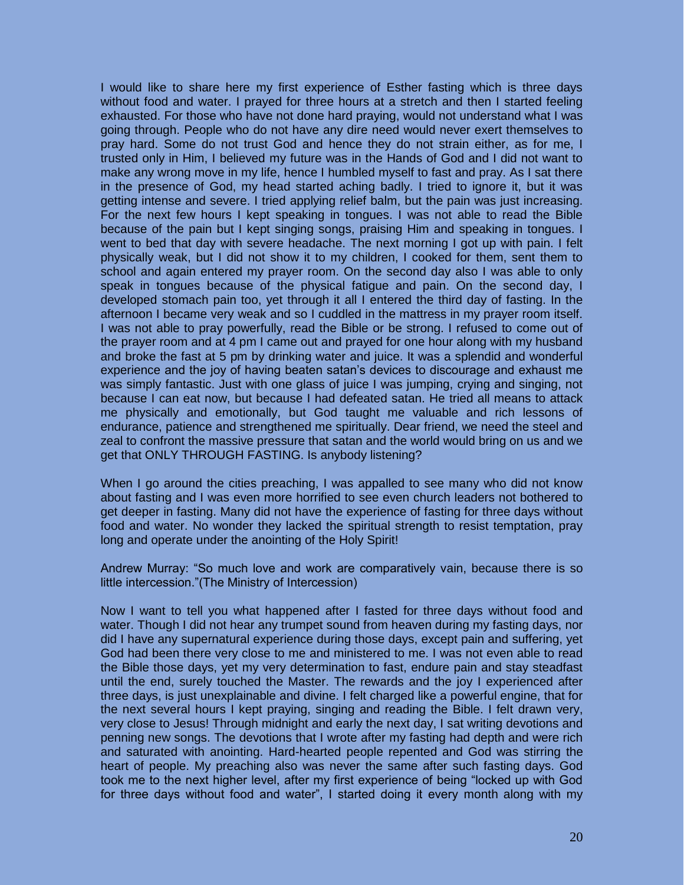I would like to share here my first experience of Esther fasting which is three days without food and water. I prayed for three hours at a stretch and then I started feeling exhausted. For those who have not done hard praying, would not understand what I was going through. People who do not have any dire need would never exert themselves to pray hard. Some do not trust God and hence they do not strain either, as for me, I trusted only in Him, I believed my future was in the Hands of God and I did not want to make any wrong move in my life, hence I humbled myself to fast and pray. As I sat there in the presence of God, my head started aching badly. I tried to ignore it, but it was getting intense and severe. I tried applying relief balm, but the pain was just increasing. For the next few hours I kept speaking in tongues. I was not able to read the Bible because of the pain but I kept singing songs, praising Him and speaking in tongues. I went to bed that day with severe headache. The next morning I got up with pain. I felt physically weak, but I did not show it to my children, I cooked for them, sent them to school and again entered my prayer room. On the second day also I was able to only speak in tongues because of the physical fatigue and pain. On the second day, I developed stomach pain too, yet through it all I entered the third day of fasting. In the afternoon I became very weak and so I cuddled in the mattress in my prayer room itself. I was not able to pray powerfully, read the Bible or be strong. I refused to come out of the prayer room and at 4 pm I came out and prayed for one hour along with my husband and broke the fast at 5 pm by drinking water and juice. It was a splendid and wonderful experience and the joy of having beaten satan's devices to discourage and exhaust me was simply fantastic. Just with one glass of juice I was jumping, crying and singing, not because I can eat now, but because I had defeated satan. He tried all means to attack me physically and emotionally, but God taught me valuable and rich lessons of endurance, patience and strengthened me spiritually. Dear friend, we need the steel and zeal to confront the massive pressure that satan and the world would bring on us and we get that ONLY THROUGH FASTING. Is anybody listening?

When I go around the cities preaching, I was appalled to see many who did not know about fasting and I was even more horrified to see even church leaders not bothered to get deeper in fasting. Many did not have the experience of fasting for three days without food and water. No wonder they lacked the spiritual strength to resist temptation, pray long and operate under the anointing of the Holy Spirit!

Andrew Murray: "So much love and work are comparatively vain, because there is so little intercession."(The Ministry of Intercession)

Now I want to tell you what happened after I fasted for three days without food and water. Though I did not hear any trumpet sound from heaven during my fasting days, nor did I have any supernatural experience during those days, except pain and suffering, yet God had been there very close to me and ministered to me. I was not even able to read the Bible those days, yet my very determination to fast, endure pain and stay steadfast until the end, surely touched the Master. The rewards and the joy I experienced after three days, is just unexplainable and divine. I felt charged like a powerful engine, that for the next several hours I kept praying, singing and reading the Bible. I felt drawn very, very close to Jesus! Through midnight and early the next day, I sat writing devotions and penning new songs. The devotions that I wrote after my fasting had depth and were rich and saturated with anointing. Hard-hearted people repented and God was stirring the heart of people. My preaching also was never the same after such fasting days. God took me to the next higher level, after my first experience of being "locked up with God for three days without food and water", I started doing it every month along with my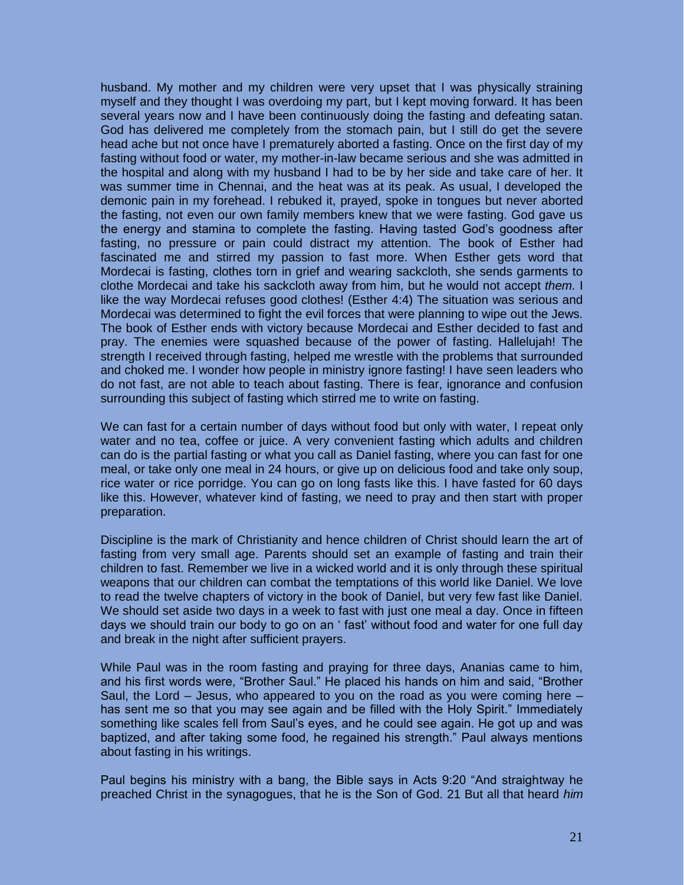husband. My mother and my children were very upset that I was physically straining myself and they thought I was overdoing my part, but I kept moving forward. It has been several years now and I have been continuously doing the fasting and defeating satan. God has delivered me completely from the stomach pain, but I still do get the severe head ache but not once have I prematurely aborted a fasting. Once on the first day of my fasting without food or water, my mother-in-law became serious and she was admitted in the hospital and along with my husband I had to be by her side and take care of her. It was summer time in Chennai, and the heat was at its peak. As usual, I developed the demonic pain in my forehead. I rebuked it, prayed, spoke in tongues but never aborted the fasting, not even our own family members knew that we were fasting. God gave us the energy and stamina to complete the fasting. Having tasted God's goodness after fasting, no pressure or pain could distract my attention. The book of Esther had fascinated me and stirred my passion to fast more. When Esther gets word that Mordecai is fasting, clothes torn in grief and wearing sackcloth, she sends garments to clothe Mordecai and take his sackcloth away from him, but he would not accept *them.* I like the way Mordecai refuses good clothes! (Esther 4:4) The situation was serious and Mordecai was determined to fight the evil forces that were planning to wipe out the Jews. The book of Esther ends with victory because Mordecai and Esther decided to fast and pray. The enemies were squashed because of the power of fasting. Hallelujah! The strength I received through fasting, helped me wrestle with the problems that surrounded and choked me. I wonder how people in ministry ignore fasting! I have seen leaders who do not fast, are not able to teach about fasting. There is fear, ignorance and confusion surrounding this subject of fasting which stirred me to write on fasting.

We can fast for a certain number of days without food but only with water, I repeat only water and no tea, coffee or juice. A very convenient fasting which adults and children can do is the partial fasting or what you call as Daniel fasting, where you can fast for one meal, or take only one meal in 24 hours, or give up on delicious food and take only soup, rice water or rice porridge. You can go on long fasts like this. I have fasted for 60 days like this. However, whatever kind of fasting, we need to pray and then start with proper preparation.

Discipline is the mark of Christianity and hence children of Christ should learn the art of fasting from very small age. Parents should set an example of fasting and train their children to fast. Remember we live in a wicked world and it is only through these spiritual weapons that our children can combat the temptations of this world like Daniel. We love to read the twelve chapters of victory in the book of Daniel, but very few fast like Daniel. We should set aside two days in a week to fast with just one meal a day. Once in fifteen days we should train our body to go on an ' fast' without food and water for one full day and break in the night after sufficient prayers.

While Paul was in the room fasting and praying for three days, Ananias came to him, and his first words were, "Brother Saul." He placed his hands on him and said, "Brother Saul, the Lord – Jesus, who appeared to you on the road as you were coming here – has sent me so that you may see again and be filled with the Holy Spirit." Immediately something like scales fell from Saul's eyes, and he could see again. He got up and was baptized, and after taking some food, he regained his strength." Paul always mentions about fasting in his writings.

Paul begins his ministry with a bang, the Bible says in Acts 9:20 "And straightway he preached Christ in the synagogues, that he is the Son of God. 21 But all that heard *him*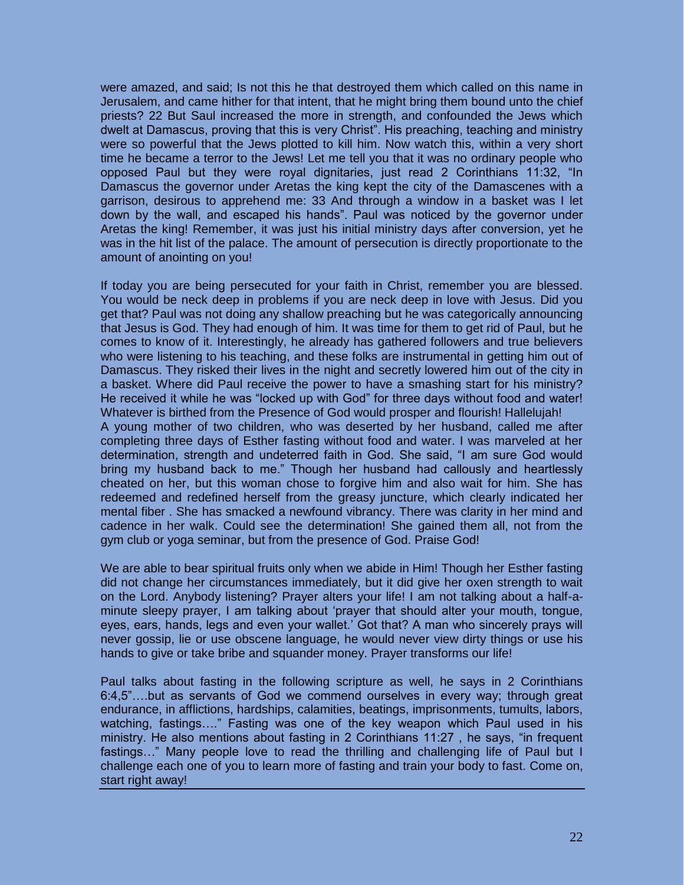were amazed, and said; Is not this he that destroyed them which called on this name in Jerusalem, and came hither for that intent, that he might bring them bound unto the chief priests? 22 But Saul increased the more in strength, and confounded the Jews which dwelt at Damascus, proving that this is very Christ". His preaching, teaching and ministry were so powerful that the Jews plotted to kill him. Now watch this, within a very short time he became a terror to the Jews! Let me tell you that it was no ordinary people who opposed Paul but they were royal dignitaries, just read 2 Corinthians 11:32, "In Damascus the governor under Aretas the king kept the city of the Damascenes with a garrison, desirous to apprehend me: 33 And through a window in a basket was I let down by the wall, and escaped his hands". Paul was noticed by the governor under Aretas the king! Remember, it was just his initial ministry days after conversion, yet he was in the hit list of the palace. The amount of persecution is directly proportionate to the amount of anointing on you!

If today you are being persecuted for your faith in Christ, remember you are blessed. You would be neck deep in problems if you are neck deep in love with Jesus. Did you get that? Paul was not doing any shallow preaching but he was categorically announcing that Jesus is God. They had enough of him. It was time for them to get rid of Paul, but he comes to know of it. Interestingly, he already has gathered followers and true believers who were listening to his teaching, and these folks are instrumental in getting him out of Damascus. They risked their lives in the night and secretly lowered him out of the city in a basket. Where did Paul receive the power to have a smashing start for his ministry? He received it while he was "locked up with God" for three days without food and water! Whatever is birthed from the Presence of God would prosper and flourish! Hallelujah! A young mother of two children, who was deserted by her husband, called me after completing three days of Esther fasting without food and water. I was marveled at her determination, strength and undeterred faith in God. She said, "I am sure God would bring my husband back to me." Though her husband had callously and heartlessly cheated on her, but this woman chose to forgive him and also wait for him. She has redeemed and redefined herself from the greasy juncture, which clearly indicated her mental fiber . She has smacked a newfound vibrancy. There was clarity in her mind and cadence in her walk. Could see the determination! She gained them all, not from the gym club or yoga seminar, but from the presence of God. Praise God!

We are able to bear spiritual fruits only when we abide in Him! Though her Esther fasting did not change her circumstances immediately, but it did give her oxen strength to wait on the Lord. Anybody listening? Prayer alters your life! I am not talking about a half-aminute sleepy prayer, I am talking about 'prayer that should alter your mouth, tongue, eyes, ears, hands, legs and even your wallet.' Got that? A man who sincerely prays will never gossip, lie or use obscene language, he would never view dirty things or use his hands to give or take bribe and squander money. Prayer transforms our life!

Paul talks about fasting in the following scripture as well, he says in 2 Corinthians 6:4,5"….but as servants of God we commend ourselves in every way; through great endurance, in afflictions, hardships, calamities, beatings, imprisonments, tumults, labors, watching, fastings…." Fasting was one of the key weapon which Paul used in his ministry. He also mentions about fasting in 2 Corinthians 11:27 , he says, "in frequent fastings…" Many people love to read the thrilling and challenging life of Paul but I challenge each one of you to learn more of fasting and train your body to fast. Come on, start right away!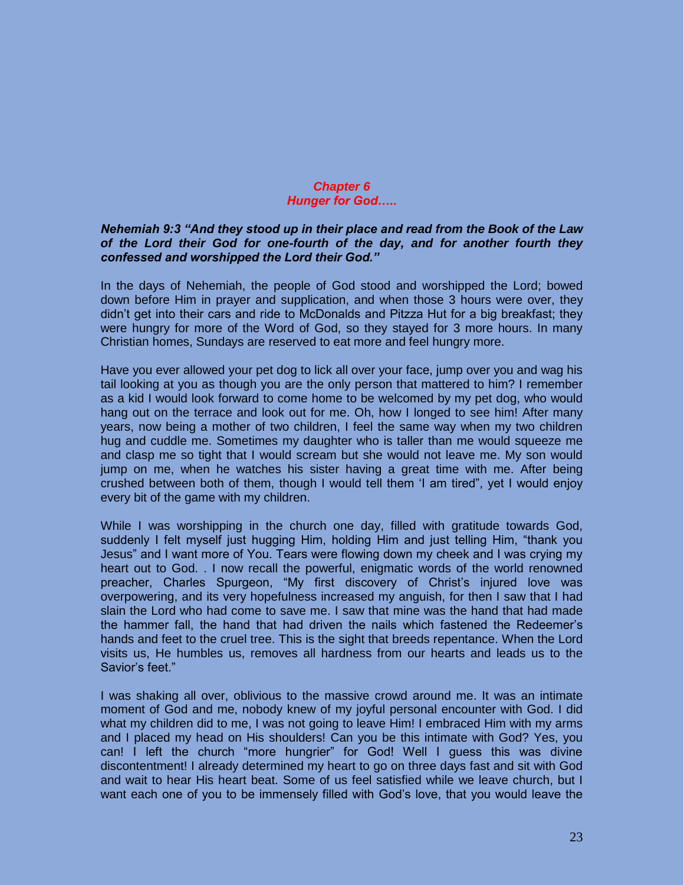#### *Chapter 6 Hunger for God…..*

#### *Nehemiah 9:3 "And they stood up in their place and read from the Book of the Law of the Lord their God for one-fourth of the day, and for another fourth they confessed and worshipped the Lord their God."*

In the days of Nehemiah, the people of God stood and worshipped the Lord; bowed down before Him in prayer and supplication, and when those 3 hours were over, they didn't get into their cars and ride to McDonalds and Pitzza Hut for a big breakfast; they were hungry for more of the Word of God, so they stayed for 3 more hours. In many Christian homes, Sundays are reserved to eat more and feel hungry more.

Have you ever allowed your pet dog to lick all over your face, jump over you and wag his tail looking at you as though you are the only person that mattered to him? I remember as a kid I would look forward to come home to be welcomed by my pet dog, who would hang out on the terrace and look out for me. Oh, how I longed to see him! After many years, now being a mother of two children, I feel the same way when my two children hug and cuddle me. Sometimes my daughter who is taller than me would squeeze me and clasp me so tight that I would scream but she would not leave me. My son would jump on me, when he watches his sister having a great time with me. After being crushed between both of them, though I would tell them 'I am tired", yet I would enjoy every bit of the game with my children.

While I was worshipping in the church one day, filled with gratitude towards God, suddenly I felt myself just hugging Him, holding Him and just telling Him, "thank you Jesus" and I want more of You. Tears were flowing down my cheek and I was crying my heart out to God. . I now recall the powerful, enigmatic words of the world renowned preacher, Charles Spurgeon, "My first discovery of Christ's injured love was overpowering, and its very hopefulness increased my anguish, for then I saw that I had slain the Lord who had come to save me. I saw that mine was the hand that had made the hammer fall, the hand that had driven the nails which fastened the Redeemer's hands and feet to the cruel tree. This is the sight that breeds repentance. When the Lord visits us, He humbles us, removes all hardness from our hearts and leads us to the Savior's feet."

I was shaking all over, oblivious to the massive crowd around me. It was an intimate moment of God and me, nobody knew of my joyful personal encounter with God. I did what my children did to me, I was not going to leave Him! I embraced Him with my arms and I placed my head on His shoulders! Can you be this intimate with God? Yes, you can! I left the church "more hungrier" for God! Well I guess this was divine discontentment! I already determined my heart to go on three days fast and sit with God and wait to hear His heart beat. Some of us feel satisfied while we leave church, but I want each one of you to be immensely filled with God's love, that you would leave the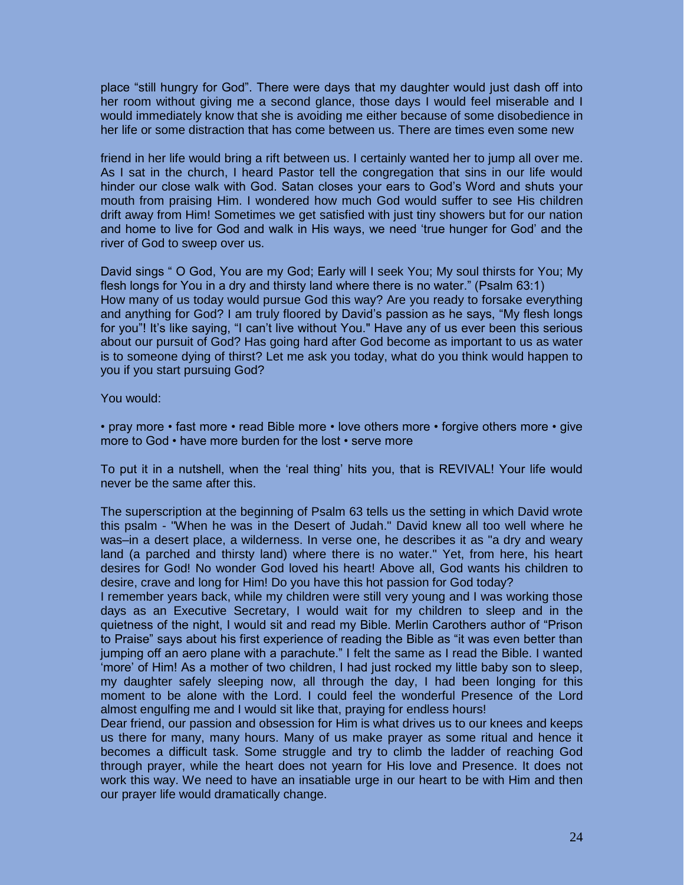place "still hungry for God". There were days that my daughter would just dash off into her room without giving me a second glance, those days I would feel miserable and I would immediately know that she is avoiding me either because of some disobedience in her life or some distraction that has come between us. There are times even some new

friend in her life would bring a rift between us. I certainly wanted her to jump all over me. As I sat in the church, I heard Pastor tell the congregation that sins in our life would hinder our close walk with God. Satan closes your ears to God's Word and shuts your mouth from praising Him. I wondered how much God would suffer to see His children drift away from Him! Sometimes we get satisfied with just tiny showers but for our nation and home to live for God and walk in His ways, we need 'true hunger for God' and the river of God to sweep over us.

David sings " O God, You are my God; Early will I seek You; My soul thirsts for You; My flesh longs for You in a dry and thirsty land where there is no water." (Psalm 63:1) How many of us today would pursue God this way? Are you ready to forsake everything and anything for God? I am truly floored by David's passion as he says, "My flesh longs for you"! It's like saying, "I can't live without You." Have any of us ever been this serious about our pursuit of God? Has going hard after God become as important to us as water is to someone dying of thirst? Let me ask you today, what do you think would happen to you if you start pursuing God?

You would:

• pray more • fast more • read Bible more • love others more • forgive others more • give more to God • have more burden for the lost • serve more

To put it in a nutshell, when the 'real thing' hits you, that is REVIVAL! Your life would never be the same after this.

The superscription at the beginning of Psalm 63 tells us the setting in which David wrote this psalm - "When he was in the Desert of Judah." David knew all too well where he was–in a desert place, a wilderness. In verse one, he describes it as "a dry and weary land (a parched and thirsty land) where there is no water." Yet, from here, his heart desires for God! No wonder God loved his heart! Above all, God wants his children to desire, crave and long for Him! Do you have this hot passion for God today?

I remember years back, while my children were still very young and I was working those days as an Executive Secretary, I would wait for my children to sleep and in the quietness of the night, I would sit and read my Bible. Merlin Carothers author of "Prison to Praise" says about his first experience of reading the Bible as "it was even better than jumping off an aero plane with a parachute." I felt the same as I read the Bible. I wanted 'more' of Him! As a mother of two children, I had just rocked my little baby son to sleep, my daughter safely sleeping now, all through the day, I had been longing for this moment to be alone with the Lord. I could feel the wonderful Presence of the Lord almost engulfing me and I would sit like that, praying for endless hours!

Dear friend, our passion and obsession for Him is what drives us to our knees and keeps us there for many, many hours. Many of us make prayer as some ritual and hence it becomes a difficult task. Some struggle and try to climb the ladder of reaching God through prayer, while the heart does not yearn for His love and Presence. It does not work this way. We need to have an insatiable urge in our heart to be with Him and then our prayer life would dramatically change.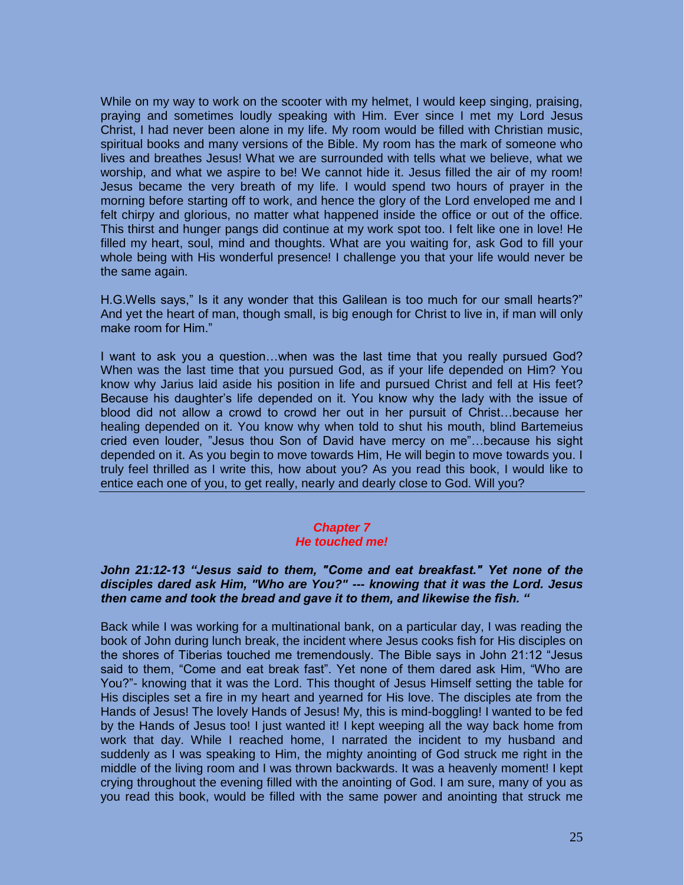While on my way to work on the scooter with my helmet, I would keep singing, praising, praying and sometimes loudly speaking with Him. Ever since I met my Lord Jesus Christ, I had never been alone in my life. My room would be filled with Christian music, spiritual books and many versions of the Bible. My room has the mark of someone who lives and breathes Jesus! What we are surrounded with tells what we believe, what we worship, and what we aspire to be! We cannot hide it. Jesus filled the air of my room! Jesus became the very breath of my life. I would spend two hours of prayer in the morning before starting off to work, and hence the glory of the Lord enveloped me and I felt chirpy and glorious, no matter what happened inside the office or out of the office. This thirst and hunger pangs did continue at my work spot too. I felt like one in love! He filled my heart, soul, mind and thoughts. What are you waiting for, ask God to fill your whole being with His wonderful presence! I challenge you that your life would never be the same again.

H.G.Wells says," Is it any wonder that this Galilean is too much for our small hearts?" And yet the heart of man, though small, is big enough for Christ to live in, if man will only make room for Him."

I want to ask you a question…when was the last time that you really pursued God? When was the last time that you pursued God, as if your life depended on Him? You know why Jarius laid aside his position in life and pursued Christ and fell at His feet? Because his daughter's life depended on it. You know why the lady with the issue of blood did not allow a crowd to crowd her out in her pursuit of Christ…because her healing depended on it. You know why when told to shut his mouth, blind Bartemeius cried even louder, "Jesus thou Son of David have mercy on me"…because his sight depended on it. As you begin to move towards Him, He will begin to move towards you. I truly feel thrilled as I write this, how about you? As you read this book, I would like to entice each one of you, to get really, nearly and dearly close to God. Will you?

# *Chapter 7*

### *He touched me!*

#### *John 21:12-13 "Jesus said to them, "Come and eat breakfast." Yet none of the disciples dared ask Him, "Who are You?" --- knowing that it was the Lord. Jesus then came and took the bread and gave it to them, and likewise the fish. "*

Back while I was working for a multinational bank, on a particular day, I was reading the book of John during lunch break, the incident where Jesus cooks fish for His disciples on the shores of Tiberias touched me tremendously. The Bible says in John 21:12 "Jesus said to them, "Come and eat break fast". Yet none of them dared ask Him, "Who are You?"- knowing that it was the Lord. This thought of Jesus Himself setting the table for His disciples set a fire in my heart and yearned for His love. The disciples ate from the Hands of Jesus! The lovely Hands of Jesus! My, this is mind-boggling! I wanted to be fed by the Hands of Jesus too! I just wanted it! I kept weeping all the way back home from work that day. While I reached home, I narrated the incident to my husband and suddenly as I was speaking to Him, the mighty anointing of God struck me right in the middle of the living room and I was thrown backwards. It was a heavenly moment! I kept crying throughout the evening filled with the anointing of God. I am sure, many of you as you read this book, would be filled with the same power and anointing that struck me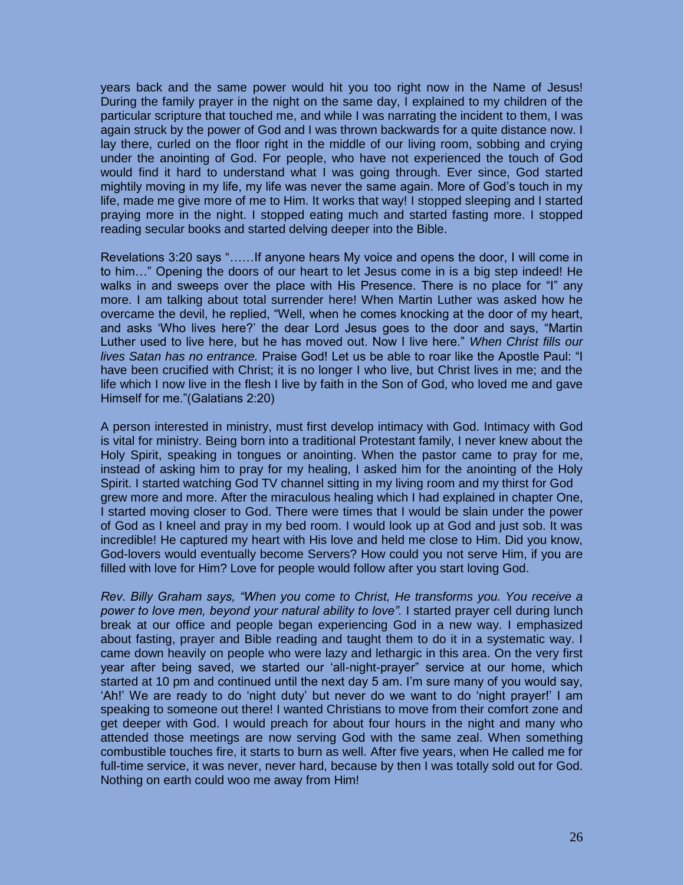years back and the same power would hit you too right now in the Name of Jesus! During the family prayer in the night on the same day, I explained to my children of the particular scripture that touched me, and while I was narrating the incident to them, I was again struck by the power of God and I was thrown backwards for a quite distance now. I lay there, curled on the floor right in the middle of our living room, sobbing and crying under the anointing of God. For people, who have not experienced the touch of God would find it hard to understand what I was going through. Ever since, God started mightily moving in my life, my life was never the same again. More of God's touch in my life, made me give more of me to Him. It works that way! I stopped sleeping and I started praying more in the night. I stopped eating much and started fasting more. I stopped reading secular books and started delving deeper into the Bible.

Revelations 3:20 says "……If anyone hears My voice and opens the door, I will come in to him…" Opening the doors of our heart to let Jesus come in is a big step indeed! He walks in and sweeps over the place with His Presence. There is no place for "I" any more. I am talking about total surrender here! When Martin Luther was asked how he overcame the devil, he replied, "Well, when he comes knocking at the door of my heart, and asks 'Who lives here?' the dear Lord Jesus goes to the door and says, "Martin Luther used to live here, but he has moved out. Now I live here." *When Christ fills our lives Satan has no entrance.* Praise God! Let us be able to roar like the Apostle Paul: "I have been crucified with Christ; it is no longer I who live, but Christ lives in me; and the life which I now live in the flesh I live by faith in the Son of God, who loved me and gave Himself for me."(Galatians 2:20)

A person interested in ministry, must first develop intimacy with God. Intimacy with God is vital for ministry. Being born into a traditional Protestant family, I never knew about the Holy Spirit, speaking in tongues or anointing. When the pastor came to pray for me, instead of asking him to pray for my healing, I asked him for the anointing of the Holy Spirit. I started watching God TV channel sitting in my living room and my thirst for God grew more and more. After the miraculous healing which I had explained in chapter One, I started moving closer to God. There were times that I would be slain under the power of God as I kneel and pray in my bed room. I would look up at God and just sob. It was incredible! He captured my heart with His love and held me close to Him. Did you know, God-lovers would eventually become Servers? How could you not serve Him, if you are filled with love for Him? Love for people would follow after you start loving God.

*Rev. Billy Graham says, "When you come to Christ, He transforms you. You receive a power to love men, beyond your natural ability to love".* I started prayer cell during lunch break at our office and people began experiencing God in a new way. I emphasized about fasting, prayer and Bible reading and taught them to do it in a systematic way. I came down heavily on people who were lazy and lethargic in this area. On the very first year after being saved, we started our 'all-night-prayer" service at our home, which started at 10 pm and continued until the next day 5 am. I'm sure many of you would say, 'Ah!' We are ready to do 'night duty' but never do we want to do 'night prayer!' I am speaking to someone out there! I wanted Christians to move from their comfort zone and get deeper with God. I would preach for about four hours in the night and many who attended those meetings are now serving God with the same zeal. When something combustible touches fire, it starts to burn as well. After five years, when He called me for full-time service, it was never, never hard, because by then I was totally sold out for God. Nothing on earth could woo me away from Him!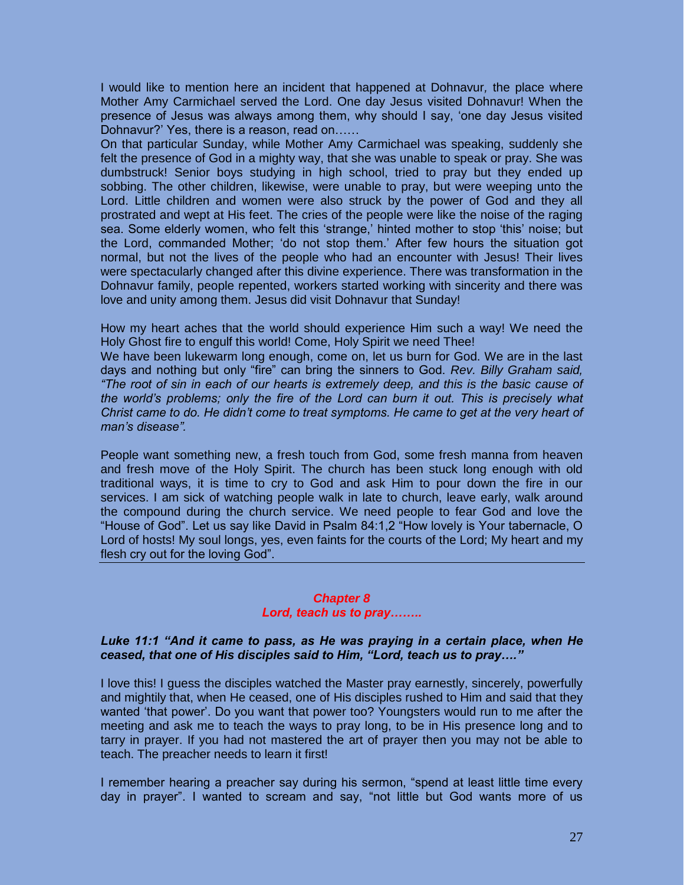I would like to mention here an incident that happened at Dohnavur*,* the place where Mother Amy Carmichael served the Lord. One day Jesus visited Dohnavur! When the presence of Jesus was always among them, why should I say, 'one day Jesus visited Dohnavur?' Yes, there is a reason, read on……

On that particular Sunday, while Mother Amy Carmichael was speaking, suddenly she felt the presence of God in a mighty way, that she was unable to speak or pray. She was dumbstruck! Senior boys studying in high school, tried to pray but they ended up sobbing. The other children, likewise, were unable to pray, but were weeping unto the Lord. Little children and women were also struck by the power of God and they all prostrated and wept at His feet. The cries of the people were like the noise of the raging sea. Some elderly women, who felt this 'strange,' hinted mother to stop 'this' noise; but the Lord, commanded Mother; 'do not stop them.' After few hours the situation got normal, but not the lives of the people who had an encounter with Jesus! Their lives were spectacularly changed after this divine experience. There was transformation in the Dohnavur family, people repented, workers started working with sincerity and there was love and unity among them. Jesus did visit Dohnavur that Sunday!

How my heart aches that the world should experience Him such a way! We need the Holy Ghost fire to engulf this world! Come, Holy Spirit we need Thee!

We have been lukewarm long enough, come on, let us burn for God. We are in the last days and nothing but only "fire" can bring the sinners to God. *Rev. Billy Graham said, "The root of sin in each of our hearts is extremely deep, and this is the basic cause of the world's problems; only the fire of the Lord can burn it out. This is precisely what Christ came to do. He didn't come to treat symptoms. He came to get at the very heart of man's disease".* 

People want something new, a fresh touch from God, some fresh manna from heaven and fresh move of the Holy Spirit. The church has been stuck long enough with old traditional ways, it is time to cry to God and ask Him to pour down the fire in our services. I am sick of watching people walk in late to church, leave early, walk around the compound during the church service. We need people to fear God and love the "House of God". Let us say like David in Psalm 84:1,2 "How lovely is Your tabernacle, O Lord of hosts! My soul longs, yes, even faints for the courts of the Lord; My heart and my flesh cry out for the loving God".

#### *Chapter 8 Lord, teach us to pray……..*

#### *Luke 11:1 "And it came to pass, as He was praying in a certain place, when He ceased, that one of His disciples said to Him, "Lord, teach us to pray…."*

I love this! I guess the disciples watched the Master pray earnestly, sincerely, powerfully and mightily that, when He ceased, one of His disciples rushed to Him and said that they wanted 'that power'. Do you want that power too? Youngsters would run to me after the meeting and ask me to teach the ways to pray long, to be in His presence long and to tarry in prayer. If you had not mastered the art of prayer then you may not be able to teach. The preacher needs to learn it first!

I remember hearing a preacher say during his sermon, "spend at least little time every day in prayer". I wanted to scream and say, "not little but God wants more of us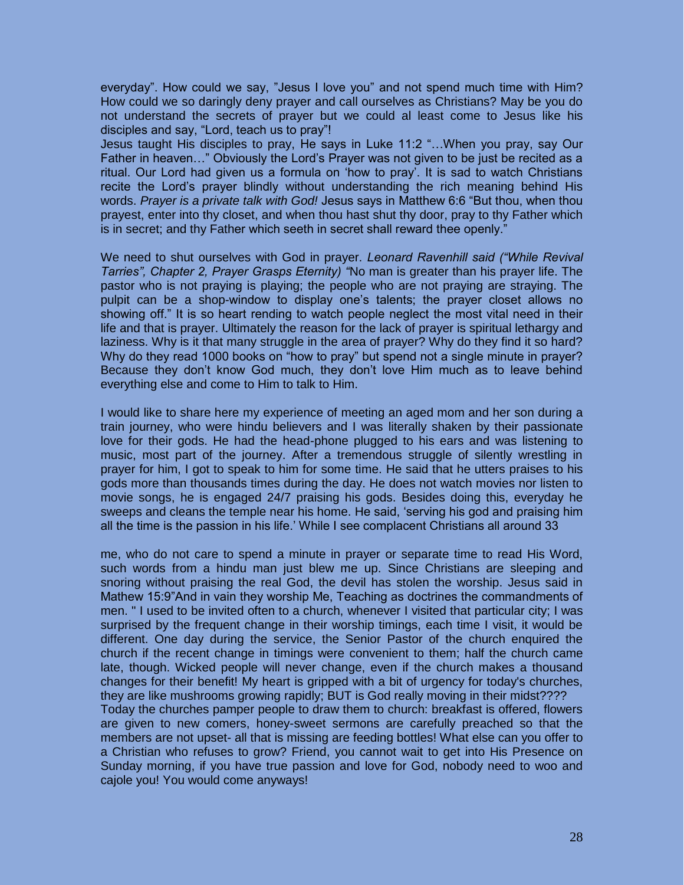everyday". How could we say, "Jesus I love you" and not spend much time with Him? How could we so daringly deny prayer and call ourselves as Christians? May be you do not understand the secrets of prayer but we could al least come to Jesus like his disciples and say, "Lord, teach us to pray"!

Jesus taught His disciples to pray, He says in Luke 11:2 "…When you pray, say Our Father in heaven…" Obviously the Lord's Prayer was not given to be just be recited as a ritual. Our Lord had given us a formula on 'how to pray'. It is sad to watch Christians recite the Lord's prayer blindly without understanding the rich meaning behind His words. *Prayer is a private talk with God!* Jesus says in Matthew 6:6 "But thou, when thou prayest, enter into thy closet, and when thou hast shut thy door, pray to thy Father which is in secret; and thy Father which seeth in secret shall reward thee openly."

We need to shut ourselves with God in prayer. *Leonard Ravenhill said ("While Revival Tarries", Chapter 2, Prayer Grasps Eternity) "*No man is greater than his prayer life. The pastor who is not praying is playing; the people who are not praying are straying. The pulpit can be a shop-window to display one's talents; the prayer closet allows no showing off." It is so heart rending to watch people neglect the most vital need in their life and that is prayer. Ultimately the reason for the lack of prayer is spiritual lethargy and laziness. Why is it that many struggle in the area of prayer? Why do they find it so hard? Why do they read 1000 books on "how to pray" but spend not a single minute in prayer? Because they don't know God much, they don't love Him much as to leave behind everything else and come to Him to talk to Him.

I would like to share here my experience of meeting an aged mom and her son during a train journey, who were hindu believers and I was literally shaken by their passionate love for their gods. He had the head-phone plugged to his ears and was listening to music, most part of the journey. After a tremendous struggle of silently wrestling in prayer for him, I got to speak to him for some time. He said that he utters praises to his gods more than thousands times during the day. He does not watch movies nor listen to movie songs, he is engaged 24/7 praising his gods. Besides doing this, everyday he sweeps and cleans the temple near his home. He said, 'serving his god and praising him all the time is the passion in his life.' While I see complacent Christians all around 33

me, who do not care to spend a minute in prayer or separate time to read His Word, such words from a hindu man just blew me up. Since Christians are sleeping and snoring without praising the real God, the devil has stolen the worship. Jesus said in Mathew 15:9"And in vain they worship Me, Teaching as doctrines the commandments of men. " I used to be invited often to a church, whenever I visited that particular city; I was surprised by the frequent change in their worship timings, each time I visit, it would be different. One day during the service, the Senior Pastor of the church enquired the church if the recent change in timings were convenient to them; half the church came late, though. Wicked people will never change, even if the church makes a thousand changes for their benefit! My heart is gripped with a bit of urgency for today's churches, they are like mushrooms growing rapidly; BUT is God really moving in their midst???? Today the churches pamper people to draw them to church: breakfast is offered, flowers are given to new comers, honey-sweet sermons are carefully preached so that the members are not upset- all that is missing are feeding bottles! What else can you offer to a Christian who refuses to grow? Friend, you cannot wait to get into His Presence on Sunday morning, if you have true passion and love for God, nobody need to woo and cajole you! You would come anyways!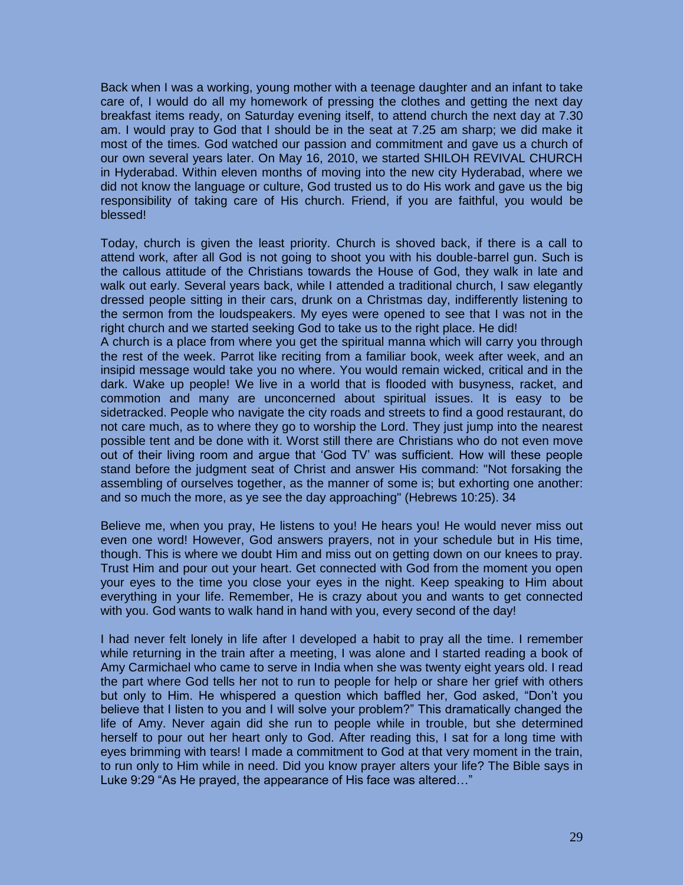Back when I was a working, young mother with a teenage daughter and an infant to take care of, I would do all my homework of pressing the clothes and getting the next day breakfast items ready, on Saturday evening itself, to attend church the next day at 7.30 am. I would pray to God that I should be in the seat at 7.25 am sharp; we did make it most of the times. God watched our passion and commitment and gave us a church of our own several years later. On May 16, 2010, we started SHILOH REVIVAL CHURCH in Hyderabad. Within eleven months of moving into the new city Hyderabad, where we did not know the language or culture, God trusted us to do His work and gave us the big responsibility of taking care of His church. Friend, if you are faithful, you would be blessed!

Today, church is given the least priority. Church is shoved back, if there is a call to attend work, after all God is not going to shoot you with his double-barrel gun. Such is the callous attitude of the Christians towards the House of God, they walk in late and walk out early. Several years back, while I attended a traditional church, I saw elegantly dressed people sitting in their cars, drunk on a Christmas day, indifferently listening to the sermon from the loudspeakers. My eyes were opened to see that I was not in the right church and we started seeking God to take us to the right place. He did!

A church is a place from where you get the spiritual manna which will carry you through the rest of the week. Parrot like reciting from a familiar book, week after week, and an insipid message would take you no where. You would remain wicked, critical and in the dark. Wake up people! We live in a world that is flooded with busyness, racket, and commotion and many are unconcerned about spiritual issues. It is easy to be sidetracked. People who navigate the city roads and streets to find a good restaurant, do not care much, as to where they go to worship the Lord. They just jump into the nearest possible tent and be done with it. Worst still there are Christians who do not even move out of their living room and argue that 'God TV' was sufficient. How will these people stand before the judgment seat of Christ and answer His command: "Not forsaking the assembling of ourselves together, as the manner of some is; but exhorting one another: and so much the more, as ye see the day approaching" (Hebrews 10:25). 34

Believe me, when you pray, He listens to you! He hears you! He would never miss out even one word! However, God answers prayers, not in your schedule but in His time, though. This is where we doubt Him and miss out on getting down on our knees to pray. Trust Him and pour out your heart. Get connected with God from the moment you open your eyes to the time you close your eyes in the night. Keep speaking to Him about everything in your life. Remember, He is crazy about you and wants to get connected with you. God wants to walk hand in hand with you, every second of the day!

I had never felt lonely in life after I developed a habit to pray all the time. I remember while returning in the train after a meeting, I was alone and I started reading a book of Amy Carmichael who came to serve in India when she was twenty eight years old. I read the part where God tells her not to run to people for help or share her grief with others but only to Him. He whispered a question which baffled her, God asked, "Don't you believe that I listen to you and I will solve your problem?" This dramatically changed the life of Amy. Never again did she run to people while in trouble, but she determined herself to pour out her heart only to God. After reading this, I sat for a long time with eyes brimming with tears! I made a commitment to God at that very moment in the train, to run only to Him while in need. Did you know prayer alters your life? The Bible says in Luke 9:29 "As He prayed, the appearance of His face was altered…"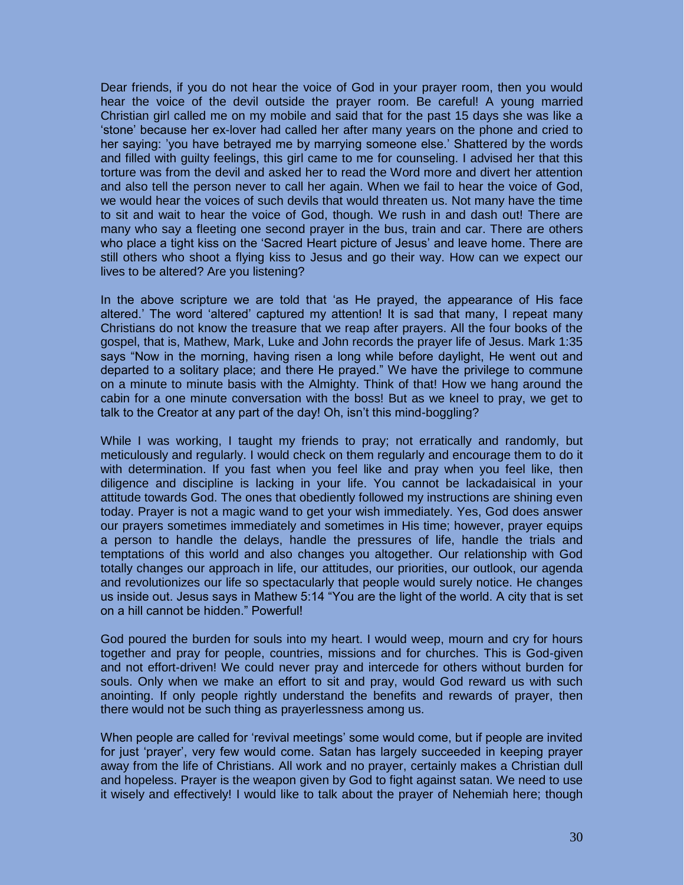Dear friends, if you do not hear the voice of God in your prayer room, then you would hear the voice of the devil outside the prayer room. Be careful! A young married Christian girl called me on my mobile and said that for the past 15 days she was like a 'stone' because her ex-lover had called her after many years on the phone and cried to her saying: 'you have betrayed me by marrying someone else.' Shattered by the words and filled with guilty feelings, this girl came to me for counseling. I advised her that this torture was from the devil and asked her to read the Word more and divert her attention and also tell the person never to call her again. When we fail to hear the voice of God, we would hear the voices of such devils that would threaten us. Not many have the time to sit and wait to hear the voice of God, though. We rush in and dash out! There are many who say a fleeting one second prayer in the bus, train and car. There are others who place a tight kiss on the 'Sacred Heart picture of Jesus' and leave home. There are still others who shoot a flying kiss to Jesus and go their way. How can we expect our lives to be altered? Are you listening?

In the above scripture we are told that 'as He prayed, the appearance of His face altered.' The word 'altered' captured my attention! It is sad that many, I repeat many Christians do not know the treasure that we reap after prayers. All the four books of the gospel, that is, Mathew, Mark, Luke and John records the prayer life of Jesus. Mark 1:35 says "Now in the morning, having risen a long while before daylight, He went out and departed to a solitary place; and there He prayed." We have the privilege to commune on a minute to minute basis with the Almighty. Think of that! How we hang around the cabin for a one minute conversation with the boss! But as we kneel to pray, we get to talk to the Creator at any part of the day! Oh, isn't this mind-boggling?

While I was working, I taught my friends to pray; not erratically and randomly, but meticulously and regularly. I would check on them regularly and encourage them to do it with determination. If you fast when you feel like and pray when you feel like, then diligence and discipline is lacking in your life. You cannot be lackadaisical in your attitude towards God. The ones that obediently followed my instructions are shining even today. Prayer is not a magic wand to get your wish immediately. Yes, God does answer our prayers sometimes immediately and sometimes in His time; however, prayer equips a person to handle the delays, handle the pressures of life, handle the trials and temptations of this world and also changes you altogether. Our relationship with God totally changes our approach in life, our attitudes, our priorities, our outlook, our agenda and revolutionizes our life so spectacularly that people would surely notice. He changes us inside out. Jesus says in Mathew 5:14 "You are the light of the world. A city that is set on a hill cannot be hidden." Powerful!

God poured the burden for souls into my heart. I would weep, mourn and cry for hours together and pray for people, countries, missions and for churches. This is God-given and not effort-driven! We could never pray and intercede for others without burden for souls. Only when we make an effort to sit and pray, would God reward us with such anointing. If only people rightly understand the benefits and rewards of prayer, then there would not be such thing as prayerlessness among us.

When people are called for 'revival meetings' some would come, but if people are invited for just 'prayer', very few would come. Satan has largely succeeded in keeping prayer away from the life of Christians. All work and no prayer, certainly makes a Christian dull and hopeless. Prayer is the weapon given by God to fight against satan. We need to use it wisely and effectively! I would like to talk about the prayer of Nehemiah here; though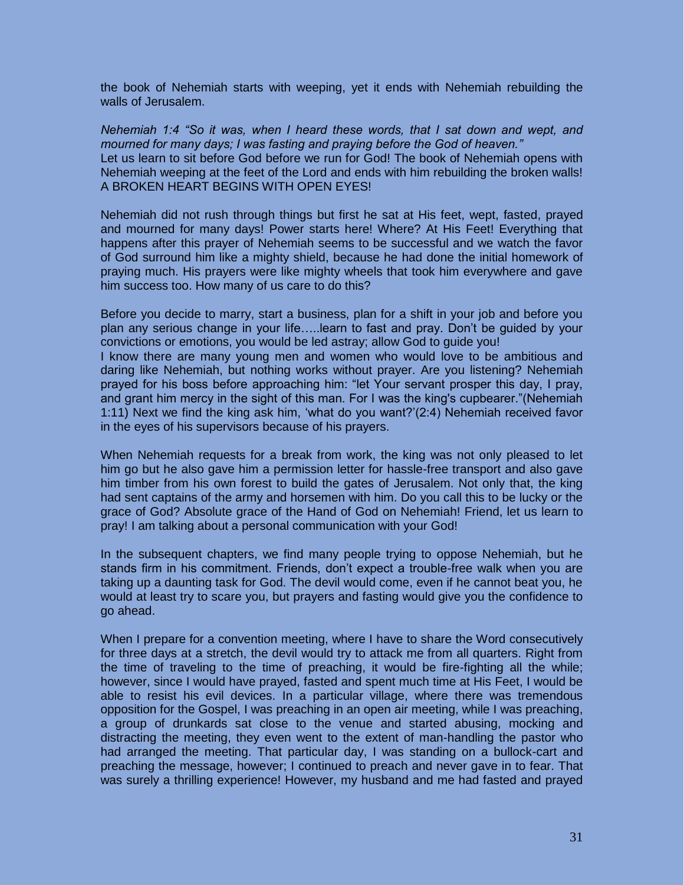the book of Nehemiah starts with weeping, yet it ends with Nehemiah rebuilding the walls of Jerusalem.

*Nehemiah 1:4 "So it was, when I heard these words, that I sat down and wept, and mourned for many days; I was fasting and praying before the God of heaven."*  Let us learn to sit before God before we run for God! The book of Nehemiah opens with Nehemiah weeping at the feet of the Lord and ends with him rebuilding the broken walls! A BROKEN HEART BEGINS WITH OPEN EYES!

Nehemiah did not rush through things but first he sat at His feet, wept, fasted, prayed and mourned for many days! Power starts here! Where? At His Feet! Everything that happens after this prayer of Nehemiah seems to be successful and we watch the favor of God surround him like a mighty shield, because he had done the initial homework of praying much. His prayers were like mighty wheels that took him everywhere and gave him success too. How many of us care to do this?

Before you decide to marry, start a business, plan for a shift in your job and before you plan any serious change in your life…..learn to fast and pray. Don't be guided by your convictions or emotions, you would be led astray; allow God to guide you!

I know there are many young men and women who would love to be ambitious and daring like Nehemiah, but nothing works without prayer. Are you listening? Nehemiah prayed for his boss before approaching him: "let Your servant prosper this day, I pray, and grant him mercy in the sight of this man. For I was the king's cupbearer."(Nehemiah 1:11) Next we find the king ask him, 'what do you want?'(2:4) Nehemiah received favor in the eyes of his supervisors because of his prayers.

When Nehemiah requests for a break from work, the king was not only pleased to let him go but he also gave him a permission letter for hassle-free transport and also gave him timber from his own forest to build the gates of Jerusalem. Not only that, the king had sent captains of the army and horsemen with him. Do you call this to be lucky or the grace of God? Absolute grace of the Hand of God on Nehemiah! Friend, let us learn to pray! I am talking about a personal communication with your God!

In the subsequent chapters, we find many people trying to oppose Nehemiah, but he stands firm in his commitment. Friends, don't expect a trouble-free walk when you are taking up a daunting task for God. The devil would come, even if he cannot beat you, he would at least try to scare you, but prayers and fasting would give you the confidence to go ahead.

When I prepare for a convention meeting, where I have to share the Word consecutively for three days at a stretch, the devil would try to attack me from all quarters. Right from the time of traveling to the time of preaching, it would be fire-fighting all the while; however, since I would have prayed, fasted and spent much time at His Feet, I would be able to resist his evil devices. In a particular village, where there was tremendous opposition for the Gospel, I was preaching in an open air meeting, while I was preaching, a group of drunkards sat close to the venue and started abusing, mocking and distracting the meeting, they even went to the extent of man-handling the pastor who had arranged the meeting. That particular day, I was standing on a bullock-cart and preaching the message, however; I continued to preach and never gave in to fear. That was surely a thrilling experience! However, my husband and me had fasted and prayed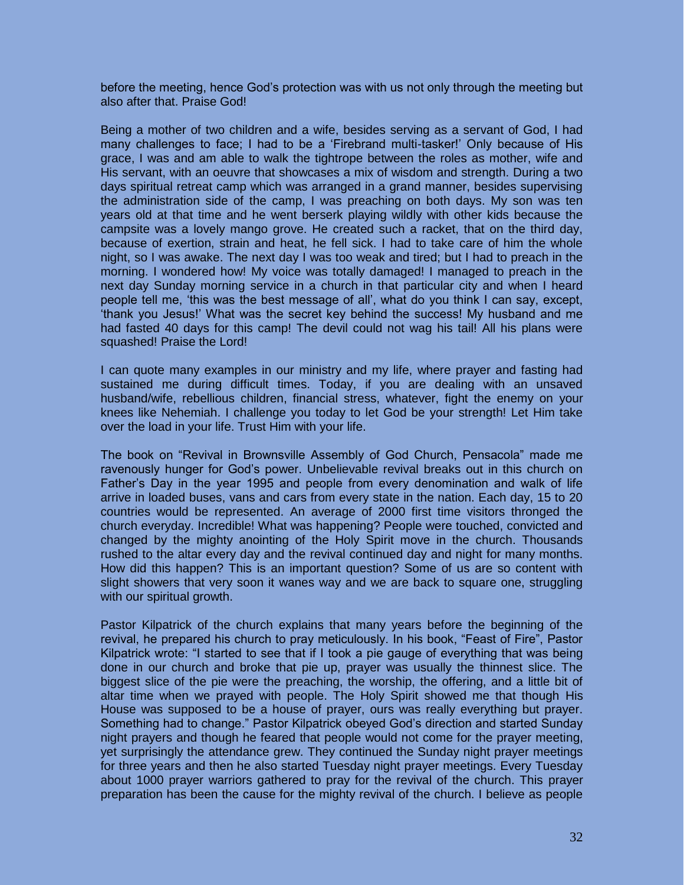before the meeting, hence God's protection was with us not only through the meeting but also after that. Praise God!

Being a mother of two children and a wife, besides serving as a servant of God, I had many challenges to face; I had to be a 'Firebrand multi-tasker!' Only because of His grace, I was and am able to walk the tightrope between the roles as mother, wife and His servant, with an oeuvre that showcases a mix of wisdom and strength. During a two days spiritual retreat camp which was arranged in a grand manner, besides supervising the administration side of the camp, I was preaching on both days. My son was ten years old at that time and he went berserk playing wildly with other kids because the campsite was a lovely mango grove. He created such a racket, that on the third day, because of exertion, strain and heat, he fell sick. I had to take care of him the whole night, so I was awake. The next day I was too weak and tired; but I had to preach in the morning. I wondered how! My voice was totally damaged! I managed to preach in the next day Sunday morning service in a church in that particular city and when I heard people tell me, 'this was the best message of all', what do you think I can say, except, 'thank you Jesus!' What was the secret key behind the success! My husband and me had fasted 40 days for this camp! The devil could not wag his tail! All his plans were squashed! Praise the Lord!

I can quote many examples in our ministry and my life, where prayer and fasting had sustained me during difficult times. Today, if you are dealing with an unsaved husband/wife, rebellious children, financial stress, whatever, fight the enemy on your knees like Nehemiah. I challenge you today to let God be your strength! Let Him take over the load in your life. Trust Him with your life.

The book on "Revival in Brownsville Assembly of God Church, Pensacola" made me ravenously hunger for God's power. Unbelievable revival breaks out in this church on Father's Day in the year 1995 and people from every denomination and walk of life arrive in loaded buses, vans and cars from every state in the nation. Each day, 15 to 20 countries would be represented. An average of 2000 first time visitors thronged the church everyday. Incredible! What was happening? People were touched, convicted and changed by the mighty anointing of the Holy Spirit move in the church. Thousands rushed to the altar every day and the revival continued day and night for many months. How did this happen? This is an important question? Some of us are so content with slight showers that very soon it wanes way and we are back to square one, struggling with our spiritual growth.

Pastor Kilpatrick of the church explains that many years before the beginning of the revival, he prepared his church to pray meticulously. In his book, "Feast of Fire", Pastor Kilpatrick wrote: "I started to see that if I took a pie gauge of everything that was being done in our church and broke that pie up, prayer was usually the thinnest slice. The biggest slice of the pie were the preaching, the worship, the offering, and a little bit of altar time when we prayed with people. The Holy Spirit showed me that though His House was supposed to be a house of prayer, ours was really everything but prayer. Something had to change." Pastor Kilpatrick obeyed God's direction and started Sunday night prayers and though he feared that people would not come for the prayer meeting, yet surprisingly the attendance grew. They continued the Sunday night prayer meetings for three years and then he also started Tuesday night prayer meetings. Every Tuesday about 1000 prayer warriors gathered to pray for the revival of the church. This prayer preparation has been the cause for the mighty revival of the church. I believe as people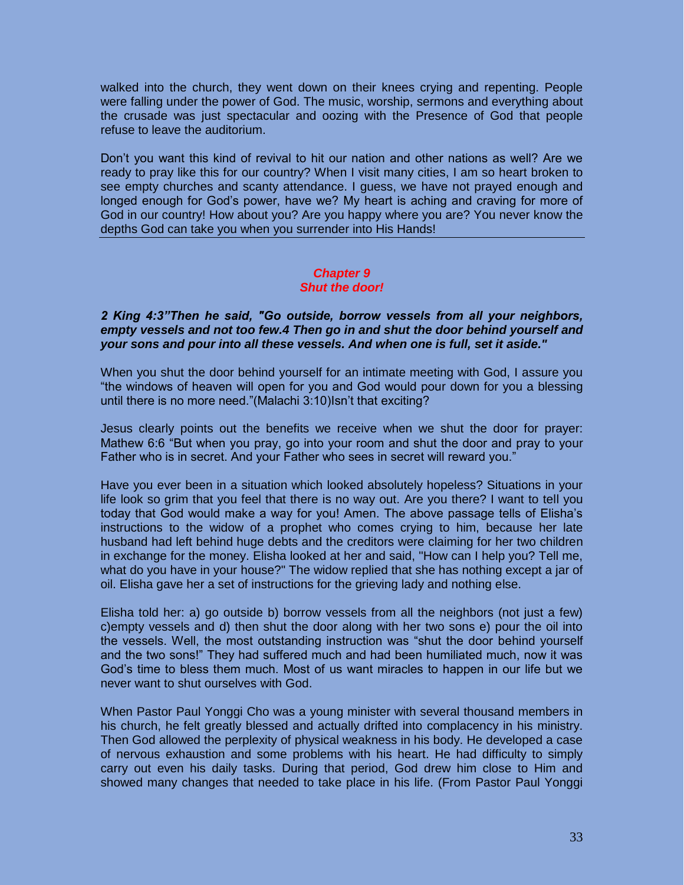walked into the church, they went down on their knees crying and repenting. People were falling under the power of God. The music, worship, sermons and everything about the crusade was just spectacular and oozing with the Presence of God that people refuse to leave the auditorium.

Don't you want this kind of revival to hit our nation and other nations as well? Are we ready to pray like this for our country? When I visit many cities, I am so heart broken to see empty churches and scanty attendance. I guess, we have not prayed enough and longed enough for God's power, have we? My heart is aching and craving for more of God in our country! How about you? Are you happy where you are? You never know the depths God can take you when you surrender into His Hands!

#### *Chapter 9 Shut the door!*

#### *2 King 4:3"Then he said, "Go outside, borrow vessels from all your neighbors, empty vessels and not too few.4 Then go in and shut the door behind yourself and your sons and pour into all these vessels. And when one is full, set it aside."*

When you shut the door behind yourself for an intimate meeting with God, I assure you "the windows of heaven will open for you and God would pour down for you a blessing until there is no more need."(Malachi 3:10)Isn't that exciting?

Jesus clearly points out the benefits we receive when we shut the door for prayer: Mathew 6:6 "But when you pray, go into your room and shut the door and pray to your Father who is in secret. And your Father who sees in secret will reward you."

Have you ever been in a situation which looked absolutely hopeless? Situations in your life look so grim that you feel that there is no way out. Are you there? I want to tell you today that God would make a way for you! Amen. The above passage tells of Elisha's instructions to the widow of a prophet who comes crying to him, because her late husband had left behind huge debts and the creditors were claiming for her two children in exchange for the money. Elisha looked at her and said, "How can I help you? Tell me, what do you have in your house?" The widow replied that she has nothing except a jar of oil. Elisha gave her a set of instructions for the grieving lady and nothing else.

Elisha told her: a) go outside b) borrow vessels from all the neighbors (not just a few) c)empty vessels and d) then shut the door along with her two sons e) pour the oil into the vessels. Well, the most outstanding instruction was "shut the door behind yourself and the two sons!" They had suffered much and had been humiliated much, now it was God's time to bless them much. Most of us want miracles to happen in our life but we never want to shut ourselves with God.

When Pastor Paul Yonggi Cho was a young minister with several thousand members in his church, he felt greatly blessed and actually drifted into complacency in his ministry. Then God allowed the perplexity of physical weakness in his body. He developed a case of nervous exhaustion and some problems with his heart. He had difficulty to simply carry out even his daily tasks. During that period, God drew him close to Him and showed many changes that needed to take place in his life. (From Pastor Paul Yonggi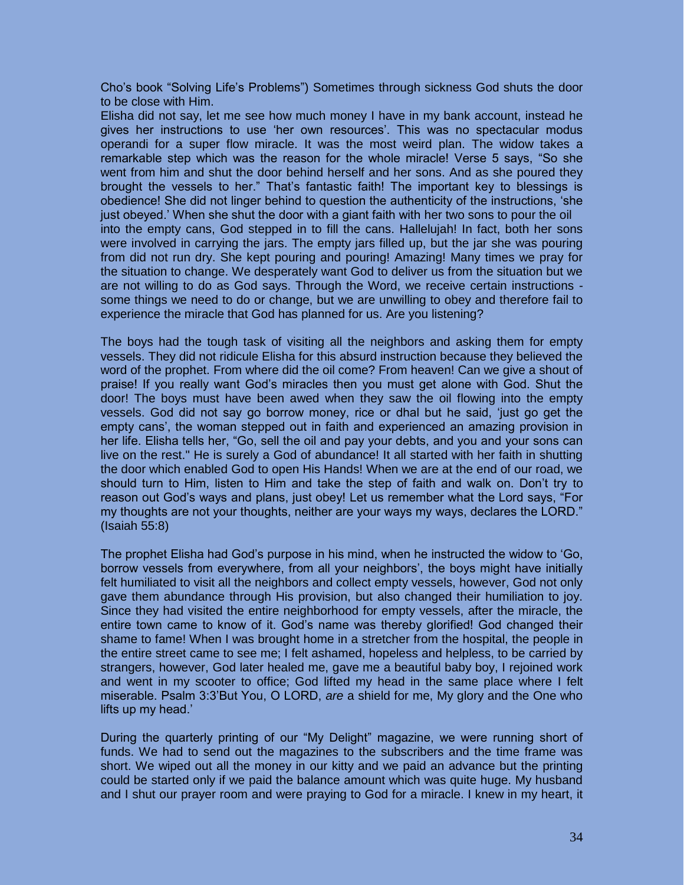Cho's book "Solving Life's Problems") Sometimes through sickness God shuts the door to be close with Him.

Elisha did not say, let me see how much money I have in my bank account, instead he gives her instructions to use 'her own resources'. This was no spectacular modus operandi for a super flow miracle. It was the most weird plan. The widow takes a remarkable step which was the reason for the whole miracle! Verse 5 says, "So she went from him and shut the door behind herself and her sons. And as she poured they brought the vessels to her." That's fantastic faith! The important key to blessings is obedience! She did not linger behind to question the authenticity of the instructions, 'she just obeyed.' When she shut the door with a giant faith with her two sons to pour the oil into the empty cans, God stepped in to fill the cans. Hallelujah! In fact, both her sons were involved in carrying the jars. The empty jars filled up, but the jar she was pouring from did not run dry. She kept pouring and pouring! Amazing! Many times we pray for the situation to change. We desperately want God to deliver us from the situation but we are not willing to do as God says. Through the Word, we receive certain instructions some things we need to do or change, but we are unwilling to obey and therefore fail to experience the miracle that God has planned for us. Are you listening?

The boys had the tough task of visiting all the neighbors and asking them for empty vessels. They did not ridicule Elisha for this absurd instruction because they believed the word of the prophet. From where did the oil come? From heaven! Can we give a shout of praise! If you really want God's miracles then you must get alone with God. Shut the door! The boys must have been awed when they saw the oil flowing into the empty vessels. God did not say go borrow money, rice or dhal but he said, 'just go get the empty cans', the woman stepped out in faith and experienced an amazing provision in her life. Elisha tells her, "Go, sell the oil and pay your debts, and you and your sons can live on the rest." He is surely a God of abundance! It all started with her faith in shutting the door which enabled God to open His Hands! When we are at the end of our road, we should turn to Him, listen to Him and take the step of faith and walk on. Don't try to reason out God's ways and plans, just obey! Let us remember what the Lord says, "For my thoughts are not your thoughts, neither are your ways my ways, declares the LORD." (Isaiah 55:8)

The prophet Elisha had God's purpose in his mind, when he instructed the widow to 'Go, borrow vessels from everywhere, from all your neighbors', the boys might have initially felt humiliated to visit all the neighbors and collect empty vessels, however, God not only gave them abundance through His provision, but also changed their humiliation to joy. Since they had visited the entire neighborhood for empty vessels, after the miracle, the entire town came to know of it. God's name was thereby glorified! God changed their shame to fame! When I was brought home in a stretcher from the hospital, the people in the entire street came to see me; I felt ashamed, hopeless and helpless, to be carried by strangers, however, God later healed me, gave me a beautiful baby boy, I rejoined work and went in my scooter to office; God lifted my head in the same place where I felt miserable. Psalm 3:3'But You, O LORD, *are* a shield for me, My glory and the One who lifts up my head.'

During the quarterly printing of our "My Delight" magazine, we were running short of funds. We had to send out the magazines to the subscribers and the time frame was short. We wiped out all the money in our kitty and we paid an advance but the printing could be started only if we paid the balance amount which was quite huge. My husband and I shut our prayer room and were praying to God for a miracle. I knew in my heart, it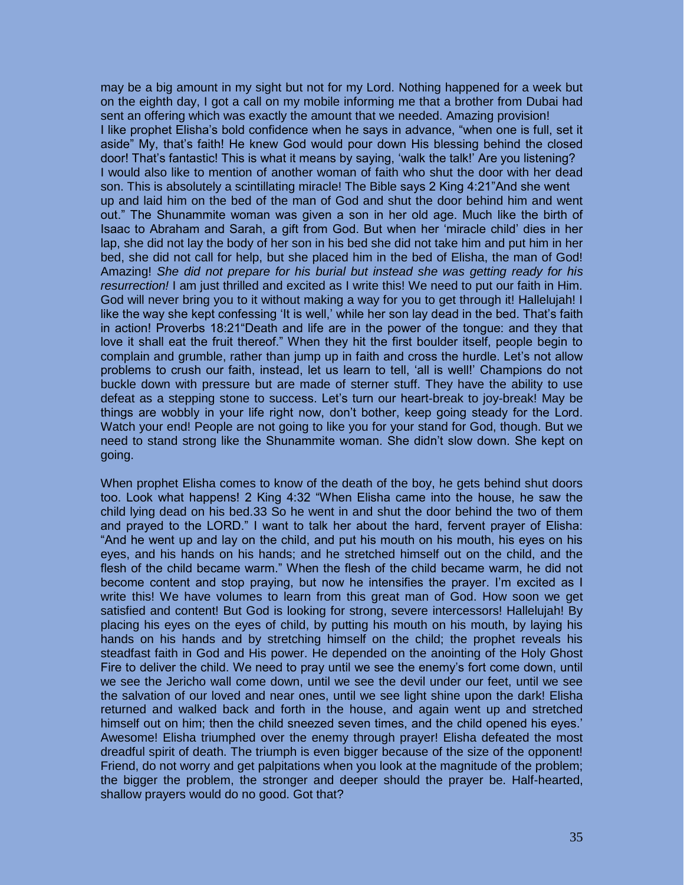may be a big amount in my sight but not for my Lord. Nothing happened for a week but on the eighth day, I got a call on my mobile informing me that a brother from Dubai had sent an offering which was exactly the amount that we needed. Amazing provision! I like prophet Elisha's bold confidence when he says in advance, "when one is full, set it aside" My, that's faith! He knew God would pour down His blessing behind the closed door! That's fantastic! This is what it means by saying, 'walk the talk!' Are you listening? I would also like to mention of another woman of faith who shut the door with her dead son. This is absolutely a scintillating miracle! The Bible says 2 King 4:21"And she went up and laid him on the bed of the man of God and shut the door behind him and went out." The Shunammite woman was given a son in her old age. Much like the birth of Isaac to Abraham and Sarah, a gift from God. But when her 'miracle child' dies in her lap, she did not lay the body of her son in his bed she did not take him and put him in her bed, she did not call for help, but she placed him in the bed of Elisha, the man of God! Amazing! *She did not prepare for his burial but instead she was getting ready for his resurrection!* I am just thrilled and excited as I write this! We need to put our faith in Him. God will never bring you to it without making a way for you to get through it! Hallelujah! I like the way she kept confessing 'It is well,' while her son lay dead in the bed. That's faith in action! Proverbs 18:21"Death and life are in the power of the tongue: and they that love it shall eat the fruit thereof." When they hit the first boulder itself, people begin to complain and grumble, rather than jump up in faith and cross the hurdle. Let's not allow problems to crush our faith, instead, let us learn to tell, 'all is well!' Champions do not buckle down with pressure but are made of sterner stuff. They have the ability to use defeat as a stepping stone to success. Let's turn our heart-break to joy-break! May be things are wobbly in your life right now, don't bother, keep going steady for the Lord. Watch your end! People are not going to like you for your stand for God, though. But we need to stand strong like the Shunammite woman. She didn't slow down. She kept on going.

When prophet Elisha comes to know of the death of the boy, he gets behind shut doors too. Look what happens! 2 King 4:32 "When Elisha came into the house, he saw the child lying dead on his bed.33 So he went in and shut the door behind the two of them and prayed to the LORD." I want to talk her about the hard, fervent prayer of Elisha: "And he went up and lay on the child, and put his mouth on his mouth, his eyes on his eyes, and his hands on his hands; and he stretched himself out on the child, and the flesh of the child became warm." When the flesh of the child became warm, he did not become content and stop praying, but now he intensifies the prayer. I'm excited as I write this! We have volumes to learn from this great man of God. How soon we get satisfied and content! But God is looking for strong, severe intercessors! Hallelujah! By placing his eyes on the eyes of child, by putting his mouth on his mouth, by laying his hands on his hands and by stretching himself on the child; the prophet reveals his steadfast faith in God and His power. He depended on the anointing of the Holy Ghost Fire to deliver the child. We need to pray until we see the enemy's fort come down, until we see the Jericho wall come down, until we see the devil under our feet, until we see the salvation of our loved and near ones, until we see light shine upon the dark! Elisha returned and walked back and forth in the house, and again went up and stretched himself out on him; then the child sneezed seven times, and the child opened his eyes.' Awesome! Elisha triumphed over the enemy through prayer! Elisha defeated the most dreadful spirit of death. The triumph is even bigger because of the size of the opponent! Friend, do not worry and get palpitations when you look at the magnitude of the problem; the bigger the problem, the stronger and deeper should the prayer be. Half-hearted, shallow prayers would do no good. Got that?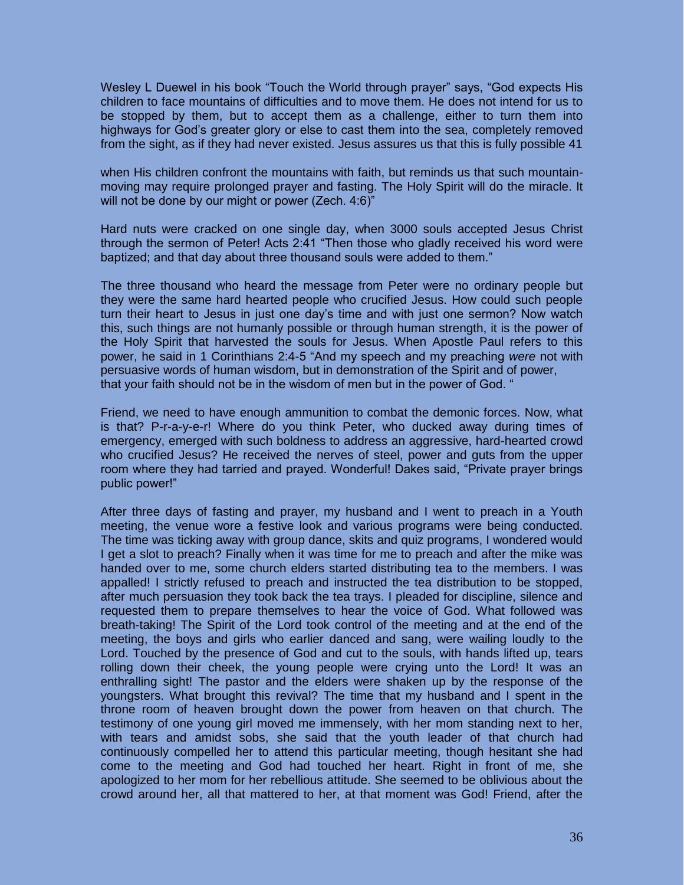Wesley L Duewel in his book "Touch the World through prayer" says, "God expects His children to face mountains of difficulties and to move them. He does not intend for us to be stopped by them, but to accept them as a challenge, either to turn them into highways for God's greater glory or else to cast them into the sea, completely removed from the sight, as if they had never existed. Jesus assures us that this is fully possible 41

when His children confront the mountains with faith, but reminds us that such mountainmoving may require prolonged prayer and fasting. The Holy Spirit will do the miracle. It will not be done by our might or power (Zech. 4:6)"

Hard nuts were cracked on one single day, when 3000 souls accepted Jesus Christ through the sermon of Peter! Acts 2:41 "Then those who gladly received his word were baptized; and that day about three thousand souls were added to them."

The three thousand who heard the message from Peter were no ordinary people but they were the same hard hearted people who crucified Jesus. How could such people turn their heart to Jesus in just one day's time and with just one sermon? Now watch this, such things are not humanly possible or through human strength, it is the power of the Holy Spirit that harvested the souls for Jesus. When Apostle Paul refers to this power, he said in 1 Corinthians 2:4-5 "And my speech and my preaching *were* not with persuasive words of human wisdom, but in demonstration of the Spirit and of power, that your faith should not be in the wisdom of men but in the power of God. "

Friend, we need to have enough ammunition to combat the demonic forces. Now, what is that? P-r-a-y-e-r! Where do you think Peter, who ducked away during times of emergency, emerged with such boldness to address an aggressive, hard-hearted crowd who crucified Jesus? He received the nerves of steel, power and guts from the upper room where they had tarried and prayed. Wonderful! Dakes said, "Private prayer brings public power!"

After three days of fasting and prayer, my husband and I went to preach in a Youth meeting, the venue wore a festive look and various programs were being conducted. The time was ticking away with group dance, skits and quiz programs, I wondered would I get a slot to preach? Finally when it was time for me to preach and after the mike was handed over to me, some church elders started distributing tea to the members. I was appalled! I strictly refused to preach and instructed the tea distribution to be stopped, after much persuasion they took back the tea trays. I pleaded for discipline, silence and requested them to prepare themselves to hear the voice of God. What followed was breath-taking! The Spirit of the Lord took control of the meeting and at the end of the meeting, the boys and girls who earlier danced and sang, were wailing loudly to the Lord. Touched by the presence of God and cut to the souls, with hands lifted up, tears rolling down their cheek, the young people were crying unto the Lord! It was an enthralling sight! The pastor and the elders were shaken up by the response of the youngsters. What brought this revival? The time that my husband and I spent in the throne room of heaven brought down the power from heaven on that church. The testimony of one young girl moved me immensely, with her mom standing next to her, with tears and amidst sobs, she said that the youth leader of that church had continuously compelled her to attend this particular meeting, though hesitant she had come to the meeting and God had touched her heart. Right in front of me, she apologized to her mom for her rebellious attitude. She seemed to be oblivious about the crowd around her, all that mattered to her, at that moment was God! Friend, after the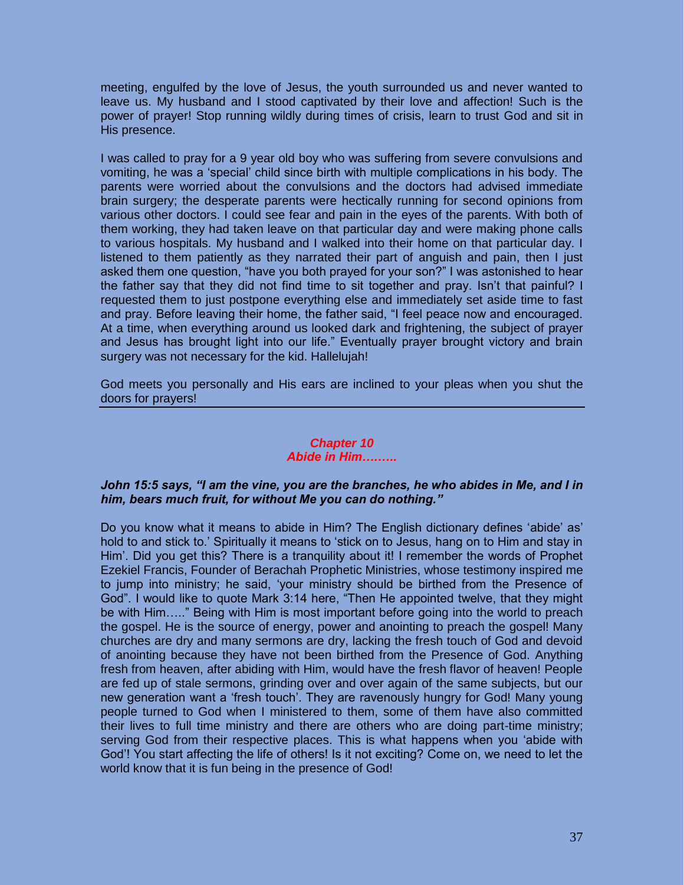meeting, engulfed by the love of Jesus, the youth surrounded us and never wanted to leave us. My husband and I stood captivated by their love and affection! Such is the power of prayer! Stop running wildly during times of crisis, learn to trust God and sit in His presence.

I was called to pray for a 9 year old boy who was suffering from severe convulsions and vomiting, he was a 'special' child since birth with multiple complications in his body. The parents were worried about the convulsions and the doctors had advised immediate brain surgery; the desperate parents were hectically running for second opinions from various other doctors. I could see fear and pain in the eyes of the parents. With both of them working, they had taken leave on that particular day and were making phone calls to various hospitals. My husband and I walked into their home on that particular day. I listened to them patiently as they narrated their part of anguish and pain, then I just asked them one question, "have you both prayed for your son?" I was astonished to hear the father say that they did not find time to sit together and pray. Isn't that painful? I requested them to just postpone everything else and immediately set aside time to fast and pray. Before leaving their home, the father said, "I feel peace now and encouraged. At a time, when everything around us looked dark and frightening, the subject of prayer and Jesus has brought light into our life." Eventually prayer brought victory and brain surgery was not necessary for the kid. Hallelujah!

God meets you personally and His ears are inclined to your pleas when you shut the doors for prayers!

# *Chapter 10 Abide in Him….…..*

# *John 15:5 says, "I am the vine, you are the branches, he who abides in Me, and I in him, bears much fruit, for without Me you can do nothing."*

Do you know what it means to abide in Him? The English dictionary defines 'abide' as' hold to and stick to.' Spiritually it means to 'stick on to Jesus, hang on to Him and stay in Him'. Did you get this? There is a tranquility about it! I remember the words of Prophet Ezekiel Francis, Founder of Berachah Prophetic Ministries, whose testimony inspired me to jump into ministry; he said, 'your ministry should be birthed from the Presence of God". I would like to quote Mark 3:14 here, "Then He appointed twelve, that they might be with Him….." Being with Him is most important before going into the world to preach the gospel. He is the source of energy, power and anointing to preach the gospel! Many churches are dry and many sermons are dry, lacking the fresh touch of God and devoid of anointing because they have not been birthed from the Presence of God. Anything fresh from heaven, after abiding with Him, would have the fresh flavor of heaven! People are fed up of stale sermons, grinding over and over again of the same subjects, but our new generation want a 'fresh touch'. They are ravenously hungry for God! Many young people turned to God when I ministered to them, some of them have also committed their lives to full time ministry and there are others who are doing part-time ministry; serving God from their respective places. This is what happens when you 'abide with God'! You start affecting the life of others! Is it not exciting? Come on, we need to let the world know that it is fun being in the presence of God!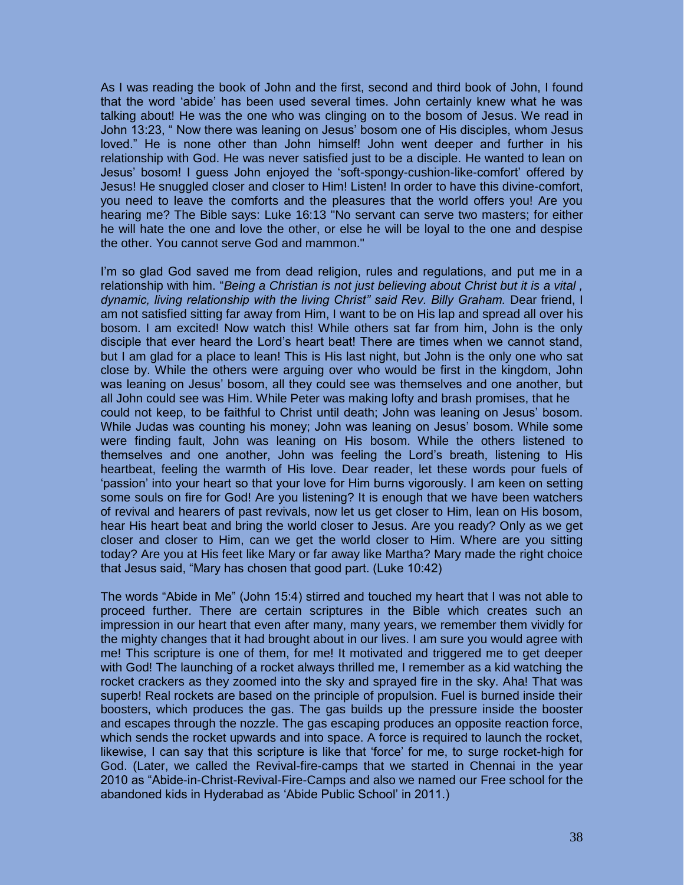As I was reading the book of John and the first, second and third book of John, I found that the word 'abide' has been used several times. John certainly knew what he was talking about! He was the one who was clinging on to the bosom of Jesus. We read in John 13:23, " Now there was leaning on Jesus' bosom one of His disciples, whom Jesus loved." He is none other than John himself! John went deeper and further in his relationship with God. He was never satisfied just to be a disciple. He wanted to lean on Jesus' bosom! I guess John enjoyed the 'soft-spongy-cushion-like-comfort' offered by Jesus! He snuggled closer and closer to Him! Listen! In order to have this divine-comfort, you need to leave the comforts and the pleasures that the world offers you! Are you hearing me? The Bible says: Luke 16:13 "No servant can serve two masters; for either he will hate the one and love the other, or else he will be loyal to the one and despise the other. You cannot serve God and mammon."

I'm so glad God saved me from dead religion, rules and regulations, and put me in a relationship with him. "*Being a Christian is not just believing about Christ but it is a vital ,*  dynamic, living relationship with the living Christ" said Rev. Billy Graham. Dear friend, I am not satisfied sitting far away from Him, I want to be on His lap and spread all over his bosom. I am excited! Now watch this! While others sat far from him, John is the only disciple that ever heard the Lord's heart beat! There are times when we cannot stand, but I am glad for a place to lean! This is His last night, but John is the only one who sat close by. While the others were arguing over who would be first in the kingdom, John was leaning on Jesus' bosom, all they could see was themselves and one another, but all John could see was Him. While Peter was making lofty and brash promises, that he could not keep, to be faithful to Christ until death; John was leaning on Jesus' bosom. While Judas was counting his money; John was leaning on Jesus' bosom. While some were finding fault, John was leaning on His bosom. While the others listened to themselves and one another, John was feeling the Lord's breath, listening to His heartbeat, feeling the warmth of His love. Dear reader, let these words pour fuels of 'passion' into your heart so that your love for Him burns vigorously. I am keen on setting some souls on fire for God! Are you listening? It is enough that we have been watchers of revival and hearers of past revivals, now let us get closer to Him, lean on His bosom, hear His heart beat and bring the world closer to Jesus. Are you ready? Only as we get closer and closer to Him, can we get the world closer to Him. Where are you sitting today? Are you at His feet like Mary or far away like Martha? Mary made the right choice that Jesus said, "Mary has chosen that good part. (Luke 10:42)

The words "Abide in Me" (John 15:4) stirred and touched my heart that I was not able to proceed further. There are certain scriptures in the Bible which creates such an impression in our heart that even after many, many years, we remember them vividly for the mighty changes that it had brought about in our lives. I am sure you would agree with me! This scripture is one of them, for me! It motivated and triggered me to get deeper with God! The launching of a rocket always thrilled me, I remember as a kid watching the rocket crackers as they zoomed into the sky and sprayed fire in the sky. Aha! That was superb! Real rockets are based on the principle of propulsion. Fuel is burned inside their boosters, which produces the gas. The gas builds up the pressure inside the booster and escapes through the nozzle. The gas escaping produces an opposite reaction force, which sends the rocket upwards and into space. A force is required to launch the rocket, likewise, I can say that this scripture is like that 'force' for me, to surge rocket-high for God. (Later, we called the Revival-fire-camps that we started in Chennai in the year 2010 as "Abide-in-Christ-Revival-Fire-Camps and also we named our Free school for the abandoned kids in Hyderabad as 'Abide Public School' in 2011.)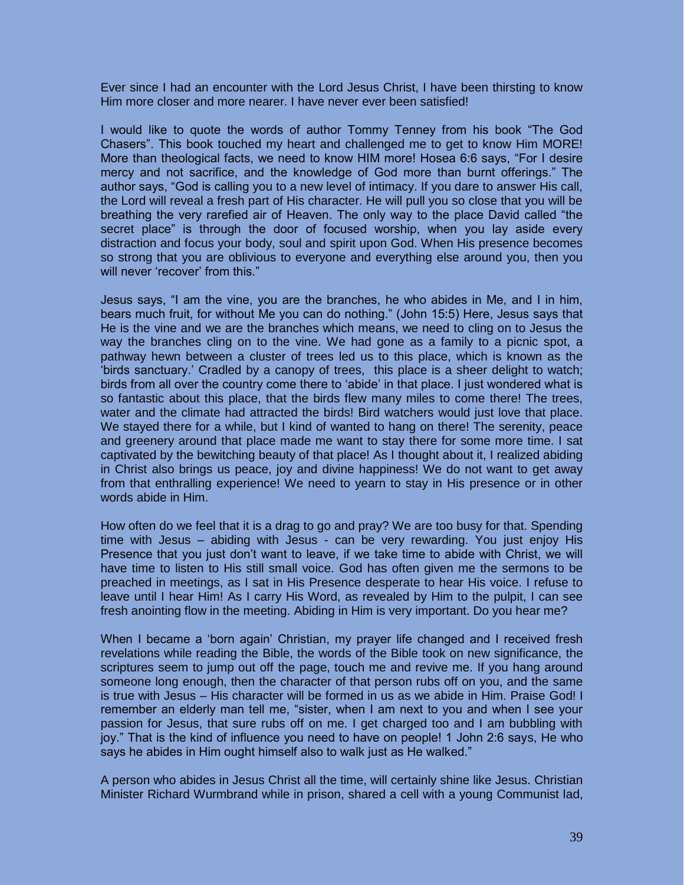Ever since I had an encounter with the Lord Jesus Christ, I have been thirsting to know Him more closer and more nearer. I have never ever been satisfied!

I would like to quote the words of author Tommy Tenney from his book "The God Chasers". This book touched my heart and challenged me to get to know Him MORE! More than theological facts, we need to know HIM more! Hosea 6:6 says, "For I desire mercy and not sacrifice, and the knowledge of God more than burnt offerings." The author says, "God is calling you to a new level of intimacy. If you dare to answer His call, the Lord will reveal a fresh part of His character. He will pull you so close that you will be breathing the very rarefied air of Heaven. The only way to the place David called "the secret place" is through the door of focused worship, when you lay aside every distraction and focus your body, soul and spirit upon God. When His presence becomes so strong that you are oblivious to everyone and everything else around you, then you will never 'recover' from this."

Jesus says, "I am the vine, you are the branches, he who abides in Me, and I in him, bears much fruit, for without Me you can do nothing." (John 15:5) Here, Jesus says that He is the vine and we are the branches which means, we need to cling on to Jesus the way the branches cling on to the vine. We had gone as a family to a picnic spot, a pathway hewn between a cluster of trees led us to this place, which is known as the 'birds sanctuary.' Cradled by a canopy of trees, this place is a sheer delight to watch; birds from all over the country come there to 'abide' in that place. I just wondered what is so fantastic about this place, that the birds flew many miles to come there! The trees, water and the climate had attracted the birds! Bird watchers would just love that place. We stayed there for a while, but I kind of wanted to hang on there! The serenity, peace and greenery around that place made me want to stay there for some more time. I sat captivated by the bewitching beauty of that place! As I thought about it, I realized abiding in Christ also brings us peace, joy and divine happiness! We do not want to get away from that enthralling experience! We need to yearn to stay in His presence or in other words abide in Him.

How often do we feel that it is a drag to go and pray? We are too busy for that. Spending time with Jesus – abiding with Jesus - can be very rewarding. You just enjoy His Presence that you just don't want to leave, if we take time to abide with Christ, we will have time to listen to His still small voice. God has often given me the sermons to be preached in meetings, as I sat in His Presence desperate to hear His voice. I refuse to leave until I hear Him! As I carry His Word, as revealed by Him to the pulpit, I can see fresh anointing flow in the meeting. Abiding in Him is very important. Do you hear me?

When I became a 'born again' Christian, my prayer life changed and I received fresh revelations while reading the Bible, the words of the Bible took on new significance, the scriptures seem to jump out off the page, touch me and revive me. If you hang around someone long enough, then the character of that person rubs off on you, and the same is true with Jesus – His character will be formed in us as we abide in Him. Praise God! I remember an elderly man tell me, "sister, when I am next to you and when I see your passion for Jesus, that sure rubs off on me. I get charged too and I am bubbling with joy." That is the kind of influence you need to have on people! 1 John 2:6 says, He who says he abides in Him ought himself also to walk just as He walked."

A person who abides in Jesus Christ all the time, will certainly shine like Jesus. Christian Minister Richard Wurmbrand while in prison, shared a cell with a young Communist lad,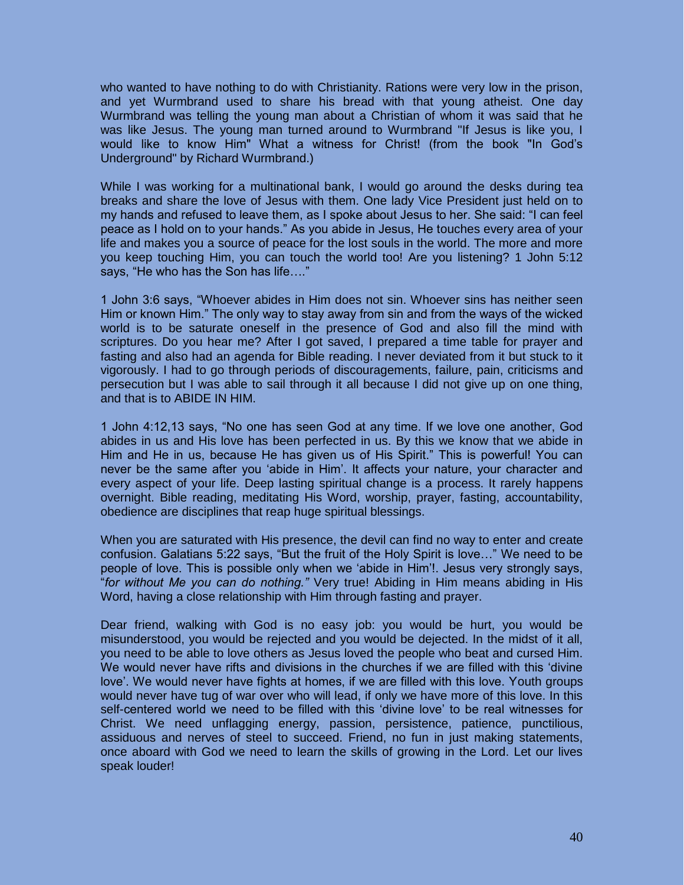who wanted to have nothing to do with Christianity. Rations were very low in the prison, and yet Wurmbrand used to share his bread with that young atheist. One day Wurmbrand was telling the young man about a Christian of whom it was said that he was like Jesus. The young man turned around to Wurmbrand "If Jesus is like you, I would like to know Him" What a witness for Christ! (from the book "In God's Underground" by Richard Wurmbrand.)

While I was working for a multinational bank, I would go around the desks during tea breaks and share the love of Jesus with them. One lady Vice President just held on to my hands and refused to leave them, as I spoke about Jesus to her. She said: "I can feel peace as I hold on to your hands." As you abide in Jesus, He touches every area of your life and makes you a source of peace for the lost souls in the world. The more and more you keep touching Him, you can touch the world too! Are you listening? 1 John 5:12 says, "He who has the Son has life…."

1 John 3:6 says, "Whoever abides in Him does not sin. Whoever sins has neither seen Him or known Him." The only way to stay away from sin and from the ways of the wicked world is to be saturate oneself in the presence of God and also fill the mind with scriptures. Do you hear me? After I got saved, I prepared a time table for prayer and fasting and also had an agenda for Bible reading. I never deviated from it but stuck to it vigorously. I had to go through periods of discouragements, failure, pain, criticisms and persecution but I was able to sail through it all because I did not give up on one thing, and that is to ABIDE IN HIM.

1 John 4:12,13 says, "No one has seen God at any time. If we love one another, God abides in us and His love has been perfected in us. By this we know that we abide in Him and He in us, because He has given us of His Spirit." This is powerful! You can never be the same after you 'abide in Him'. It affects your nature, your character and every aspect of your life. Deep lasting spiritual change is a process. It rarely happens overnight. Bible reading, meditating His Word, worship, prayer, fasting, accountability, obedience are disciplines that reap huge spiritual blessings.

When you are saturated with His presence, the devil can find no way to enter and create confusion. Galatians 5:22 says, "But the fruit of the Holy Spirit is love…" We need to be people of love. This is possible only when we 'abide in Him'!. Jesus very strongly says, "*for without Me you can do nothing."* Very true! Abiding in Him means abiding in His Word, having a close relationship with Him through fasting and prayer.

Dear friend, walking with God is no easy job: you would be hurt, you would be misunderstood, you would be rejected and you would be dejected. In the midst of it all, you need to be able to love others as Jesus loved the people who beat and cursed Him. We would never have rifts and divisions in the churches if we are filled with this 'divine love'. We would never have fights at homes, if we are filled with this love. Youth groups would never have tug of war over who will lead, if only we have more of this love. In this self-centered world we need to be filled with this 'divine love' to be real witnesses for Christ. We need unflagging energy, passion, persistence, patience, punctilious, assiduous and nerves of steel to succeed. Friend, no fun in just making statements, once aboard with God we need to learn the skills of growing in the Lord. Let our lives speak louder!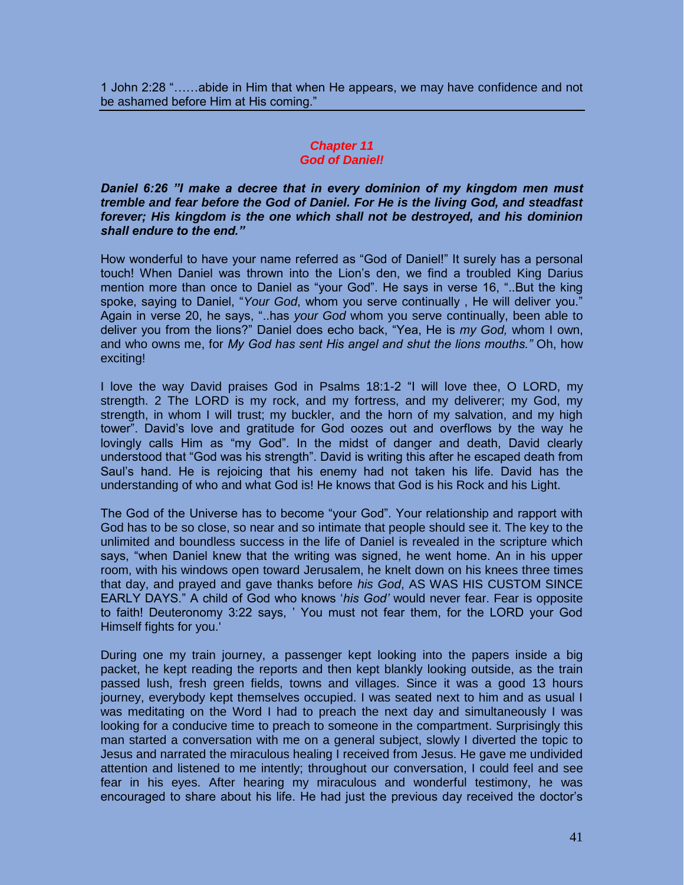1 John 2:28 "……abide in Him that when He appears, we may have confidence and not be ashamed before Him at His coming."

## *Chapter 11 God of Daniel!*

*Daniel 6:26 "I make a decree that in every dominion of my kingdom men must tremble and fear before the God of Daniel. For He is the living God, and steadfast forever; His kingdom is the one which shall not be destroyed, and his dominion shall endure to the end."* 

How wonderful to have your name referred as "God of Daniel!" It surely has a personal touch! When Daniel was thrown into the Lion's den, we find a troubled King Darius mention more than once to Daniel as "your God". He says in verse 16, "..But the king spoke, saying to Daniel, "*Your God*, whom you serve continually , He will deliver you." Again in verse 20, he says, "..has *your God* whom you serve continually, been able to deliver you from the lions?" Daniel does echo back, "Yea, He is *my God,* whom I own, and who owns me, for *My God has sent His angel and shut the lions mouths."* Oh, how exciting!

I love the way David praises God in Psalms 18:1-2 "I will love thee, O LORD, my strength. 2 The LORD is my rock, and my fortress, and my deliverer; my God, my strength, in whom I will trust; my buckler, and the horn of my salvation, and my high tower". David's love and gratitude for God oozes out and overflows by the way he lovingly calls Him as "my God". In the midst of danger and death, David clearly understood that "God was his strength". David is writing this after he escaped death from Saul's hand. He is rejoicing that his enemy had not taken his life. David has the understanding of who and what God is! He knows that God is his Rock and his Light.

The God of the Universe has to become "your God". Your relationship and rapport with God has to be so close, so near and so intimate that people should see it. The key to the unlimited and boundless success in the life of Daniel is revealed in the scripture which says, "when Daniel knew that the writing was signed, he went home. An in his upper room, with his windows open toward Jerusalem, he knelt down on his knees three times that day, and prayed and gave thanks before *his God*, AS WAS HIS CUSTOM SINCE EARLY DAYS." A child of God who knows '*his God'* would never fear. Fear is opposite to faith! Deuteronomy 3:22 says, ' You must not fear them, for the LORD your God Himself fights for you.'

During one my train journey, a passenger kept looking into the papers inside a big packet, he kept reading the reports and then kept blankly looking outside, as the train passed lush, fresh green fields, towns and villages. Since it was a good 13 hours journey, everybody kept themselves occupied. I was seated next to him and as usual I was meditating on the Word I had to preach the next day and simultaneously I was looking for a conducive time to preach to someone in the compartment. Surprisingly this man started a conversation with me on a general subject, slowly I diverted the topic to Jesus and narrated the miraculous healing I received from Jesus. He gave me undivided attention and listened to me intently; throughout our conversation, I could feel and see fear in his eyes. After hearing my miraculous and wonderful testimony, he was encouraged to share about his life. He had just the previous day received the doctor's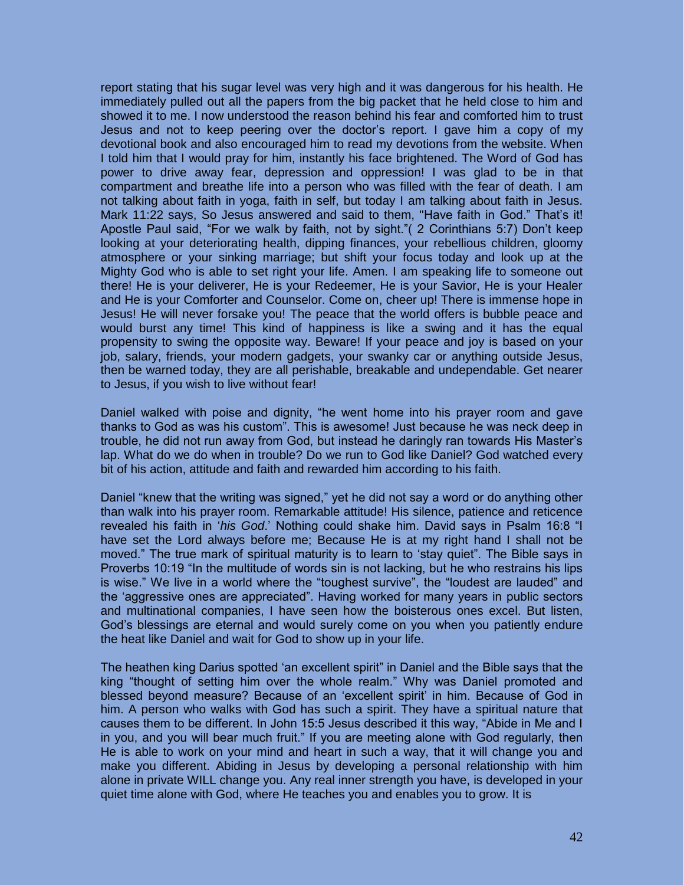report stating that his sugar level was very high and it was dangerous for his health. He immediately pulled out all the papers from the big packet that he held close to him and showed it to me. I now understood the reason behind his fear and comforted him to trust Jesus and not to keep peering over the doctor's report. I gave him a copy of my devotional book and also encouraged him to read my devotions from the website. When I told him that I would pray for him, instantly his face brightened. The Word of God has power to drive away fear, depression and oppression! I was glad to be in that compartment and breathe life into a person who was filled with the fear of death. I am not talking about faith in yoga, faith in self, but today I am talking about faith in Jesus. Mark 11:22 says, So Jesus answered and said to them, "Have faith in God." That's it! Apostle Paul said, "For we walk by faith, not by sight."( 2 Corinthians 5:7) Don't keep looking at your deteriorating health, dipping finances, your rebellious children, gloomy atmosphere or your sinking marriage; but shift your focus today and look up at the Mighty God who is able to set right your life. Amen. I am speaking life to someone out there! He is your deliverer, He is your Redeemer, He is your Savior, He is your Healer and He is your Comforter and Counselor. Come on, cheer up! There is immense hope in Jesus! He will never forsake you! The peace that the world offers is bubble peace and would burst any time! This kind of happiness is like a swing and it has the equal propensity to swing the opposite way. Beware! If your peace and joy is based on your job, salary, friends, your modern gadgets, your swanky car or anything outside Jesus, then be warned today, they are all perishable, breakable and undependable. Get nearer to Jesus, if you wish to live without fear!

Daniel walked with poise and dignity, "he went home into his prayer room and gave thanks to God as was his custom". This is awesome! Just because he was neck deep in trouble, he did not run away from God, but instead he daringly ran towards His Master's lap. What do we do when in trouble? Do we run to God like Daniel? God watched every bit of his action, attitude and faith and rewarded him according to his faith.

Daniel "knew that the writing was signed," yet he did not say a word or do anything other than walk into his prayer room. Remarkable attitude! His silence, patience and reticence revealed his faith in '*his God*.' Nothing could shake him. David says in Psalm 16:8 "I have set the Lord always before me; Because He is at my right hand I shall not be moved." The true mark of spiritual maturity is to learn to 'stay quiet". The Bible says in Proverbs 10:19 "In the multitude of words sin is not lacking, but he who restrains his lips is wise." We live in a world where the "toughest survive", the "loudest are lauded" and the 'aggressive ones are appreciated". Having worked for many years in public sectors and multinational companies, I have seen how the boisterous ones excel. But listen, God's blessings are eternal and would surely come on you when you patiently endure the heat like Daniel and wait for God to show up in your life.

The heathen king Darius spotted 'an excellent spirit" in Daniel and the Bible says that the king "thought of setting him over the whole realm." Why was Daniel promoted and blessed beyond measure? Because of an 'excellent spirit' in him. Because of God in him. A person who walks with God has such a spirit. They have a spiritual nature that causes them to be different. In John 15:5 Jesus described it this way, "Abide in Me and I in you, and you will bear much fruit." If you are meeting alone with God regularly, then He is able to work on your mind and heart in such a way, that it will change you and make you different. Abiding in Jesus by developing a personal relationship with him alone in private WILL change you. Any real inner strength you have, is developed in your quiet time alone with God, where He teaches you and enables you to grow. It is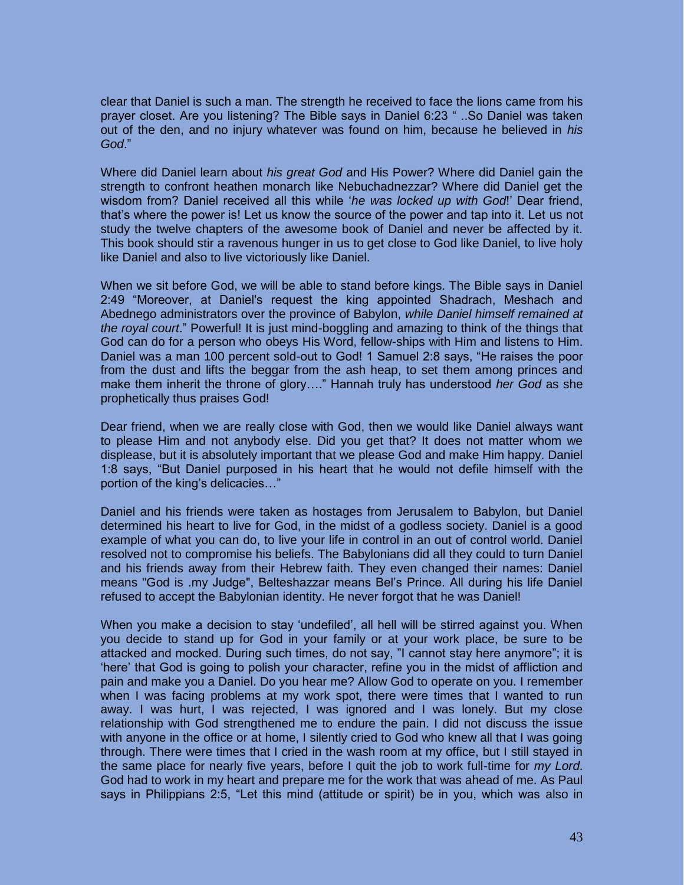clear that Daniel is such a man. The strength he received to face the lions came from his prayer closet. Are you listening? The Bible says in Daniel 6:23 " ..So Daniel was taken out of the den, and no injury whatever was found on him, because he believed in *his God*."

Where did Daniel learn about *his great God* and His Power? Where did Daniel gain the strength to confront heathen monarch like Nebuchadnezzar? Where did Daniel get the wisdom from? Daniel received all this while '*he was locked up with God*!' Dear friend, that's where the power is! Let us know the source of the power and tap into it. Let us not study the twelve chapters of the awesome book of Daniel and never be affected by it. This book should stir a ravenous hunger in us to get close to God like Daniel, to live holy like Daniel and also to live victoriously like Daniel.

When we sit before God, we will be able to stand before kings. The Bible says in Daniel 2:49 "Moreover, at Daniel's request the king appointed Shadrach, Meshach and Abednego administrators over the province of Babylon, *while Daniel himself remained at the royal court*." Powerful! It is just mind-boggling and amazing to think of the things that God can do for a person who obeys His Word, fellow-ships with Him and listens to Him. Daniel was a man 100 percent sold-out to God! 1 Samuel 2:8 says, "He raises the poor from the dust and lifts the beggar from the ash heap, to set them among princes and make them inherit the throne of glory…." Hannah truly has understood *her God* as she prophetically thus praises God!

Dear friend, when we are really close with God, then we would like Daniel always want to please Him and not anybody else. Did you get that? It does not matter whom we displease, but it is absolutely important that we please God and make Him happy. Daniel 1:8 says, "But Daniel purposed in his heart that he would not defile himself with the portion of the king's delicacies…"

Daniel and his friends were taken as hostages from Jerusalem to Babylon, but Daniel determined his heart to live for God, in the midst of a godless society. Daniel is a good example of what you can do, to live your life in control in an out of control world. Daniel resolved not to compromise his beliefs. The Babylonians did all they could to turn Daniel and his friends away from their Hebrew faith. They even changed their names: Daniel means "God is .my Judge", Belteshazzar means Bel's Prince. All during his life Daniel refused to accept the Babylonian identity. He never forgot that he was Daniel!

When you make a decision to stay 'undefiled', all hell will be stirred against you. When you decide to stand up for God in your family or at your work place, be sure to be attacked and mocked. During such times, do not say, "I cannot stay here anymore"; it is 'here' that God is going to polish your character, refine you in the midst of affliction and pain and make you a Daniel. Do you hear me? Allow God to operate on you. I remember when I was facing problems at my work spot, there were times that I wanted to run away. I was hurt, I was rejected, I was ignored and I was lonely. But my close relationship with God strengthened me to endure the pain. I did not discuss the issue with anyone in the office or at home, I silently cried to God who knew all that I was going through. There were times that I cried in the wash room at my office, but I still stayed in the same place for nearly five years, before I quit the job to work full-time for *my Lord*. God had to work in my heart and prepare me for the work that was ahead of me. As Paul says in Philippians 2:5, "Let this mind (attitude or spirit) be in you, which was also in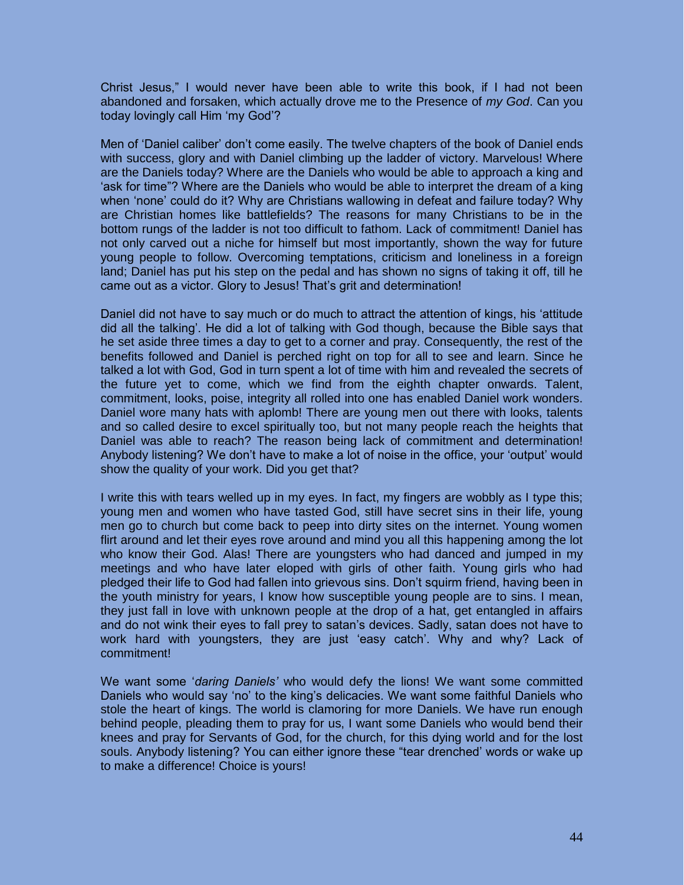Christ Jesus," I would never have been able to write this book, if I had not been abandoned and forsaken, which actually drove me to the Presence of *my God*. Can you today lovingly call Him 'my God'?

Men of 'Daniel caliber' don't come easily. The twelve chapters of the book of Daniel ends with success, glory and with Daniel climbing up the ladder of victory. Marvelous! Where are the Daniels today? Where are the Daniels who would be able to approach a king and 'ask for time"? Where are the Daniels who would be able to interpret the dream of a king when 'none' could do it? Why are Christians wallowing in defeat and failure today? Why are Christian homes like battlefields? The reasons for many Christians to be in the bottom rungs of the ladder is not too difficult to fathom. Lack of commitment! Daniel has not only carved out a niche for himself but most importantly, shown the way for future young people to follow. Overcoming temptations, criticism and loneliness in a foreign land; Daniel has put his step on the pedal and has shown no signs of taking it off, till he came out as a victor. Glory to Jesus! That's grit and determination!

Daniel did not have to say much or do much to attract the attention of kings, his 'attitude did all the talking'. He did a lot of talking with God though, because the Bible says that he set aside three times a day to get to a corner and pray. Consequently, the rest of the benefits followed and Daniel is perched right on top for all to see and learn. Since he talked a lot with God, God in turn spent a lot of time with him and revealed the secrets of the future yet to come, which we find from the eighth chapter onwards. Talent, commitment, looks, poise, integrity all rolled into one has enabled Daniel work wonders. Daniel wore many hats with aplomb! There are young men out there with looks, talents and so called desire to excel spiritually too, but not many people reach the heights that Daniel was able to reach? The reason being lack of commitment and determination! Anybody listening? We don't have to make a lot of noise in the office, your 'output' would show the quality of your work. Did you get that?

I write this with tears welled up in my eyes. In fact, my fingers are wobbly as I type this; young men and women who have tasted God, still have secret sins in their life, young men go to church but come back to peep into dirty sites on the internet. Young women flirt around and let their eyes rove around and mind you all this happening among the lot who know their God. Alas! There are youngsters who had danced and jumped in my meetings and who have later eloped with girls of other faith. Young girls who had pledged their life to God had fallen into grievous sins. Don't squirm friend, having been in the youth ministry for years, I know how susceptible young people are to sins. I mean, they just fall in love with unknown people at the drop of a hat, get entangled in affairs and do not wink their eyes to fall prey to satan's devices. Sadly, satan does not have to work hard with youngsters, they are just 'easy catch'. Why and why? Lack of commitment!

We want some '*daring Daniels'* who would defy the lions! We want some committed Daniels who would say 'no' to the king's delicacies. We want some faithful Daniels who stole the heart of kings. The world is clamoring for more Daniels. We have run enough behind people, pleading them to pray for us, I want some Daniels who would bend their knees and pray for Servants of God, for the church, for this dying world and for the lost souls. Anybody listening? You can either ignore these "tear drenched' words or wake up to make a difference! Choice is yours!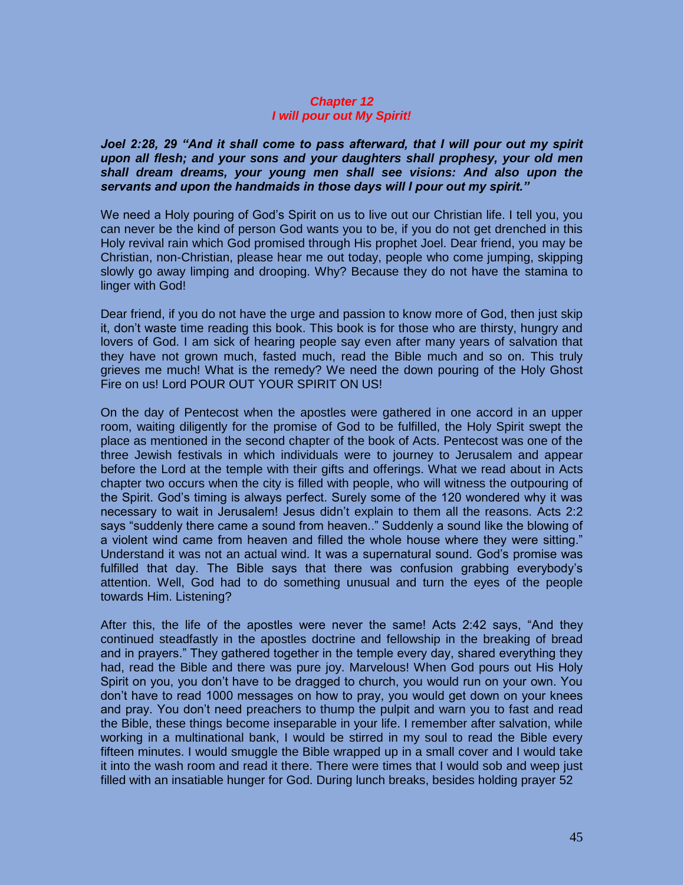# *Chapter 12 I will pour out My Spirit!*

*Joel 2:28, 29 "And it shall come to pass afterward, that I will pour out my spirit upon all flesh; and your sons and your daughters shall prophesy, your old men shall dream dreams, your young men shall see visions: And also upon the servants and upon the handmaids in those days will I pour out my spirit."* 

We need a Holy pouring of God's Spirit on us to live out our Christian life. I tell you, you can never be the kind of person God wants you to be, if you do not get drenched in this Holy revival rain which God promised through His prophet Joel. Dear friend, you may be Christian, non-Christian, please hear me out today, people who come jumping, skipping slowly go away limping and drooping. Why? Because they do not have the stamina to linger with God!

Dear friend, if you do not have the urge and passion to know more of God, then just skip it, don't waste time reading this book. This book is for those who are thirsty, hungry and lovers of God. I am sick of hearing people say even after many years of salvation that they have not grown much, fasted much, read the Bible much and so on. This truly grieves me much! What is the remedy? We need the down pouring of the Holy Ghost Fire on us! Lord POUR OUT YOUR SPIRIT ON US!

On the day of Pentecost when the apostles were gathered in one accord in an upper room, waiting diligently for the promise of God to be fulfilled, the Holy Spirit swept the place as mentioned in the second chapter of the book of Acts. Pentecost was one of the three Jewish festivals in which individuals were to journey to Jerusalem and appear before the Lord at the temple with their gifts and offerings. What we read about in Acts chapter two occurs when the city is filled with people, who will witness the outpouring of the Spirit. God's timing is always perfect. Surely some of the 120 wondered why it was necessary to wait in Jerusalem! Jesus didn't explain to them all the reasons. Acts 2:2 says "suddenly there came a sound from heaven.." Suddenly a sound like the blowing of a violent wind came from heaven and filled the whole house where they were sitting." Understand it was not an actual wind. It was a supernatural sound. God's promise was fulfilled that day. The Bible says that there was confusion grabbing everybody's attention. Well, God had to do something unusual and turn the eyes of the people towards Him. Listening?

After this, the life of the apostles were never the same! Acts 2:42 says, "And they continued steadfastly in the apostles doctrine and fellowship in the breaking of bread and in prayers." They gathered together in the temple every day, shared everything they had, read the Bible and there was pure joy. Marvelous! When God pours out His Holy Spirit on you, you don't have to be dragged to church, you would run on your own. You don't have to read 1000 messages on how to pray, you would get down on your knees and pray. You don't need preachers to thump the pulpit and warn you to fast and read the Bible, these things become inseparable in your life. I remember after salvation, while working in a multinational bank, I would be stirred in my soul to read the Bible every fifteen minutes. I would smuggle the Bible wrapped up in a small cover and I would take it into the wash room and read it there. There were times that I would sob and weep just filled with an insatiable hunger for God. During lunch breaks, besides holding prayer 52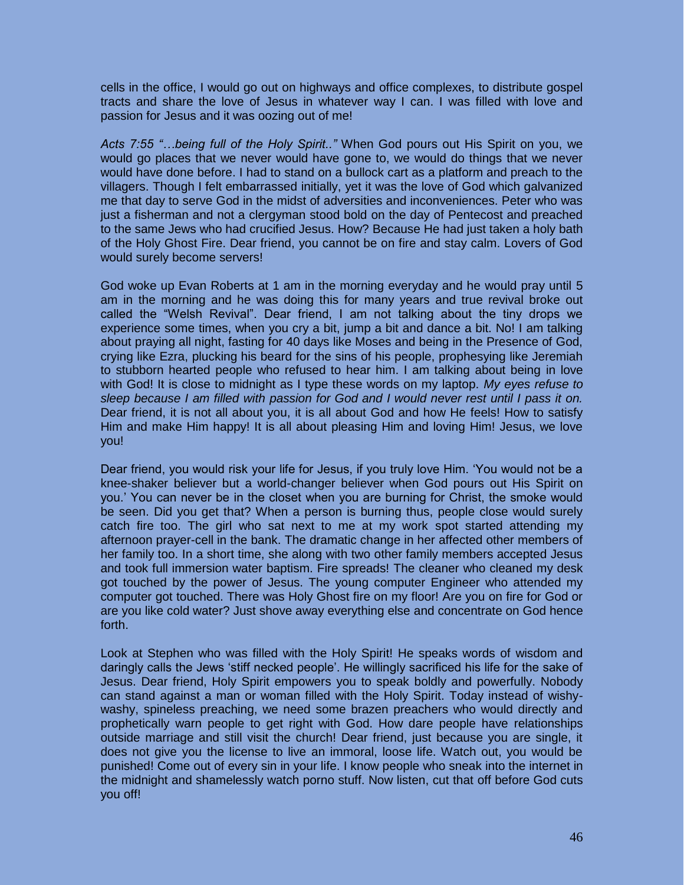cells in the office, I would go out on highways and office complexes, to distribute gospel tracts and share the love of Jesus in whatever way I can. I was filled with love and passion for Jesus and it was oozing out of me!

*Acts 7:55 "…being full of the Holy Spirit.."* When God pours out His Spirit on you, we would go places that we never would have gone to, we would do things that we never would have done before. I had to stand on a bullock cart as a platform and preach to the villagers. Though I felt embarrassed initially, yet it was the love of God which galvanized me that day to serve God in the midst of adversities and inconveniences. Peter who was just a fisherman and not a clergyman stood bold on the day of Pentecost and preached to the same Jews who had crucified Jesus. How? Because He had just taken a holy bath of the Holy Ghost Fire. Dear friend, you cannot be on fire and stay calm. Lovers of God would surely become servers!

God woke up Evan Roberts at 1 am in the morning everyday and he would pray until 5 am in the morning and he was doing this for many years and true revival broke out called the "Welsh Revival". Dear friend, I am not talking about the tiny drops we experience some times, when you cry a bit, jump a bit and dance a bit. No! I am talking about praying all night, fasting for 40 days like Moses and being in the Presence of God, crying like Ezra, plucking his beard for the sins of his people, prophesying like Jeremiah to stubborn hearted people who refused to hear him. I am talking about being in love with God! It is close to midnight as I type these words on my laptop. *My eyes refuse to sleep because I am filled with passion for God and I would never rest until I pass it on.*  Dear friend, it is not all about you, it is all about God and how He feels! How to satisfy Him and make Him happy! It is all about pleasing Him and loving Him! Jesus, we love you!

Dear friend, you would risk your life for Jesus, if you truly love Him. 'You would not be a knee-shaker believer but a world-changer believer when God pours out His Spirit on you.' You can never be in the closet when you are burning for Christ, the smoke would be seen. Did you get that? When a person is burning thus, people close would surely catch fire too. The girl who sat next to me at my work spot started attending my afternoon prayer-cell in the bank. The dramatic change in her affected other members of her family too. In a short time, she along with two other family members accepted Jesus and took full immersion water baptism. Fire spreads! The cleaner who cleaned my desk got touched by the power of Jesus. The young computer Engineer who attended my computer got touched. There was Holy Ghost fire on my floor! Are you on fire for God or are you like cold water? Just shove away everything else and concentrate on God hence forth.

Look at Stephen who was filled with the Holy Spirit! He speaks words of wisdom and daringly calls the Jews 'stiff necked people'. He willingly sacrificed his life for the sake of Jesus. Dear friend, Holy Spirit empowers you to speak boldly and powerfully. Nobody can stand against a man or woman filled with the Holy Spirit. Today instead of wishywashy, spineless preaching, we need some brazen preachers who would directly and prophetically warn people to get right with God. How dare people have relationships outside marriage and still visit the church! Dear friend, just because you are single, it does not give you the license to live an immoral, loose life. Watch out, you would be punished! Come out of every sin in your life. I know people who sneak into the internet in the midnight and shamelessly watch porno stuff. Now listen, cut that off before God cuts you off!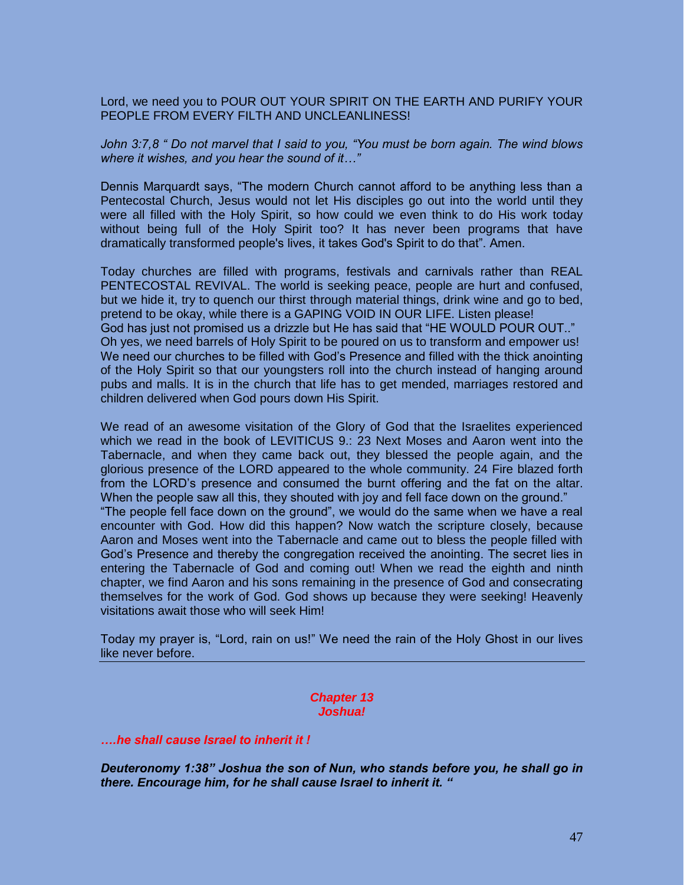Lord, we need you to POUR OUT YOUR SPIRIT ON THE EARTH AND PURIFY YOUR PEOPLE FROM EVERY FILTH AND UNCLEANLINESS!

*John 3:7,8 " Do not marvel that I said to you, "You must be born again. The wind blows where it wishes, and you hear the sound of it…"* 

Dennis Marquardt says, "The modern Church cannot afford to be anything less than a Pentecostal Church, Jesus would not let His disciples go out into the world until they were all filled with the Holy Spirit, so how could we even think to do His work today without being full of the Holy Spirit too? It has never been programs that have dramatically transformed people's lives, it takes God's Spirit to do that". Amen.

Today churches are filled with programs, festivals and carnivals rather than REAL PENTECOSTAL REVIVAL. The world is seeking peace, people are hurt and confused, but we hide it, try to quench our thirst through material things, drink wine and go to bed, pretend to be okay, while there is a GAPING VOID IN OUR LIFE. Listen please! God has just not promised us a drizzle but He has said that "HE WOULD POUR OUT.." Oh yes, we need barrels of Holy Spirit to be poured on us to transform and empower us! We need our churches to be filled with God's Presence and filled with the thick anointing of the Holy Spirit so that our youngsters roll into the church instead of hanging around pubs and malls. It is in the church that life has to get mended, marriages restored and children delivered when God pours down His Spirit.

We read of an awesome visitation of the Glory of God that the Israelites experienced which we read in the book of LEVITICUS 9.: 23 Next Moses and Aaron went into the Tabernacle, and when they came back out, they blessed the people again, and the glorious presence of the LORD appeared to the whole community. 24 Fire blazed forth from the LORD's presence and consumed the burnt offering and the fat on the altar. When the people saw all this, they shouted with joy and fell face down on the ground." "The people fell face down on the ground", we would do the same when we have a real encounter with God. How did this happen? Now watch the scripture closely, because Aaron and Moses went into the Tabernacle and came out to bless the people filled with God's Presence and thereby the congregation received the anointing. The secret lies in entering the Tabernacle of God and coming out! When we read the eighth and ninth chapter, we find Aaron and his sons remaining in the presence of God and consecrating themselves for the work of God. God shows up because they were seeking! Heavenly visitations await those who will seek Him!

Today my prayer is, "Lord, rain on us!" We need the rain of the Holy Ghost in our lives like never before.

#### *Chapter 13 Joshua!*

## *….he shall cause Israel to inherit it !*

*Deuteronomy 1:38" Joshua the son of Nun, who stands before you, he shall go in there. Encourage him, for he shall cause Israel to inherit it. "*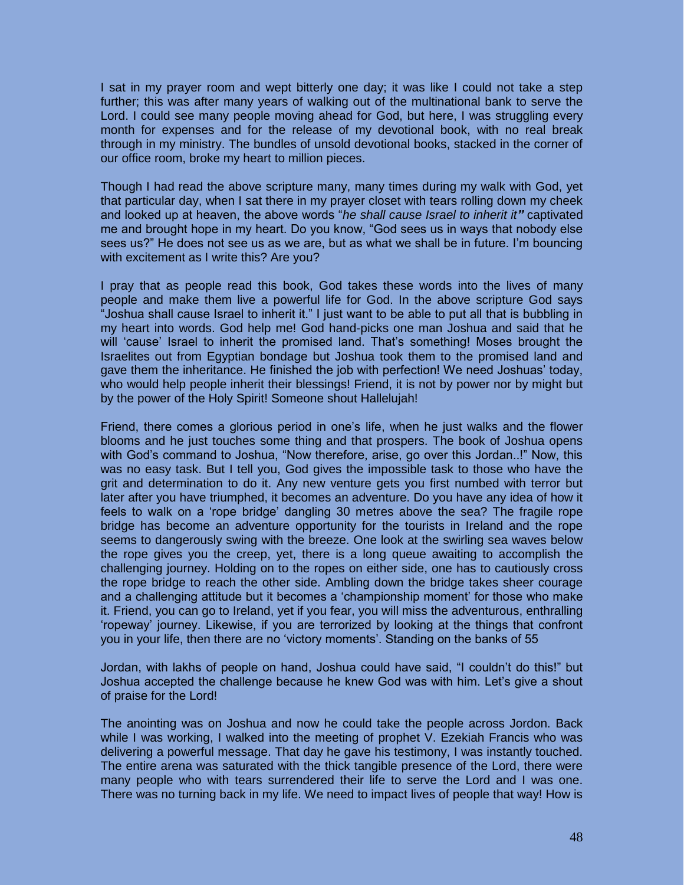I sat in my prayer room and wept bitterly one day; it was like I could not take a step further; this was after many years of walking out of the multinational bank to serve the Lord. I could see many people moving ahead for God, but here, I was struggling every month for expenses and for the release of my devotional book, with no real break through in my ministry. The bundles of unsold devotional books, stacked in the corner of our office room, broke my heart to million pieces.

Though I had read the above scripture many, many times during my walk with God, yet that particular day, when I sat there in my prayer closet with tears rolling down my cheek and looked up at heaven, the above words "*he shall cause Israel to inherit it"* captivated me and brought hope in my heart. Do you know, "God sees us in ways that nobody else sees us?" He does not see us as we are, but as what we shall be in future. I'm bouncing with excitement as I write this? Are you?

I pray that as people read this book, God takes these words into the lives of many people and make them live a powerful life for God. In the above scripture God says "Joshua shall cause Israel to inherit it." I just want to be able to put all that is bubbling in my heart into words. God help me! God hand-picks one man Joshua and said that he will 'cause' Israel to inherit the promised land. That's something! Moses brought the Israelites out from Egyptian bondage but Joshua took them to the promised land and gave them the inheritance. He finished the job with perfection! We need Joshuas' today, who would help people inherit their blessings! Friend, it is not by power nor by might but by the power of the Holy Spirit! Someone shout Hallelujah!

Friend, there comes a glorious period in one's life, when he just walks and the flower blooms and he just touches some thing and that prospers. The book of Joshua opens with God's command to Joshua, "Now therefore, arise, go over this Jordan..!" Now, this was no easy task. But I tell you, God gives the impossible task to those who have the grit and determination to do it. Any new venture gets you first numbed with terror but later after you have triumphed, it becomes an adventure. Do you have any idea of how it feels to walk on a 'rope bridge' dangling 30 metres above the sea? The fragile rope bridge has become an adventure opportunity for the tourists in Ireland and the rope seems to dangerously swing with the breeze. One look at the swirling sea waves below the rope gives you the creep, yet, there is a long queue awaiting to accomplish the challenging journey. Holding on to the ropes on either side, one has to cautiously cross the rope bridge to reach the other side. Ambling down the bridge takes sheer courage and a challenging attitude but it becomes a 'championship moment' for those who make it. Friend, you can go to Ireland, yet if you fear, you will miss the adventurous, enthralling 'ropeway' journey. Likewise, if you are terrorized by looking at the things that confront you in your life, then there are no 'victory moments'. Standing on the banks of 55

Jordan, with lakhs of people on hand, Joshua could have said, "I couldn't do this!" but Joshua accepted the challenge because he knew God was with him. Let's give a shout of praise for the Lord!

The anointing was on Joshua and now he could take the people across Jordon. Back while I was working, I walked into the meeting of prophet V. Ezekiah Francis who was delivering a powerful message. That day he gave his testimony, I was instantly touched. The entire arena was saturated with the thick tangible presence of the Lord, there were many people who with tears surrendered their life to serve the Lord and I was one. There was no turning back in my life. We need to impact lives of people that way! How is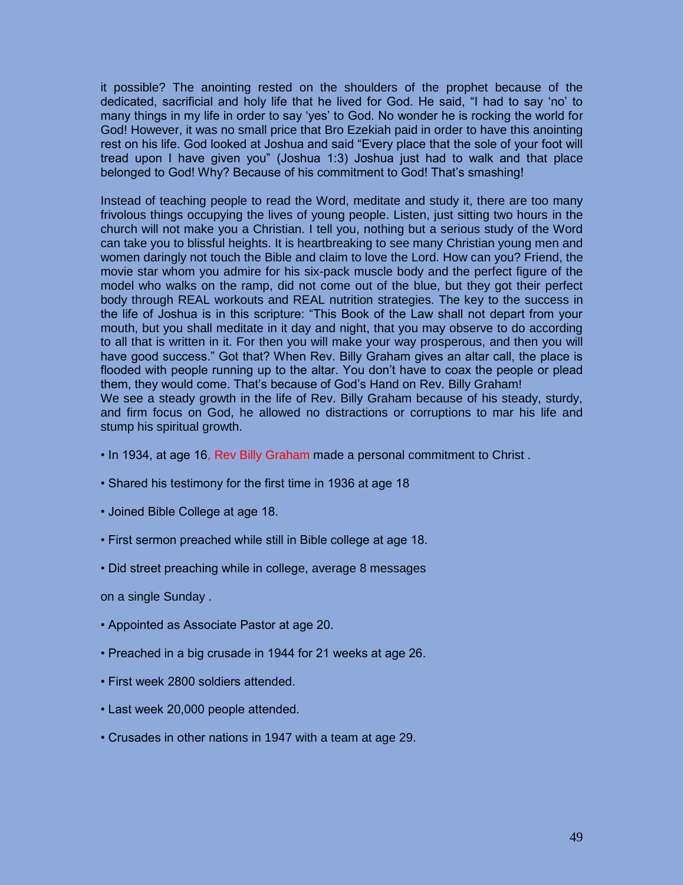it possible? The anointing rested on the shoulders of the prophet because of the dedicated, sacrificial and holy life that he lived for God. He said, "I had to say 'no' to many things in my life in order to say 'yes' to God. No wonder he is rocking the world for God! However, it was no small price that Bro Ezekiah paid in order to have this anointing rest on his life. God looked at Joshua and said "Every place that the sole of your foot will tread upon I have given you" (Joshua 1:3) Joshua just had to walk and that place belonged to God! Why? Because of his commitment to God! That's smashing!

Instead of teaching people to read the Word, meditate and study it, there are too many frivolous things occupying the lives of young people. Listen, just sitting two hours in the church will not make you a Christian. I tell you, nothing but a serious study of the Word can take you to blissful heights. It is heartbreaking to see many Christian young men and women daringly not touch the Bible and claim to love the Lord. How can you? Friend, the movie star whom you admire for his six-pack muscle body and the perfect figure of the model who walks on the ramp, did not come out of the blue, but they got their perfect body through REAL workouts and REAL nutrition strategies. The key to the success in the life of Joshua is in this scripture: "This Book of the Law shall not depart from your mouth, but you shall meditate in it day and night, that you may observe to do according to all that is written in it. For then you will make your way prosperous, and then you will have good success." Got that? When Rev. Billy Graham gives an altar call, the place is flooded with people running up to the altar. You don't have to coax the people or plead them, they would come. That's because of God's Hand on Rev. Billy Graham! We see a steady growth in the life of Rev. Billy Graham because of his steady, sturdy,

and firm focus on God, he allowed no distractions or corruptions to mar his life and stump his spiritual growth.

- In 1934, at age 16, Rev Billy Graham made a personal commitment to Christ .
- Shared his testimony for the first time in 1936 at age 18
- Joined Bible College at age 18.
- First sermon preached while still in Bible college at age 18.
- Did street preaching while in college, average 8 messages

on a single Sunday .

- Appointed as Associate Pastor at age 20.
- Preached in a big crusade in 1944 for 21 weeks at age 26.
- First week 2800 soldiers attended.
- Last week 20,000 people attended.
- Crusades in other nations in 1947 with a team at age 29.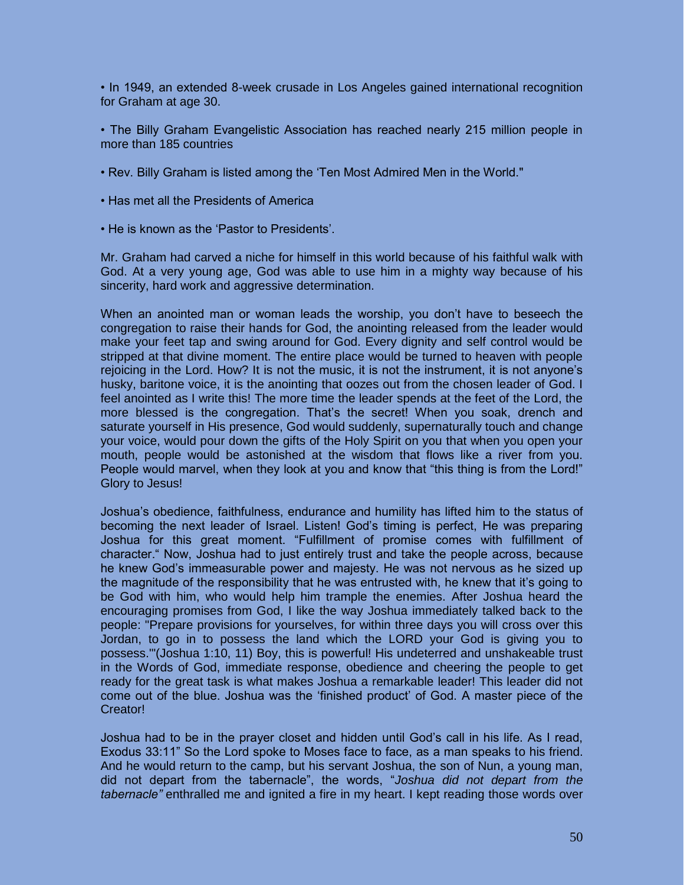• In 1949, an extended 8-week crusade in Los Angeles gained international recognition for Graham at age 30.

• The Billy Graham Evangelistic Association has reached nearly 215 million people in more than 185 countries

- Rev. Billy Graham is listed among the 'Ten Most Admired Men in the World."
- Has met all the Presidents of America
- He is known as the 'Pastor to Presidents'.

Mr. Graham had carved a niche for himself in this world because of his faithful walk with God. At a very young age, God was able to use him in a mighty way because of his sincerity, hard work and aggressive determination.

When an anointed man or woman leads the worship, you don't have to beseech the congregation to raise their hands for God, the anointing released from the leader would make your feet tap and swing around for God. Every dignity and self control would be stripped at that divine moment. The entire place would be turned to heaven with people rejoicing in the Lord. How? It is not the music, it is not the instrument, it is not anyone's husky, baritone voice, it is the anointing that oozes out from the chosen leader of God. I feel anointed as I write this! The more time the leader spends at the feet of the Lord, the more blessed is the congregation. That's the secret! When you soak, drench and saturate yourself in His presence, God would suddenly, supernaturally touch and change your voice, would pour down the gifts of the Holy Spirit on you that when you open your mouth, people would be astonished at the wisdom that flows like a river from you. People would marvel, when they look at you and know that "this thing is from the Lord!" Glory to Jesus!

Joshua's obedience, faithfulness, endurance and humility has lifted him to the status of becoming the next leader of Israel. Listen! God's timing is perfect, He was preparing Joshua for this great moment. "Fulfillment of promise comes with fulfillment of character." Now, Joshua had to just entirely trust and take the people across, because he knew God's immeasurable power and majesty. He was not nervous as he sized up the magnitude of the responsibility that he was entrusted with, he knew that it's going to be God with him, who would help him trample the enemies. After Joshua heard the encouraging promises from God, I like the way Joshua immediately talked back to the people: "Prepare provisions for yourselves, for within three days you will cross over this Jordan, to go in to possess the land which the LORD your God is giving you to possess.'"(Joshua 1:10, 11) Boy, this is powerful! His undeterred and unshakeable trust in the Words of God, immediate response, obedience and cheering the people to get ready for the great task is what makes Joshua a remarkable leader! This leader did not come out of the blue. Joshua was the 'finished product' of God. A master piece of the Creator!

Joshua had to be in the prayer closet and hidden until God's call in his life. As I read, Exodus 33:11" So the Lord spoke to Moses face to face, as a man speaks to his friend. And he would return to the camp, but his servant Joshua, the son of Nun, a young man, did not depart from the tabernacle", the words, "*Joshua did not depart from the tabernacle"* enthralled me and ignited a fire in my heart. I kept reading those words over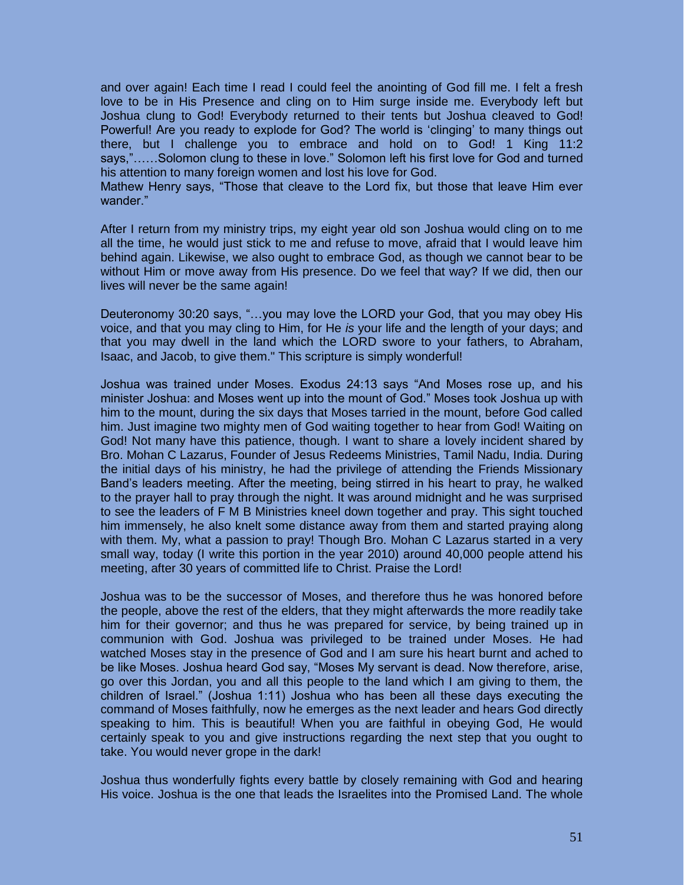and over again! Each time I read I could feel the anointing of God fill me. I felt a fresh love to be in His Presence and cling on to Him surge inside me. Everybody left but Joshua clung to God! Everybody returned to their tents but Joshua cleaved to God! Powerful! Are you ready to explode for God? The world is 'clinging' to many things out there, but I challenge you to embrace and hold on to God! 1 King 11:2 says,"……Solomon clung to these in love." Solomon left his first love for God and turned his attention to many foreign women and lost his love for God.

Mathew Henry says, "Those that cleave to the Lord fix, but those that leave Him ever wander."

After I return from my ministry trips, my eight year old son Joshua would cling on to me all the time, he would just stick to me and refuse to move, afraid that I would leave him behind again. Likewise, we also ought to embrace God, as though we cannot bear to be without Him or move away from His presence. Do we feel that way? If we did, then our lives will never be the same again!

Deuteronomy 30:20 says, "…you may love the LORD your God, that you may obey His voice, and that you may cling to Him, for He *is* your life and the length of your days; and that you may dwell in the land which the LORD swore to your fathers, to Abraham, Isaac, and Jacob, to give them." This scripture is simply wonderful!

Joshua was trained under Moses. Exodus 24:13 says "And Moses rose up, and his minister Joshua: and Moses went up into the mount of God." Moses took Joshua up with him to the mount, during the six days that Moses tarried in the mount, before God called him. Just imagine two mighty men of God waiting together to hear from God! Waiting on God! Not many have this patience, though. I want to share a lovely incident shared by Bro. Mohan C Lazarus, Founder of Jesus Redeems Ministries, Tamil Nadu, India. During the initial days of his ministry, he had the privilege of attending the Friends Missionary Band's leaders meeting. After the meeting, being stirred in his heart to pray, he walked to the prayer hall to pray through the night. It was around midnight and he was surprised to see the leaders of F M B Ministries kneel down together and pray. This sight touched him immensely, he also knelt some distance away from them and started praying along with them. My, what a passion to pray! Though Bro. Mohan C Lazarus started in a very small way, today (I write this portion in the year 2010) around 40,000 people attend his meeting, after 30 years of committed life to Christ. Praise the Lord!

Joshua was to be the successor of Moses, and therefore thus he was honored before the people, above the rest of the elders, that they might afterwards the more readily take him for their governor; and thus he was prepared for service, by being trained up in communion with God. Joshua was privileged to be trained under Moses. He had watched Moses stay in the presence of God and I am sure his heart burnt and ached to be like Moses. Joshua heard God say, "Moses My servant is dead. Now therefore, arise, go over this Jordan, you and all this people to the land which I am giving to them, the children of Israel." (Joshua 1:11) Joshua who has been all these days executing the command of Moses faithfully, now he emerges as the next leader and hears God directly speaking to him. This is beautiful! When you are faithful in obeying God, He would certainly speak to you and give instructions regarding the next step that you ought to take. You would never grope in the dark!

Joshua thus wonderfully fights every battle by closely remaining with God and hearing His voice. Joshua is the one that leads the Israelites into the Promised Land. The whole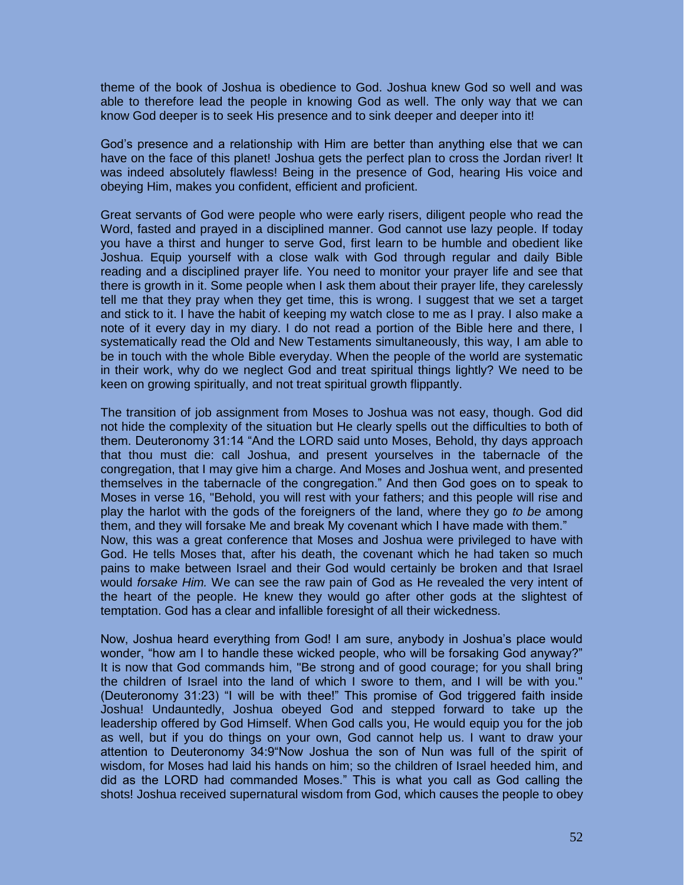theme of the book of Joshua is obedience to God. Joshua knew God so well and was able to therefore lead the people in knowing God as well. The only way that we can know God deeper is to seek His presence and to sink deeper and deeper into it!

God's presence and a relationship with Him are better than anything else that we can have on the face of this planet! Joshua gets the perfect plan to cross the Jordan river! It was indeed absolutely flawless! Being in the presence of God, hearing His voice and obeying Him, makes you confident, efficient and proficient.

Great servants of God were people who were early risers, diligent people who read the Word, fasted and prayed in a disciplined manner. God cannot use lazy people. If today you have a thirst and hunger to serve God, first learn to be humble and obedient like Joshua. Equip yourself with a close walk with God through regular and daily Bible reading and a disciplined prayer life. You need to monitor your prayer life and see that there is growth in it. Some people when I ask them about their prayer life, they carelessly tell me that they pray when they get time, this is wrong. I suggest that we set a target and stick to it. I have the habit of keeping my watch close to me as I pray. I also make a note of it every day in my diary. I do not read a portion of the Bible here and there, I systematically read the Old and New Testaments simultaneously, this way, I am able to be in touch with the whole Bible everyday. When the people of the world are systematic in their work, why do we neglect God and treat spiritual things lightly? We need to be keen on growing spiritually, and not treat spiritual growth flippantly.

The transition of job assignment from Moses to Joshua was not easy, though. God did not hide the complexity of the situation but He clearly spells out the difficulties to both of them. Deuteronomy 31:14 "And the LORD said unto Moses, Behold, thy days approach that thou must die: call Joshua, and present yourselves in the tabernacle of the congregation, that I may give him a charge. And Moses and Joshua went, and presented themselves in the tabernacle of the congregation." And then God goes on to speak to Moses in verse 16, "Behold, you will rest with your fathers; and this people will rise and play the harlot with the gods of the foreigners of the land, where they go *to be* among them, and they will forsake Me and break My covenant which I have made with them." Now, this was a great conference that Moses and Joshua were privileged to have with God. He tells Moses that, after his death, the covenant which he had taken so much pains to make between Israel and their God would certainly be broken and that Israel would *forsake Him.* We can see the raw pain of God as He revealed the very intent of the heart of the people. He knew they would go after other gods at the slightest of temptation. God has a clear and infallible foresight of all their wickedness.

Now, Joshua heard everything from God! I am sure, anybody in Joshua's place would wonder, "how am I to handle these wicked people, who will be forsaking God anyway?" It is now that God commands him, "Be strong and of good courage; for you shall bring the children of Israel into the land of which I swore to them, and I will be with you." (Deuteronomy 31:23) "I will be with thee!" This promise of God triggered faith inside Joshua! Undauntedly, Joshua obeyed God and stepped forward to take up the leadership offered by God Himself. When God calls you, He would equip you for the job as well, but if you do things on your own, God cannot help us. I want to draw your attention to Deuteronomy 34:9"Now Joshua the son of Nun was full of the spirit of wisdom, for Moses had laid his hands on him; so the children of Israel heeded him, and did as the LORD had commanded Moses." This is what you call as God calling the shots! Joshua received supernatural wisdom from God, which causes the people to obey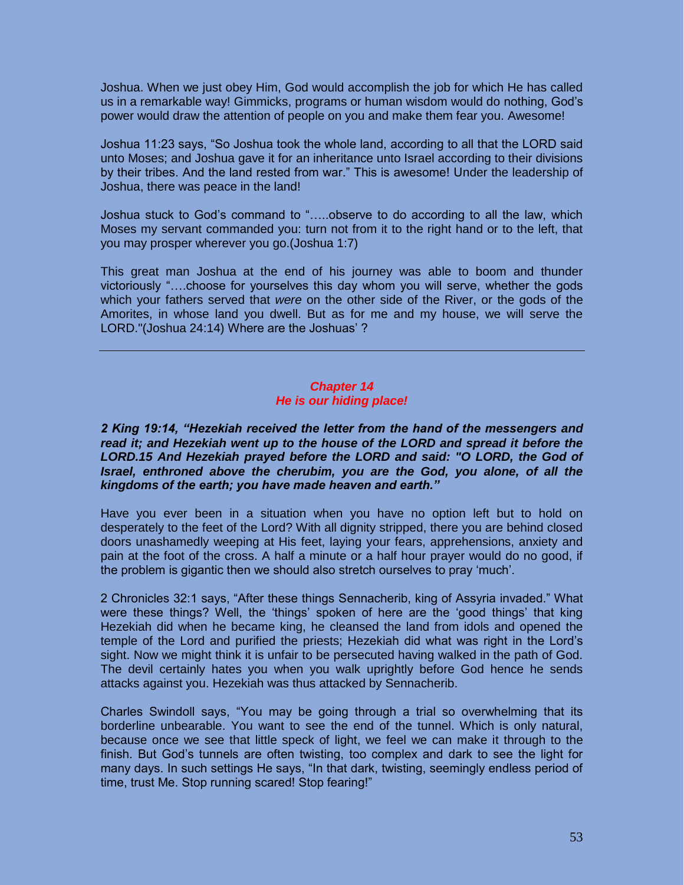Joshua. When we just obey Him, God would accomplish the job for which He has called us in a remarkable way! Gimmicks, programs or human wisdom would do nothing, God's power would draw the attention of people on you and make them fear you. Awesome!

Joshua 11:23 says, "So Joshua took the whole land, according to all that the LORD said unto Moses; and Joshua gave it for an inheritance unto Israel according to their divisions by their tribes. And the land rested from war." This is awesome! Under the leadership of Joshua, there was peace in the land!

Joshua stuck to God's command to "…..observe to do according to all the law, which Moses my servant commanded you: turn not from it to the right hand or to the left, that you may prosper wherever you go.(Joshua 1:7)

This great man Joshua at the end of his journey was able to boom and thunder victoriously "….choose for yourselves this day whom you will serve, whether the gods which your fathers served that *were* on the other side of the River, or the gods of the Amorites, in whose land you dwell. But as for me and my house, we will serve the LORD."(Joshua 24:14) Where are the Joshuas' ?

# *Chapter 14 He is our hiding place!*

*2 King 19:14, "Hezekiah received the letter from the hand of the messengers and read it; and Hezekiah went up to the house of the LORD and spread it before the*  LORD.15 And Hezekiah prayed before the LORD and said: "O LORD, the God of *Israel, enthroned above the cherubim, you are the God, you alone, of all the kingdoms of the earth; you have made heaven and earth."*

Have you ever been in a situation when you have no option left but to hold on desperately to the feet of the Lord? With all dignity stripped, there you are behind closed doors unashamedly weeping at His feet, laying your fears, apprehensions, anxiety and pain at the foot of the cross. A half a minute or a half hour prayer would do no good, if the problem is gigantic then we should also stretch ourselves to pray 'much'.

2 Chronicles 32:1 says, "After these things Sennacherib, king of Assyria invaded." What were these things? Well, the 'things' spoken of here are the 'good things' that king Hezekiah did when he became king, he cleansed the land from idols and opened the temple of the Lord and purified the priests; Hezekiah did what was right in the Lord's sight. Now we might think it is unfair to be persecuted having walked in the path of God. The devil certainly hates you when you walk uprightly before God hence he sends attacks against you. Hezekiah was thus attacked by Sennacherib.

Charles Swindoll says, "You may be going through a trial so overwhelming that its borderline unbearable. You want to see the end of the tunnel. Which is only natural, because once we see that little speck of light, we feel we can make it through to the finish. But God's tunnels are often twisting, too complex and dark to see the light for many days. In such settings He says, "In that dark, twisting, seemingly endless period of time, trust Me. Stop running scared! Stop fearing!"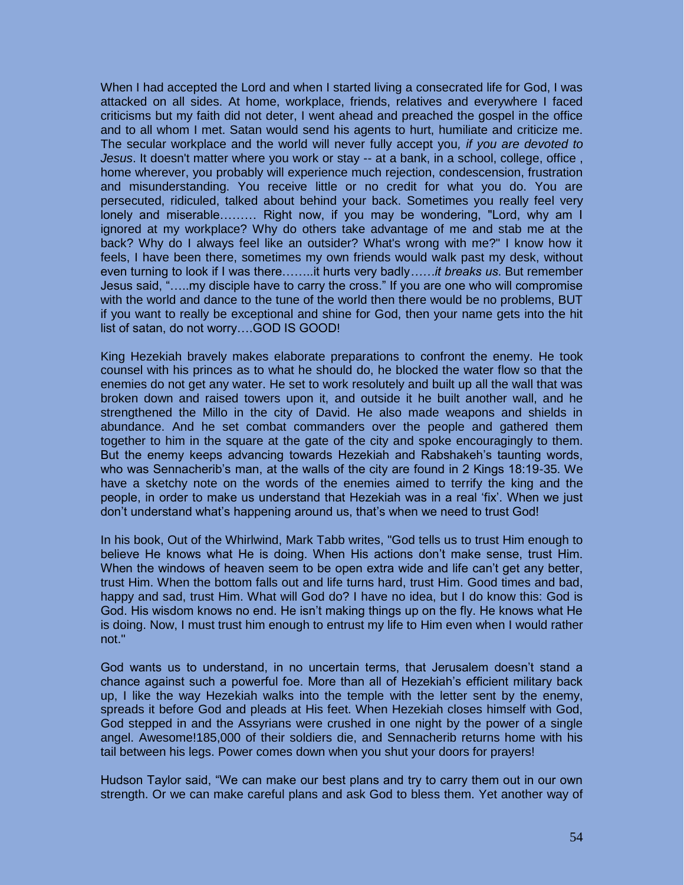When I had accepted the Lord and when I started living a consecrated life for God, I was attacked on all sides. At home, workplace, friends, relatives and everywhere I faced criticisms but my faith did not deter, I went ahead and preached the gospel in the office and to all whom I met. Satan would send his agents to hurt, humiliate and criticize me. The secular workplace and the world will never fully accept you*, if you are devoted to Jesus*. It doesn't matter where you work or stay -- at a bank, in a school, college, office , home wherever, you probably will experience much rejection, condescension, frustration and misunderstanding. You receive little or no credit for what you do. You are persecuted, ridiculed, talked about behind your back. Sometimes you really feel very lonely and miserable……… Right now, if you may be wondering, "Lord, why am I ignored at my workplace? Why do others take advantage of me and stab me at the back? Why do I always feel like an outsider? What's wrong with me?" I know how it feels, I have been there, sometimes my own friends would walk past my desk, without even turning to look if I was there……..it hurts very badly*……it breaks us*. But remember Jesus said, "…..my disciple have to carry the cross." If you are one who will compromise with the world and dance to the tune of the world then there would be no problems, BUT if you want to really be exceptional and shine for God, then your name gets into the hit list of satan, do not worry….GOD IS GOOD!

King Hezekiah bravely makes elaborate preparations to confront the enemy. He took counsel with his princes as to what he should do, he blocked the water flow so that the enemies do not get any water. He set to work resolutely and built up all the wall that was broken down and raised towers upon it, and outside it he built another wall, and he strengthened the Millo in the city of David. He also made weapons and shields in abundance. And he set combat commanders over the people and gathered them together to him in the square at the gate of the city and spoke encouragingly to them. But the enemy keeps advancing towards Hezekiah and Rabshakeh's taunting words, who was Sennacherib's man, at the walls of the city are found in 2 Kings 18:19-35. We have a sketchy note on the words of the enemies aimed to terrify the king and the people, in order to make us understand that Hezekiah was in a real 'fix'. When we just don't understand what's happening around us, that's when we need to trust God!

In his book, Out of the Whirlwind, Mark Tabb writes, "God tells us to trust Him enough to believe He knows what He is doing. When His actions don't make sense, trust Him. When the windows of heaven seem to be open extra wide and life can't get any better, trust Him. When the bottom falls out and life turns hard, trust Him. Good times and bad, happy and sad, trust Him. What will God do? I have no idea, but I do know this: God is God. His wisdom knows no end. He isn't making things up on the fly. He knows what He is doing. Now, I must trust him enough to entrust my life to Him even when I would rather not."

God wants us to understand, in no uncertain terms, that Jerusalem doesn't stand a chance against such a powerful foe. More than all of Hezekiah's efficient military back up, I like the way Hezekiah walks into the temple with the letter sent by the enemy, spreads it before God and pleads at His feet. When Hezekiah closes himself with God, God stepped in and the Assyrians were crushed in one night by the power of a single angel. Awesome!185,000 of their soldiers die, and Sennacherib returns home with his tail between his legs. Power comes down when you shut your doors for prayers!

Hudson Taylor said, "We can make our best plans and try to carry them out in our own strength. Or we can make careful plans and ask God to bless them. Yet another way of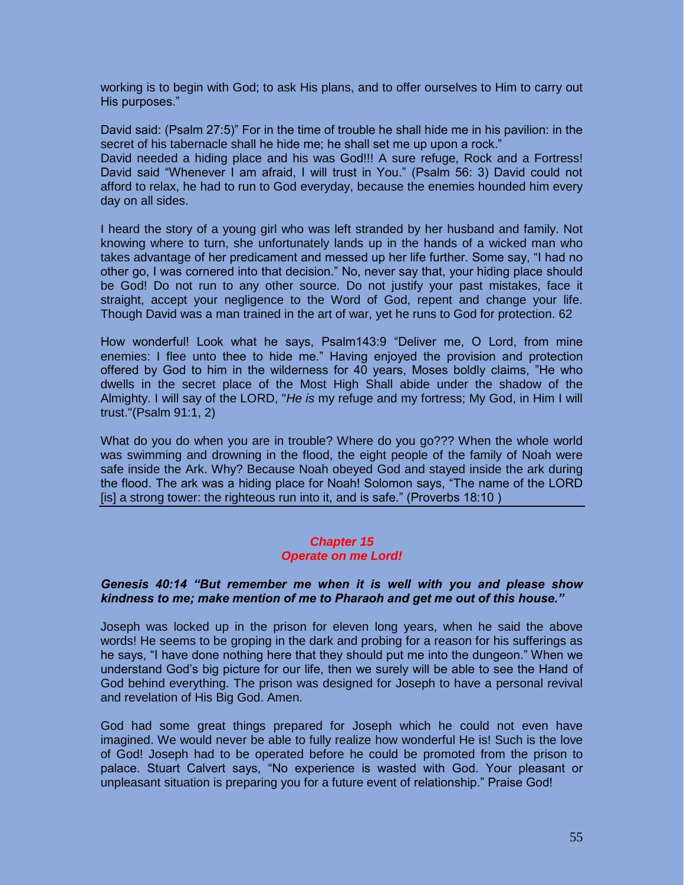working is to begin with God; to ask His plans, and to offer ourselves to Him to carry out His purposes."

David said: (Psalm 27:5)" For in the time of trouble he shall hide me in his pavilion: in the secret of his tabernacle shall he hide me; he shall set me up upon a rock."

David needed a hiding place and his was God!!! A sure refuge, Rock and a Fortress! David said "Whenever I am afraid, I will trust in You." (Psalm 56: 3) David could not afford to relax, he had to run to God everyday, because the enemies hounded him every day on all sides.

I heard the story of a young girl who was left stranded by her husband and family. Not knowing where to turn, she unfortunately lands up in the hands of a wicked man who takes advantage of her predicament and messed up her life further. Some say, "I had no other go, I was cornered into that decision." No, never say that, your hiding place should be God! Do not run to any other source. Do not justify your past mistakes, face it straight, accept your negligence to the Word of God, repent and change your life. Though David was a man trained in the art of war, yet he runs to God for protection. 62

How wonderful! Look what he says, Psalm143:9 "Deliver me, O Lord, from mine enemies: I flee unto thee to hide me." Having enjoyed the provision and protection offered by God to him in the wilderness for 40 years, Moses boldly claims, "He who dwells in the secret place of the Most High Shall abide under the shadow of the Almighty. I will say of the LORD, "*He is* my refuge and my fortress; My God, in Him I will trust."(Psalm 91:1, 2)

What do you do when you are in trouble? Where do you go??? When the whole world was swimming and drowning in the flood, the eight people of the family of Noah were safe inside the Ark. Why? Because Noah obeyed God and stayed inside the ark during the flood. The ark was a hiding place for Noah! Solomon says, "The name of the LORD [is] a strong tower: the righteous run into it, and is safe." (Proverbs 18:10)

## *Chapter 15 Operate on me Lord!*

# *Genesis 40:14 "But remember me when it is well with you and please show kindness to me; make mention of me to Pharaoh and get me out of this house."*

Joseph was locked up in the prison for eleven long years, when he said the above words! He seems to be groping in the dark and probing for a reason for his sufferings as he says, "I have done nothing here that they should put me into the dungeon." When we understand God's big picture for our life, then we surely will be able to see the Hand of God behind everything. The prison was designed for Joseph to have a personal revival and revelation of His Big God. Amen.

God had some great things prepared for Joseph which he could not even have imagined. We would never be able to fully realize how wonderful He is! Such is the love of God! Joseph had to be operated before he could be promoted from the prison to palace. Stuart Calvert says, "No experience is wasted with God. Your pleasant or unpleasant situation is preparing you for a future event of relationship." Praise God!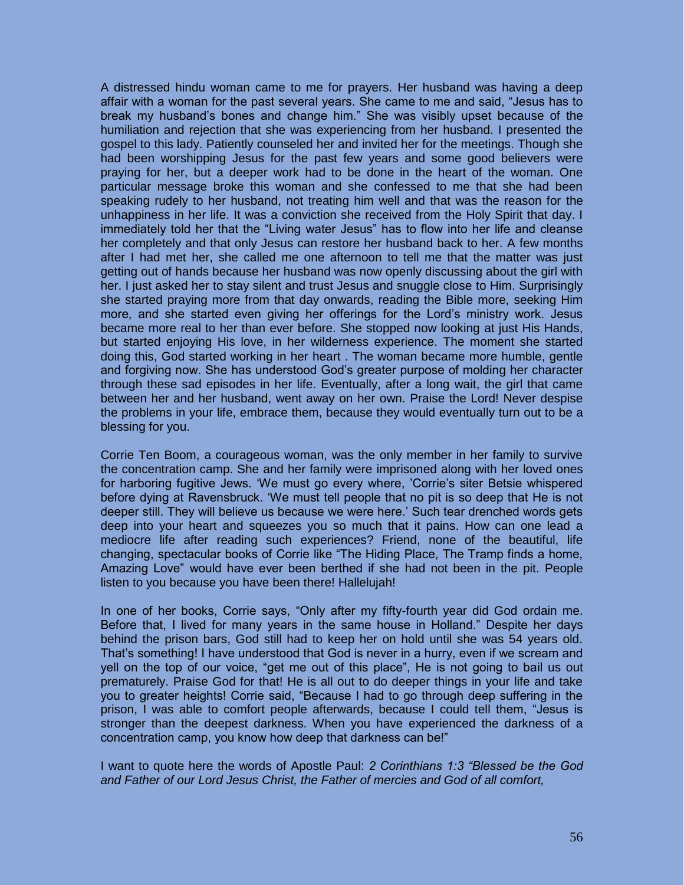A distressed hindu woman came to me for prayers. Her husband was having a deep affair with a woman for the past several years. She came to me and said, "Jesus has to break my husband's bones and change him." She was visibly upset because of the humiliation and rejection that she was experiencing from her husband. I presented the gospel to this lady. Patiently counseled her and invited her for the meetings. Though she had been worshipping Jesus for the past few years and some good believers were praying for her, but a deeper work had to be done in the heart of the woman. One particular message broke this woman and she confessed to me that she had been speaking rudely to her husband, not treating him well and that was the reason for the unhappiness in her life. It was a conviction she received from the Holy Spirit that day. I immediately told her that the "Living water Jesus" has to flow into her life and cleanse her completely and that only Jesus can restore her husband back to her. A few months after I had met her, she called me one afternoon to tell me that the matter was just getting out of hands because her husband was now openly discussing about the girl with her. I just asked her to stay silent and trust Jesus and snuggle close to Him. Surprisingly she started praying more from that day onwards, reading the Bible more, seeking Him more, and she started even giving her offerings for the Lord's ministry work. Jesus became more real to her than ever before. She stopped now looking at just His Hands, but started enjoying His love, in her wilderness experience. The moment she started doing this, God started working in her heart . The woman became more humble, gentle and forgiving now. She has understood God's greater purpose of molding her character through these sad episodes in her life. Eventually, after a long wait, the girl that came between her and her husband, went away on her own. Praise the Lord! Never despise the problems in your life, embrace them, because they would eventually turn out to be a blessing for you.

Corrie Ten Boom, a courageous woman, was the only member in her family to survive the concentration camp. She and her family were imprisoned along with her loved ones for harboring fugitive Jews. 'We must go every where, 'Corrie's siter Betsie whispered before dying at Ravensbruck. 'We must tell people that no pit is so deep that He is not deeper still. They will believe us because we were here.' Such tear drenched words gets deep into your heart and squeezes you so much that it pains. How can one lead a mediocre life after reading such experiences? Friend, none of the beautiful, life changing, spectacular books of Corrie like "The Hiding Place, The Tramp finds a home, Amazing Love" would have ever been berthed if she had not been in the pit. People listen to you because you have been there! Hallelujah!

In one of her books, Corrie says, "Only after my fifty-fourth year did God ordain me. Before that, I lived for many years in the same house in Holland." Despite her days behind the prison bars, God still had to keep her on hold until she was 54 years old. That's something! I have understood that God is never in a hurry, even if we scream and yell on the top of our voice, "get me out of this place", He is not going to bail us out prematurely. Praise God for that! He is all out to do deeper things in your life and take you to greater heights! Corrie said, "Because I had to go through deep suffering in the prison, I was able to comfort people afterwards, because I could tell them, "Jesus is stronger than the deepest darkness. When you have experienced the darkness of a concentration camp, you know how deep that darkness can be!"

I want to quote here the words of Apostle Paul: *2 Corinthians 1:3 "Blessed be the God and Father of our Lord Jesus Christ, the Father of mercies and God of all comfort,*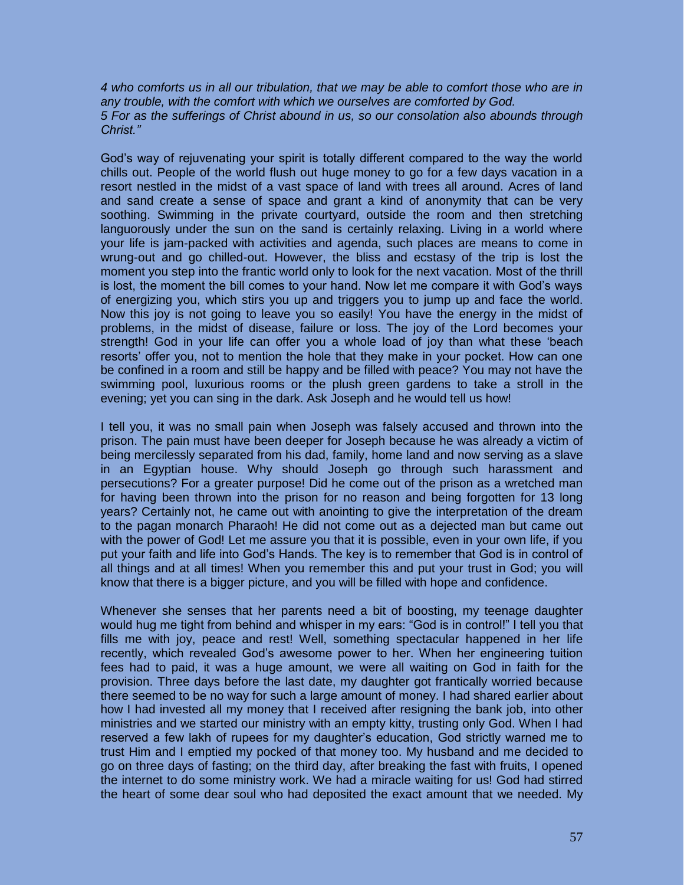*4 who comforts us in all our tribulation, that we may be able to comfort those who are in any trouble, with the comfort with which we ourselves are comforted by God. 5 For as the sufferings of Christ abound in us, so our consolation also abounds through Christ."* 

God's way of rejuvenating your spirit is totally different compared to the way the world chills out. People of the world flush out huge money to go for a few days vacation in a resort nestled in the midst of a vast space of land with trees all around. Acres of land and sand create a sense of space and grant a kind of anonymity that can be very soothing. Swimming in the private courtyard, outside the room and then stretching languorously under the sun on the sand is certainly relaxing. Living in a world where your life is jam-packed with activities and agenda, such places are means to come in wrung-out and go chilled-out. However, the bliss and ecstasy of the trip is lost the moment you step into the frantic world only to look for the next vacation. Most of the thrill is lost, the moment the bill comes to your hand. Now let me compare it with God's ways of energizing you, which stirs you up and triggers you to jump up and face the world. Now this joy is not going to leave you so easily! You have the energy in the midst of problems, in the midst of disease, failure or loss. The joy of the Lord becomes your strength! God in your life can offer you a whole load of joy than what these 'beach resorts' offer you, not to mention the hole that they make in your pocket. How can one be confined in a room and still be happy and be filled with peace? You may not have the swimming pool, luxurious rooms or the plush green gardens to take a stroll in the evening; yet you can sing in the dark. Ask Joseph and he would tell us how!

I tell you, it was no small pain when Joseph was falsely accused and thrown into the prison. The pain must have been deeper for Joseph because he was already a victim of being mercilessly separated from his dad, family, home land and now serving as a slave in an Egyptian house. Why should Joseph go through such harassment and persecutions? For a greater purpose! Did he come out of the prison as a wretched man for having been thrown into the prison for no reason and being forgotten for 13 long years? Certainly not, he came out with anointing to give the interpretation of the dream to the pagan monarch Pharaoh! He did not come out as a dejected man but came out with the power of God! Let me assure you that it is possible, even in your own life, if you put your faith and life into God's Hands. The key is to remember that God is in control of all things and at all times! When you remember this and put your trust in God; you will know that there is a bigger picture, and you will be filled with hope and confidence.

Whenever she senses that her parents need a bit of boosting, my teenage daughter would hug me tight from behind and whisper in my ears: "God is in control!" I tell you that fills me with joy, peace and rest! Well, something spectacular happened in her life recently, which revealed God's awesome power to her. When her engineering tuition fees had to paid, it was a huge amount, we were all waiting on God in faith for the provision. Three days before the last date, my daughter got frantically worried because there seemed to be no way for such a large amount of money. I had shared earlier about how I had invested all my money that I received after resigning the bank job, into other ministries and we started our ministry with an empty kitty, trusting only God. When I had reserved a few lakh of rupees for my daughter's education, God strictly warned me to trust Him and I emptied my pocked of that money too. My husband and me decided to go on three days of fasting; on the third day, after breaking the fast with fruits, I opened the internet to do some ministry work. We had a miracle waiting for us! God had stirred the heart of some dear soul who had deposited the exact amount that we needed. My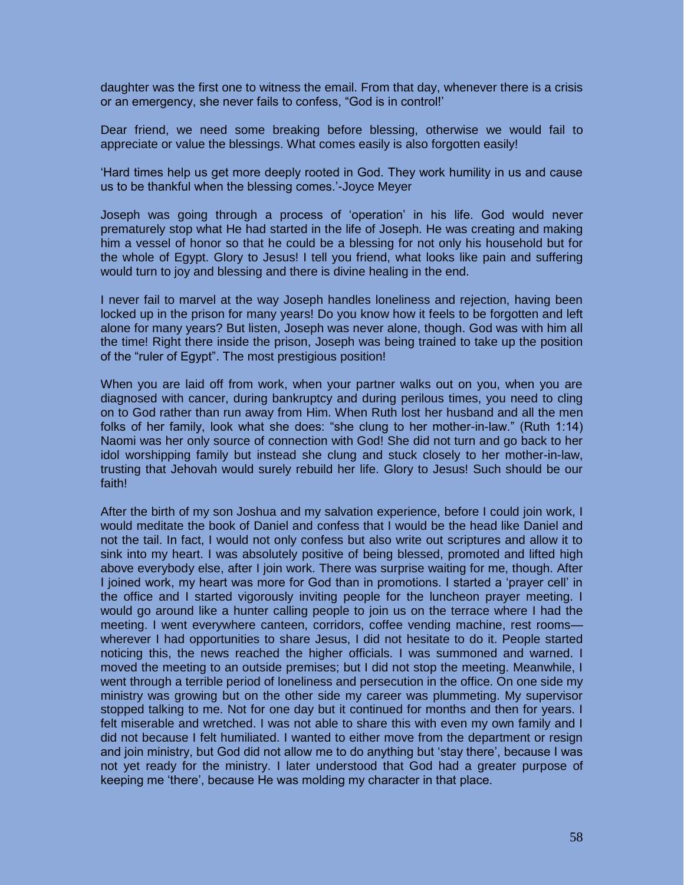daughter was the first one to witness the email. From that day, whenever there is a crisis or an emergency, she never fails to confess, "God is in control!'

Dear friend, we need some breaking before blessing, otherwise we would fail to appreciate or value the blessings. What comes easily is also forgotten easily!

'Hard times help us get more deeply rooted in God. They work humility in us and cause us to be thankful when the blessing comes.'-Joyce Meyer

Joseph was going through a process of 'operation' in his life. God would never prematurely stop what He had started in the life of Joseph. He was creating and making him a vessel of honor so that he could be a blessing for not only his household but for the whole of Egypt. Glory to Jesus! I tell you friend, what looks like pain and suffering would turn to joy and blessing and there is divine healing in the end.

I never fail to marvel at the way Joseph handles loneliness and rejection, having been locked up in the prison for many years! Do you know how it feels to be forgotten and left alone for many years? But listen, Joseph was never alone, though. God was with him all the time! Right there inside the prison, Joseph was being trained to take up the position of the "ruler of Egypt". The most prestigious position!

When you are laid off from work, when your partner walks out on you, when you are diagnosed with cancer, during bankruptcy and during perilous times, you need to cling on to God rather than run away from Him. When Ruth lost her husband and all the men folks of her family, look what she does: "she clung to her mother-in-law." (Ruth 1:14) Naomi was her only source of connection with God! She did not turn and go back to her idol worshipping family but instead she clung and stuck closely to her mother-in-law, trusting that Jehovah would surely rebuild her life. Glory to Jesus! Such should be our faith!

After the birth of my son Joshua and my salvation experience, before I could join work, I would meditate the book of Daniel and confess that I would be the head like Daniel and not the tail. In fact, I would not only confess but also write out scriptures and allow it to sink into my heart. I was absolutely positive of being blessed, promoted and lifted high above everybody else, after I join work. There was surprise waiting for me, though. After I joined work, my heart was more for God than in promotions. I started a 'prayer cell' in the office and I started vigorously inviting people for the luncheon prayer meeting. I would go around like a hunter calling people to join us on the terrace where I had the meeting. I went everywhere canteen, corridors, coffee vending machine, rest rooms wherever I had opportunities to share Jesus, I did not hesitate to do it. People started noticing this, the news reached the higher officials. I was summoned and warned. I moved the meeting to an outside premises; but I did not stop the meeting. Meanwhile, I went through a terrible period of loneliness and persecution in the office. On one side my ministry was growing but on the other side my career was plummeting. My supervisor stopped talking to me. Not for one day but it continued for months and then for years. I felt miserable and wretched. I was not able to share this with even my own family and I did not because I felt humiliated. I wanted to either move from the department or resign and join ministry, but God did not allow me to do anything but 'stay there', because I was not yet ready for the ministry. I later understood that God had a greater purpose of keeping me 'there', because He was molding my character in that place.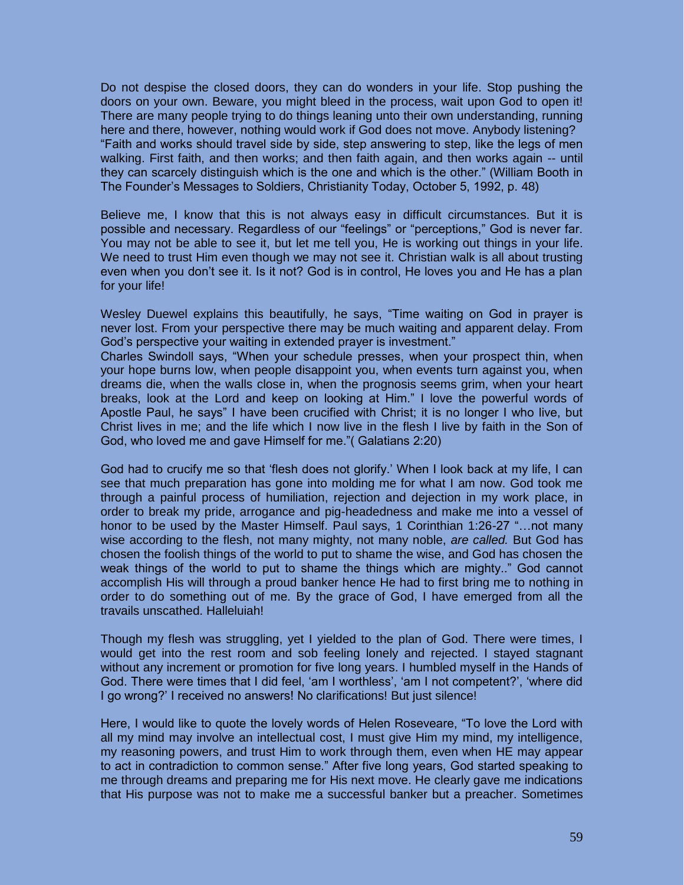Do not despise the closed doors, they can do wonders in your life. Stop pushing the doors on your own. Beware, you might bleed in the process, wait upon God to open it! There are many people trying to do things leaning unto their own understanding, running here and there, however, nothing would work if God does not move. Anybody listening? "Faith and works should travel side by side, step answering to step, like the legs of men walking. First faith, and then works; and then faith again, and then works again -- until they can scarcely distinguish which is the one and which is the other." (William Booth in The Founder's Messages to Soldiers, Christianity Today, October 5, 1992, p. 48)

Believe me, I know that this is not always easy in difficult circumstances. But it is possible and necessary. Regardless of our "feelings" or "perceptions," God is never far. You may not be able to see it, but let me tell you, He is working out things in your life. We need to trust Him even though we may not see it. Christian walk is all about trusting even when you don't see it. Is it not? God is in control, He loves you and He has a plan for your life!

Wesley Duewel explains this beautifully, he says, "Time waiting on God in prayer is never lost. From your perspective there may be much waiting and apparent delay. From God's perspective your waiting in extended prayer is investment."

Charles Swindoll says, "When your schedule presses, when your prospect thin, when your hope burns low, when people disappoint you, when events turn against you, when dreams die, when the walls close in, when the prognosis seems grim, when your heart breaks, look at the Lord and keep on looking at Him." I love the powerful words of Apostle Paul, he says" I have been crucified with Christ; it is no longer I who live, but Christ lives in me; and the life which I now live in the flesh I live by faith in the Son of God, who loved me and gave Himself for me."( Galatians 2:20)

God had to crucify me so that 'flesh does not glorify.' When I look back at my life, I can see that much preparation has gone into molding me for what I am now. God took me through a painful process of humiliation, rejection and dejection in my work place, in order to break my pride, arrogance and pig-headedness and make me into a vessel of honor to be used by the Master Himself. Paul says, 1 Corinthian 1:26-27 "…not many wise according to the flesh, not many mighty, not many noble, *are called.* But God has chosen the foolish things of the world to put to shame the wise, and God has chosen the weak things of the world to put to shame the things which are mighty.." God cannot accomplish His will through a proud banker hence He had to first bring me to nothing in order to do something out of me. By the grace of God, I have emerged from all the travails unscathed. Halleluiah!

Though my flesh was struggling, yet I yielded to the plan of God. There were times, I would get into the rest room and sob feeling lonely and rejected. I stayed stagnant without any increment or promotion for five long years. I humbled myself in the Hands of God. There were times that I did feel, 'am I worthless', 'am I not competent?', 'where did I go wrong?' I received no answers! No clarifications! But just silence!

Here, I would like to quote the lovely words of Helen Roseveare, "To love the Lord with all my mind may involve an intellectual cost, I must give Him my mind, my intelligence, my reasoning powers, and trust Him to work through them, even when HE may appear to act in contradiction to common sense." After five long years, God started speaking to me through dreams and preparing me for His next move. He clearly gave me indications that His purpose was not to make me a successful banker but a preacher. Sometimes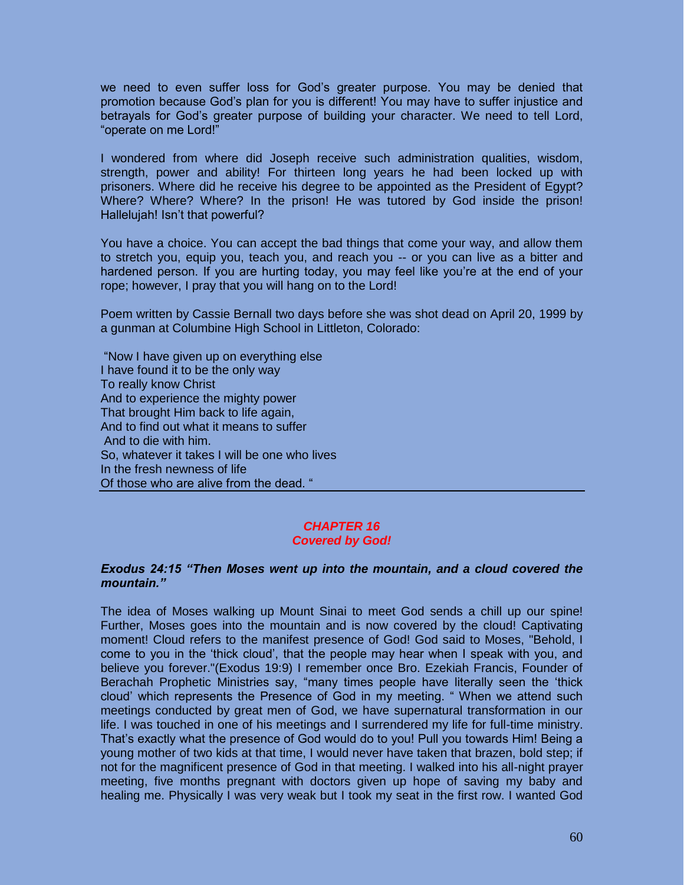we need to even suffer loss for God's greater purpose. You may be denied that promotion because God's plan for you is different! You may have to suffer injustice and betrayals for God's greater purpose of building your character. We need to tell Lord, "operate on me Lord!"

I wondered from where did Joseph receive such administration qualities, wisdom, strength, power and ability! For thirteen long years he had been locked up with prisoners. Where did he receive his degree to be appointed as the President of Egypt? Where? Where? Where? In the prison! He was tutored by God inside the prison! Hallelujah! Isn't that powerful?

You have a choice. You can accept the bad things that come your way, and allow them to stretch you, equip you, teach you, and reach you -- or you can live as a bitter and hardened person. If you are hurting today, you may feel like you're at the end of your rope; however, I pray that you will hang on to the Lord!

Poem written by Cassie Bernall two days before she was shot dead on April 20, 1999 by a gunman at Columbine High School in Littleton, Colorado:

"Now I have given up on everything else I have found it to be the only way To really know Christ And to experience the mighty power That brought Him back to life again, And to find out what it means to suffer And to die with him. So, whatever it takes I will be one who lives In the fresh newness of life Of those who are alive from the dead. "

#### *CHAPTER 16 Covered by God!*

## *Exodus 24:15 "Then Moses went up into the mountain, and a cloud covered the mountain."*

The idea of Moses walking up Mount Sinai to meet God sends a chill up our spine! Further, Moses goes into the mountain and is now covered by the cloud! Captivating moment! Cloud refers to the manifest presence of God! God said to Moses, "Behold, I come to you in the 'thick cloud', that the people may hear when I speak with you, and believe you forever."(Exodus 19:9) I remember once Bro. Ezekiah Francis, Founder of Berachah Prophetic Ministries say, "many times people have literally seen the 'thick cloud' which represents the Presence of God in my meeting. " When we attend such meetings conducted by great men of God, we have supernatural transformation in our life. I was touched in one of his meetings and I surrendered my life for full-time ministry. That's exactly what the presence of God would do to you! Pull you towards Him! Being a young mother of two kids at that time, I would never have taken that brazen, bold step; if not for the magnificent presence of God in that meeting. I walked into his all-night prayer meeting, five months pregnant with doctors given up hope of saving my baby and healing me. Physically I was very weak but I took my seat in the first row. I wanted God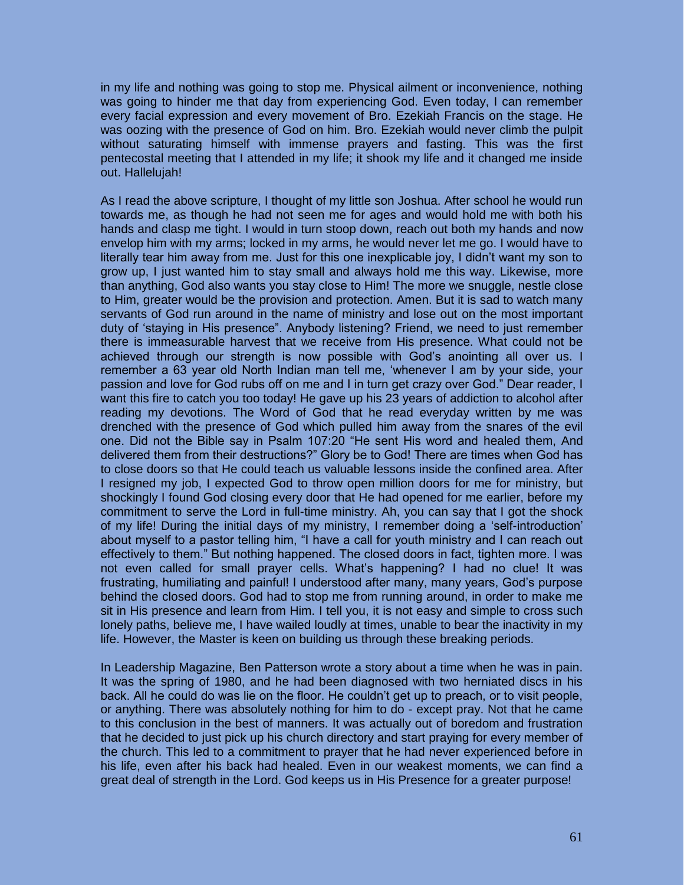in my life and nothing was going to stop me. Physical ailment or inconvenience, nothing was going to hinder me that day from experiencing God. Even today, I can remember every facial expression and every movement of Bro. Ezekiah Francis on the stage. He was oozing with the presence of God on him. Bro. Ezekiah would never climb the pulpit without saturating himself with immense prayers and fasting. This was the first pentecostal meeting that I attended in my life; it shook my life and it changed me inside out. Hallelujah!

As I read the above scripture, I thought of my little son Joshua. After school he would run towards me, as though he had not seen me for ages and would hold me with both his hands and clasp me tight. I would in turn stoop down, reach out both my hands and now envelop him with my arms; locked in my arms, he would never let me go. I would have to literally tear him away from me. Just for this one inexplicable joy, I didn't want my son to grow up, I just wanted him to stay small and always hold me this way. Likewise, more than anything, God also wants you stay close to Him! The more we snuggle, nestle close to Him, greater would be the provision and protection. Amen. But it is sad to watch many servants of God run around in the name of ministry and lose out on the most important duty of 'staying in His presence". Anybody listening? Friend, we need to just remember there is immeasurable harvest that we receive from His presence. What could not be achieved through our strength is now possible with God's anointing all over us. I remember a 63 year old North Indian man tell me, 'whenever I am by your side, your passion and love for God rubs off on me and I in turn get crazy over God." Dear reader, I want this fire to catch you too today! He gave up his 23 years of addiction to alcohol after reading my devotions. The Word of God that he read everyday written by me was drenched with the presence of God which pulled him away from the snares of the evil one. Did not the Bible say in Psalm 107:20 "He sent His word and healed them, And delivered them from their destructions?" Glory be to God! There are times when God has to close doors so that He could teach us valuable lessons inside the confined area. After I resigned my job, I expected God to throw open million doors for me for ministry, but shockingly I found God closing every door that He had opened for me earlier, before my commitment to serve the Lord in full-time ministry. Ah, you can say that I got the shock of my life! During the initial days of my ministry, I remember doing a 'self-introduction' about myself to a pastor telling him, "I have a call for youth ministry and I can reach out effectively to them." But nothing happened. The closed doors in fact, tighten more. I was not even called for small prayer cells. What's happening? I had no clue! It was frustrating, humiliating and painful! I understood after many, many years, God's purpose behind the closed doors. God had to stop me from running around, in order to make me sit in His presence and learn from Him. I tell you, it is not easy and simple to cross such lonely paths, believe me, I have wailed loudly at times, unable to bear the inactivity in my life. However, the Master is keen on building us through these breaking periods.

In Leadership Magazine, Ben Patterson wrote a story about a time when he was in pain. It was the spring of 1980, and he had been diagnosed with two herniated discs in his back. All he could do was lie on the floor. He couldn't get up to preach, or to visit people, or anything. There was absolutely nothing for him to do - except pray. Not that he came to this conclusion in the best of manners. It was actually out of boredom and frustration that he decided to just pick up his church directory and start praying for every member of the church. This led to a commitment to prayer that he had never experienced before in his life, even after his back had healed. Even in our weakest moments, we can find a great deal of strength in the Lord. God keeps us in His Presence for a greater purpose!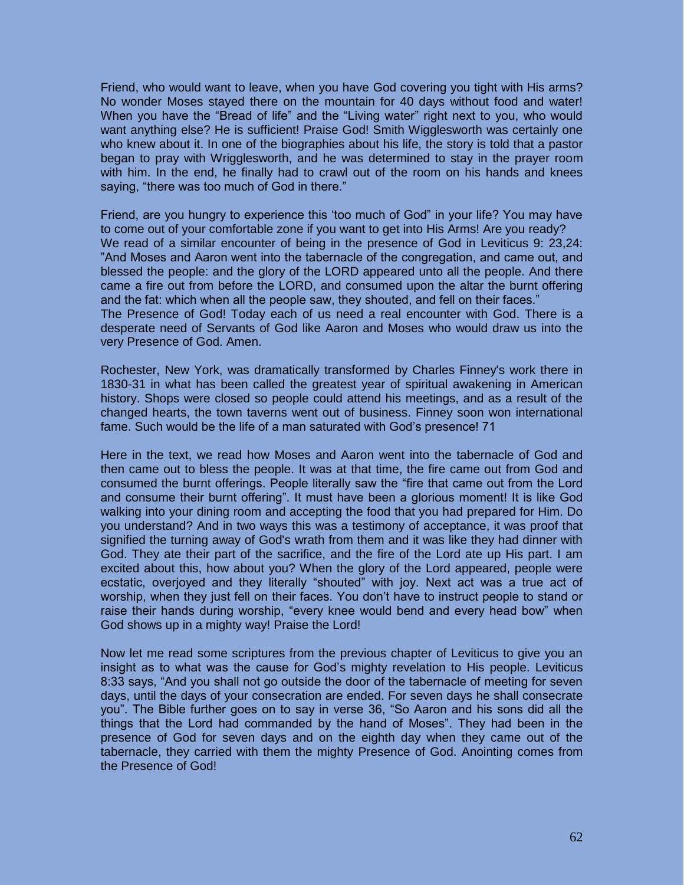Friend, who would want to leave, when you have God covering you tight with His arms? No wonder Moses stayed there on the mountain for 40 days without food and water! When you have the "Bread of life" and the "Living water" right next to you, who would want anything else? He is sufficient! Praise God! Smith Wigglesworth was certainly one who knew about it. In one of the biographies about his life, the story is told that a pastor began to pray with Wrigglesworth, and he was determined to stay in the prayer room with him. In the end, he finally had to crawl out of the room on his hands and knees saying, "there was too much of God in there."

Friend, are you hungry to experience this 'too much of God" in your life? You may have to come out of your comfortable zone if you want to get into His Arms! Are you ready? We read of a similar encounter of being in the presence of God in Leviticus 9: 23,24: "And Moses and Aaron went into the tabernacle of the congregation, and came out, and blessed the people: and the glory of the LORD appeared unto all the people. And there came a fire out from before the LORD, and consumed upon the altar the burnt offering and the fat: which when all the people saw, they shouted, and fell on their faces." The Presence of God! Today each of us need a real encounter with God. There is a desperate need of Servants of God like Aaron and Moses who would draw us into the very Presence of God. Amen.

Rochester, New York, was dramatically transformed by Charles Finney's work there in 1830-31 in what has been called the greatest year of spiritual awakening in American history. Shops were closed so people could attend his meetings, and as a result of the changed hearts, the town taverns went out of business. Finney soon won international fame. Such would be the life of a man saturated with God's presence! 71

Here in the text, we read how Moses and Aaron went into the tabernacle of God and then came out to bless the people. It was at that time, the fire came out from God and consumed the burnt offerings. People literally saw the "fire that came out from the Lord and consume their burnt offering". It must have been a glorious moment! It is like God walking into your dining room and accepting the food that you had prepared for Him. Do you understand? And in two ways this was a testimony of acceptance, it was proof that signified the turning away of God's wrath from them and it was like they had dinner with God. They ate their part of the sacrifice, and the fire of the Lord ate up His part. I am excited about this, how about you? When the glory of the Lord appeared, people were ecstatic, overjoyed and they literally "shouted" with joy. Next act was a true act of worship, when they just fell on their faces. You don't have to instruct people to stand or raise their hands during worship, "every knee would bend and every head bow" when God shows up in a mighty way! Praise the Lord!

Now let me read some scriptures from the previous chapter of Leviticus to give you an insight as to what was the cause for God's mighty revelation to His people. Leviticus 8:33 says, "And you shall not go outside the door of the tabernacle of meeting for seven days, until the days of your consecration are ended. For seven days he shall consecrate you". The Bible further goes on to say in verse 36, "So Aaron and his sons did all the things that the Lord had commanded by the hand of Moses". They had been in the presence of God for seven days and on the eighth day when they came out of the tabernacle, they carried with them the mighty Presence of God. Anointing comes from the Presence of God!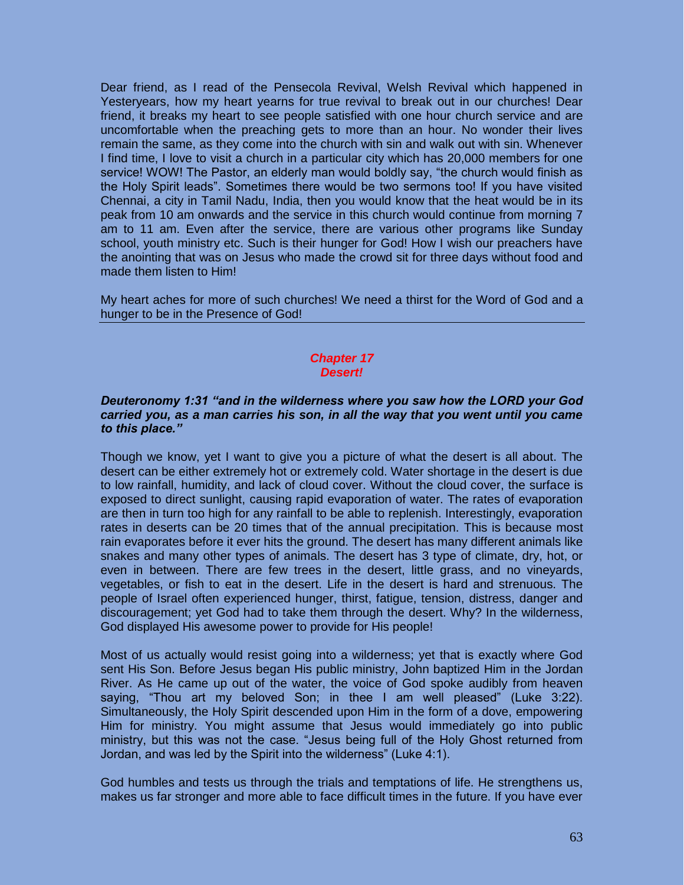Dear friend, as I read of the Pensecola Revival, Welsh Revival which happened in Yesteryears, how my heart yearns for true revival to break out in our churches! Dear friend, it breaks my heart to see people satisfied with one hour church service and are uncomfortable when the preaching gets to more than an hour. No wonder their lives remain the same, as they come into the church with sin and walk out with sin. Whenever I find time, I love to visit a church in a particular city which has 20,000 members for one service! WOW! The Pastor, an elderly man would boldly say, "the church would finish as the Holy Spirit leads". Sometimes there would be two sermons too! If you have visited Chennai, a city in Tamil Nadu, India, then you would know that the heat would be in its peak from 10 am onwards and the service in this church would continue from morning 7 am to 11 am. Even after the service, there are various other programs like Sunday school, youth ministry etc. Such is their hunger for God! How I wish our preachers have the anointing that was on Jesus who made the crowd sit for three days without food and made them listen to Him!

My heart aches for more of such churches! We need a thirst for the Word of God and a hunger to be in the Presence of God!

#### *Chapter 17 Desert!*

# *Deuteronomy 1:31 "and in the wilderness where you saw how the LORD your God carried you, as a man carries his son, in all the way that you went until you came to this place."*

Though we know, yet I want to give you a picture of what the desert is all about. The desert can be either extremely hot or extremely cold. Water shortage in the desert is due to low rainfall, humidity, and lack of cloud cover. Without the cloud cover, the surface is exposed to direct sunlight, causing rapid evaporation of water. The rates of evaporation are then in turn too high for any rainfall to be able to replenish. Interestingly, evaporation rates in deserts can be 20 times that of the annual precipitation. This is because most rain evaporates before it ever hits the ground. The desert has many different animals like snakes and many other types of animals. The desert has 3 type of climate, dry, hot, or even in between. There are few trees in the desert, little grass, and no vineyards, vegetables, or fish to eat in the desert. Life in the desert is hard and strenuous. The people of Israel often experienced hunger, thirst, fatigue, tension, distress, danger and discouragement; yet God had to take them through the desert. Why? In the wilderness, God displayed His awesome power to provide for His people!

Most of us actually would resist going into a wilderness; yet that is exactly where God sent His Son. Before Jesus began His public ministry, John baptized Him in the Jordan River. As He came up out of the water, the voice of God spoke audibly from heaven saying, "Thou art my beloved Son; in thee I am well pleased" (Luke 3:22). Simultaneously, the Holy Spirit descended upon Him in the form of a dove, empowering Him for ministry. You might assume that Jesus would immediately go into public ministry, but this was not the case. "Jesus being full of the Holy Ghost returned from Jordan, and was led by the Spirit into the wilderness" (Luke 4:1).

God humbles and tests us through the trials and temptations of life. He strengthens us, makes us far stronger and more able to face difficult times in the future. If you have ever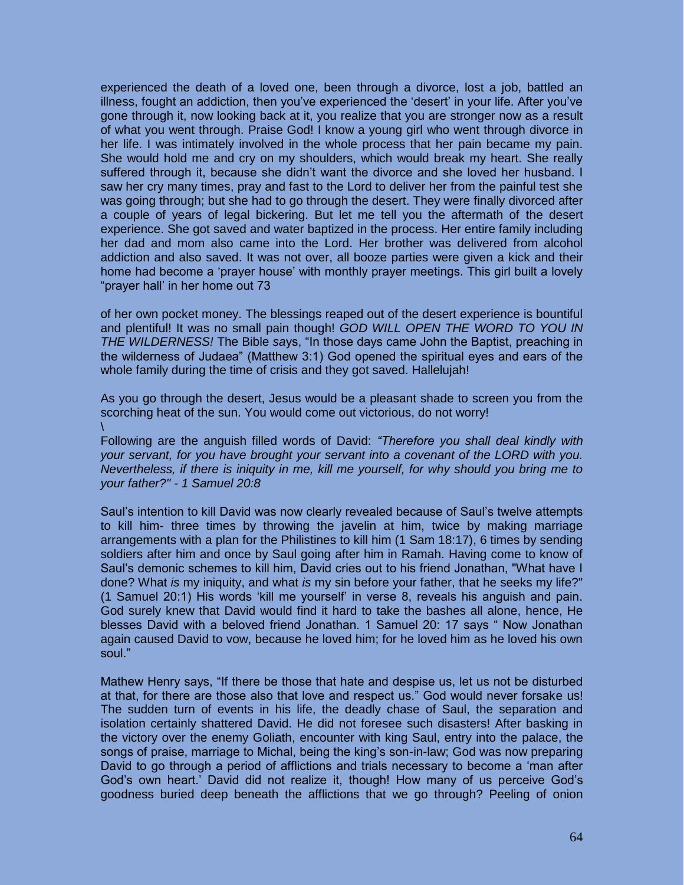experienced the death of a loved one, been through a divorce, lost a job, battled an illness, fought an addiction, then you've experienced the 'desert' in your life. After you've gone through it, now looking back at it, you realize that you are stronger now as a result of what you went through. Praise God! I know a young girl who went through divorce in her life. I was intimately involved in the whole process that her pain became my pain. She would hold me and cry on my shoulders, which would break my heart. She really suffered through it, because she didn't want the divorce and she loved her husband. I saw her cry many times, pray and fast to the Lord to deliver her from the painful test she was going through; but she had to go through the desert. They were finally divorced after a couple of years of legal bickering. But let me tell you the aftermath of the desert experience. She got saved and water baptized in the process. Her entire family including her dad and mom also came into the Lord. Her brother was delivered from alcohol addiction and also saved. It was not over, all booze parties were given a kick and their home had become a 'prayer house' with monthly prayer meetings. This girl built a lovely "prayer hall' in her home out 73

of her own pocket money. The blessings reaped out of the desert experience is bountiful and plentiful! It was no small pain though! *GOD WILL OPEN THE WORD TO YOU IN THE WILDERNESS!* The Bible *sa*ys, "In those days came John the Baptist, preaching in the wilderness of Judaea" (Matthew 3:1) God opened the spiritual eyes and ears of the whole family during the time of crisis and they got saved. Hallelujah!

As you go through the desert, Jesus would be a pleasant shade to screen you from the scorching heat of the sun. You would come out victorious, do not worry! \

Following are the anguish filled words of David: *"Therefore you shall deal kindly with your servant, for you have brought your servant into a covenant of the LORD with you. Nevertheless, if there is iniquity in me, kill me yourself, for why should you bring me to your father?" - 1 Samuel 20:8* 

Saul's intention to kill David was now clearly revealed because of Saul's twelve attempts to kill him- three times by throwing the javelin at him, twice by making marriage arrangements with a plan for the Philistines to kill him (1 Sam 18:17), 6 times by sending soldiers after him and once by Saul going after him in Ramah. Having come to know of Saul's demonic schemes to kill him, David cries out to his friend Jonathan, "What have I done? What *is* my iniquity, and what *is* my sin before your father, that he seeks my life?" (1 Samuel 20:1) His words 'kill me yourself' in verse 8, reveals his anguish and pain. God surely knew that David would find it hard to take the bashes all alone, hence, He blesses David with a beloved friend Jonathan. 1 Samuel 20: 17 says " Now Jonathan again caused David to vow, because he loved him; for he loved him as he loved his own soul."

Mathew Henry says, "If there be those that hate and despise us, let us not be disturbed at that, for there are those also that love and respect us." God would never forsake us! The sudden turn of events in his life, the deadly chase of Saul, the separation and isolation certainly shattered David. He did not foresee such disasters! After basking in the victory over the enemy Goliath, encounter with king Saul, entry into the palace, the songs of praise, marriage to Michal, being the king's son-in-law; God was now preparing David to go through a period of afflictions and trials necessary to become a 'man after God's own heart.' David did not realize it, though! How many of us perceive God's goodness buried deep beneath the afflictions that we go through? Peeling of onion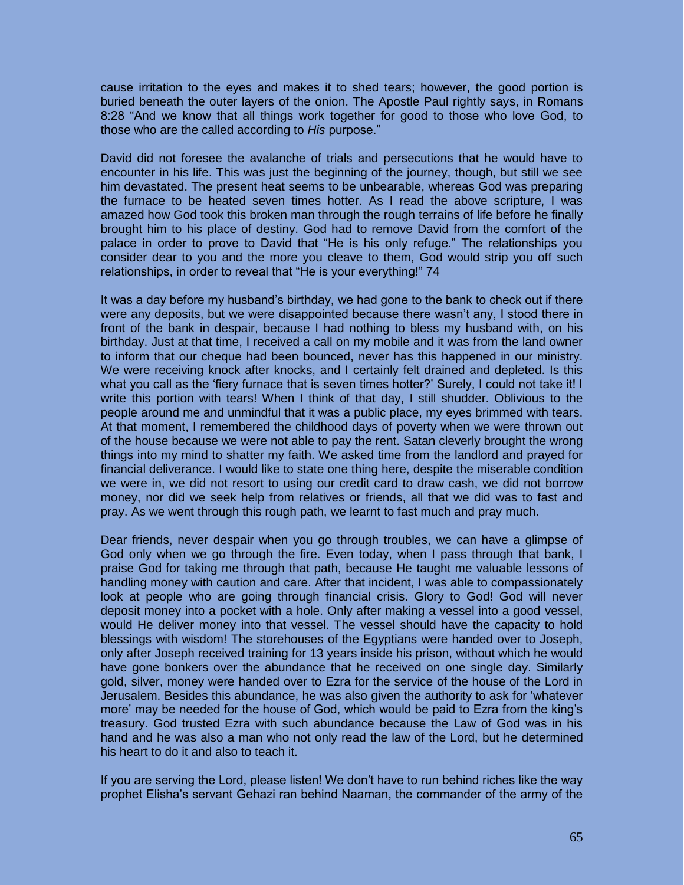cause irritation to the eyes and makes it to shed tears; however, the good portion is buried beneath the outer layers of the onion. The Apostle Paul rightly says, in Romans 8:28 "And we know that all things work together for good to those who love God, to those who are the called according to *His* purpose."

David did not foresee the avalanche of trials and persecutions that he would have to encounter in his life. This was just the beginning of the journey, though, but still we see him devastated. The present heat seems to be unbearable, whereas God was preparing the furnace to be heated seven times hotter. As I read the above scripture, I was amazed how God took this broken man through the rough terrains of life before he finally brought him to his place of destiny. God had to remove David from the comfort of the palace in order to prove to David that "He is his only refuge." The relationships you consider dear to you and the more you cleave to them, God would strip you off such relationships, in order to reveal that "He is your everything!" 74

It was a day before my husband's birthday, we had gone to the bank to check out if there were any deposits, but we were disappointed because there wasn't any, I stood there in front of the bank in despair, because I had nothing to bless my husband with, on his birthday. Just at that time, I received a call on my mobile and it was from the land owner to inform that our cheque had been bounced, never has this happened in our ministry. We were receiving knock after knocks, and I certainly felt drained and depleted. Is this what you call as the 'fiery furnace that is seven times hotter?' Surely, I could not take it! I write this portion with tears! When I think of that day, I still shudder. Oblivious to the people around me and unmindful that it was a public place, my eyes brimmed with tears. At that moment, I remembered the childhood days of poverty when we were thrown out of the house because we were not able to pay the rent. Satan cleverly brought the wrong things into my mind to shatter my faith. We asked time from the landlord and prayed for financial deliverance. I would like to state one thing here, despite the miserable condition we were in, we did not resort to using our credit card to draw cash, we did not borrow money, nor did we seek help from relatives or friends, all that we did was to fast and pray. As we went through this rough path, we learnt to fast much and pray much.

Dear friends, never despair when you go through troubles, we can have a glimpse of God only when we go through the fire. Even today, when I pass through that bank, I praise God for taking me through that path, because He taught me valuable lessons of handling money with caution and care. After that incident, I was able to compassionately look at people who are going through financial crisis. Glory to God! God will never deposit money into a pocket with a hole. Only after making a vessel into a good vessel, would He deliver money into that vessel. The vessel should have the capacity to hold blessings with wisdom! The storehouses of the Egyptians were handed over to Joseph, only after Joseph received training for 13 years inside his prison, without which he would have gone bonkers over the abundance that he received on one single day. Similarly gold, silver, money were handed over to Ezra for the service of the house of the Lord in Jerusalem. Besides this abundance, he was also given the authority to ask for 'whatever more' may be needed for the house of God, which would be paid to Ezra from the king's treasury. God trusted Ezra with such abundance because the Law of God was in his hand and he was also a man who not only read the law of the Lord, but he determined his heart to do it and also to teach it.

If you are serving the Lord, please listen! We don't have to run behind riches like the way prophet Elisha's servant Gehazi ran behind Naaman, the commander of the army of the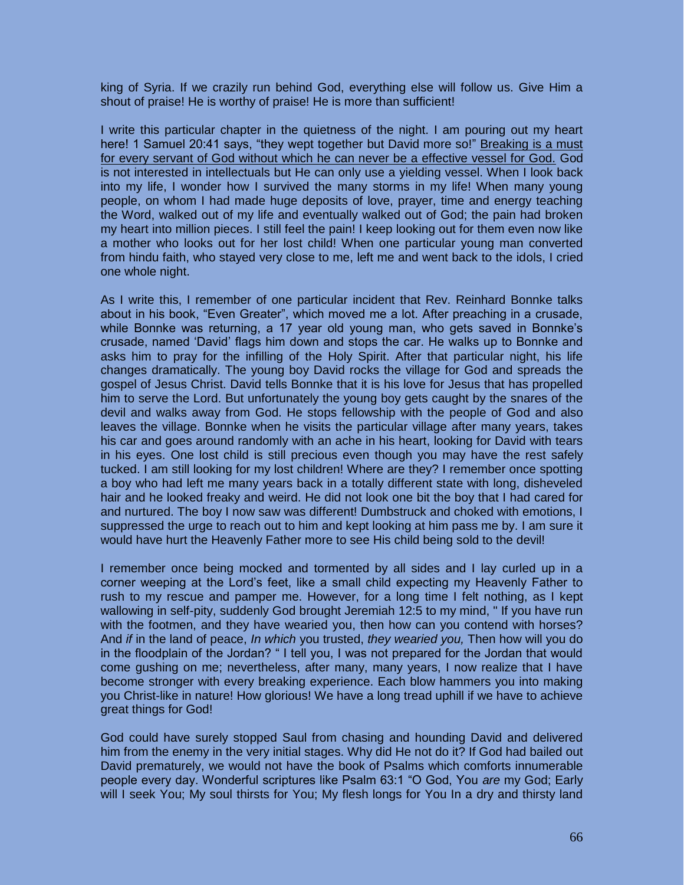king of Syria. If we crazily run behind God, everything else will follow us. Give Him a shout of praise! He is worthy of praise! He is more than sufficient!

I write this particular chapter in the quietness of the night. I am pouring out my heart here! 1 Samuel 20:41 says, "they wept together but David more so!" Breaking is a must for every servant of God without which he can never be a effective vessel for God. God is not interested in intellectuals but He can only use a yielding vessel. When I look back into my life, I wonder how I survived the many storms in my life! When many young people, on whom I had made huge deposits of love, prayer, time and energy teaching the Word, walked out of my life and eventually walked out of God; the pain had broken my heart into million pieces. I still feel the pain! I keep looking out for them even now like a mother who looks out for her lost child! When one particular young man converted from hindu faith, who stayed very close to me, left me and went back to the idols, I cried one whole night.

As I write this, I remember of one particular incident that Rev. Reinhard Bonnke talks about in his book, "Even Greater", which moved me a lot. After preaching in a crusade, while Bonnke was returning, a 17 year old young man, who gets saved in Bonnke's crusade, named 'David' flags him down and stops the car. He walks up to Bonnke and asks him to pray for the infilling of the Holy Spirit. After that particular night, his life changes dramatically. The young boy David rocks the village for God and spreads the gospel of Jesus Christ. David tells Bonnke that it is his love for Jesus that has propelled him to serve the Lord. But unfortunately the young boy gets caught by the snares of the devil and walks away from God. He stops fellowship with the people of God and also leaves the village. Bonnke when he visits the particular village after many years, takes his car and goes around randomly with an ache in his heart, looking for David with tears in his eyes. One lost child is still precious even though you may have the rest safely tucked. I am still looking for my lost children! Where are they? I remember once spotting a boy who had left me many years back in a totally different state with long, disheveled hair and he looked freaky and weird. He did not look one bit the boy that I had cared for and nurtured. The boy I now saw was different! Dumbstruck and choked with emotions, I suppressed the urge to reach out to him and kept looking at him pass me by. I am sure it would have hurt the Heavenly Father more to see His child being sold to the devil!

I remember once being mocked and tormented by all sides and I lay curled up in a corner weeping at the Lord's feet, like a small child expecting my Heavenly Father to rush to my rescue and pamper me. However, for a long time I felt nothing, as I kept wallowing in self-pity, suddenly God brought Jeremiah 12:5 to my mind, " If you have run with the footmen, and they have wearied you, then how can you contend with horses? And *if* in the land of peace, *In which* you trusted, *they wearied you,* Then how will you do in the floodplain of the Jordan? " I tell you, I was not prepared for the Jordan that would come gushing on me; nevertheless, after many, many years, I now realize that I have become stronger with every breaking experience. Each blow hammers you into making you Christ-like in nature! How glorious! We have a long tread uphill if we have to achieve great things for God!

God could have surely stopped Saul from chasing and hounding David and delivered him from the enemy in the very initial stages. Why did He not do it? If God had bailed out David prematurely, we would not have the book of Psalms which comforts innumerable people every day. Wonderful scriptures like Psalm 63:1 "O God, You *are* my God; Early will I seek You; My soul thirsts for You; My flesh longs for You In a dry and thirsty land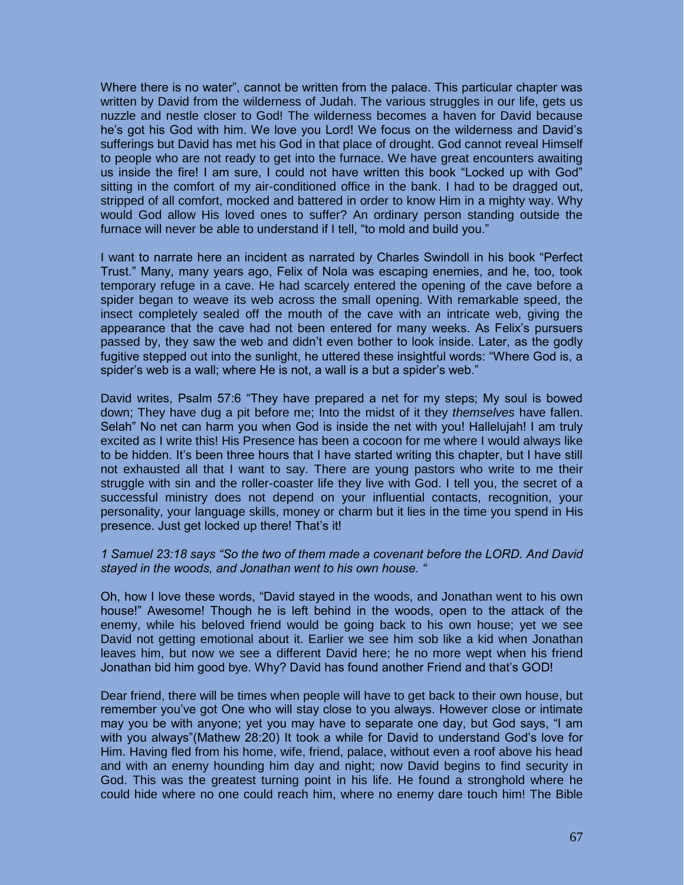Where there is no water", cannot be written from the palace. This particular chapter was written by David from the wilderness of Judah. The various struggles in our life, gets us nuzzle and nestle closer to God! The wilderness becomes a haven for David because he's got his God with him. We love you Lord! We focus on the wilderness and David's sufferings but David has met his God in that place of drought. God cannot reveal Himself to people who are not ready to get into the furnace. We have great encounters awaiting us inside the fire! I am sure, I could not have written this book "Locked up with God" sitting in the comfort of my air-conditioned office in the bank. I had to be dragged out, stripped of all comfort, mocked and battered in order to know Him in a mighty way. Why would God allow His loved ones to suffer? An ordinary person standing outside the furnace will never be able to understand if I tell, "to mold and build you."

I want to narrate here an incident as narrated by Charles Swindoll in his book "Perfect Trust." Many, many years ago, Felix of Nola was escaping enemies, and he, too, took temporary refuge in a cave. He had scarcely entered the opening of the cave before a spider began to weave its web across the small opening. With remarkable speed, the insect completely sealed off the mouth of the cave with an intricate web, giving the appearance that the cave had not been entered for many weeks. As Felix's pursuers passed by, they saw the web and didn't even bother to look inside. Later, as the godly fugitive stepped out into the sunlight, he uttered these insightful words: "Where God is, a spider's web is a wall; where He is not, a wall is a but a spider's web."

David writes, Psalm 57:6 "They have prepared a net for my steps; My soul is bowed down; They have dug a pit before me; Into the midst of it they *themselves* have fallen. Selah" No net can harm you when God is inside the net with you! Hallelujah! I am truly excited as I write this! His Presence has been a cocoon for me where I would always like to be hidden. It's been three hours that I have started writing this chapter, but I have still not exhausted all that I want to say. There are young pastors who write to me their struggle with sin and the roller-coaster life they live with God. I tell you, the secret of a successful ministry does not depend on your influential contacts, recognition, your personality, your language skills, money or charm but it lies in the time you spend in His presence. Just get locked up there! That's it!

# *1 Samuel 23:18 says "So the two of them made a covenant before the LORD. And David stayed in the woods, and Jonathan went to his own house. "*

Oh, how I love these words, "David stayed in the woods, and Jonathan went to his own house!" Awesome! Though he is left behind in the woods, open to the attack of the enemy, while his beloved friend would be going back to his own house; yet we see David not getting emotional about it. Earlier we see him sob like a kid when Jonathan leaves him, but now we see a different David here; he no more wept when his friend Jonathan bid him good bye. Why? David has found another Friend and that's GOD!

Dear friend, there will be times when people will have to get back to their own house, but remember you've got One who will stay close to you always. However close or intimate may you be with anyone; yet you may have to separate one day, but God says, "I am with you always"(Mathew 28:20) It took a while for David to understand God's love for Him. Having fled from his home, wife, friend, palace, without even a roof above his head and with an enemy hounding him day and night; now David begins to find security in God. This was the greatest turning point in his life. He found a stronghold where he could hide where no one could reach him, where no enemy dare touch him! The Bible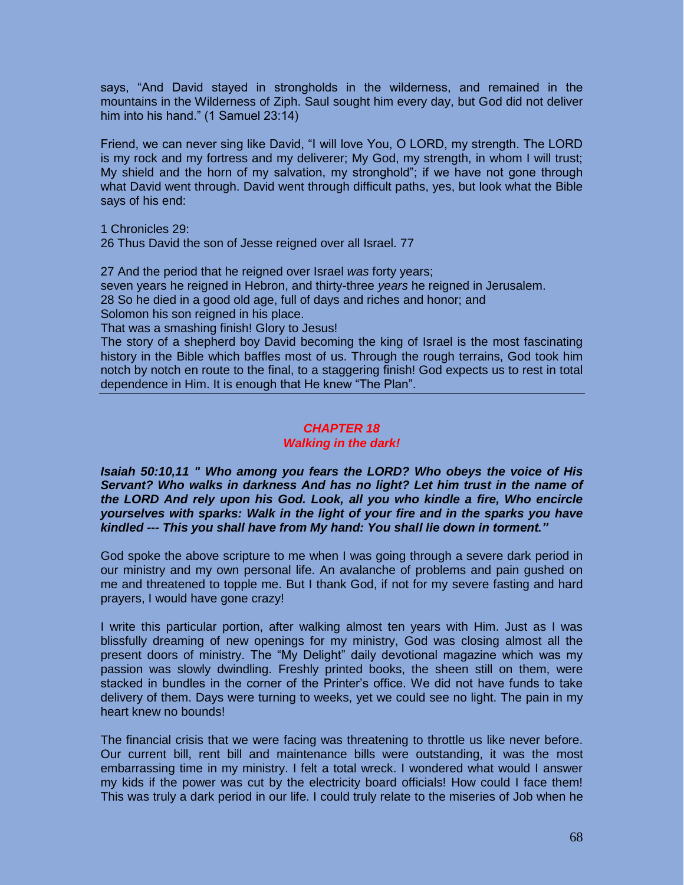says, "And David stayed in strongholds in the wilderness, and remained in the mountains in the Wilderness of Ziph. Saul sought him every day, but God did not deliver him into his hand." (1 Samuel 23:14)

Friend, we can never sing like David, "I will love You, O LORD, my strength. The LORD is my rock and my fortress and my deliverer; My God, my strength, in whom I will trust; My shield and the horn of my salvation, my stronghold"; if we have not gone through what David went through. David went through difficult paths, yes, but look what the Bible says of his end:

1 Chronicles 29:

26 Thus David the son of Jesse reigned over all Israel. 77

27 And the period that he reigned over Israel *was* forty years; seven years he reigned in Hebron, and thirty-three *years* he reigned in Jerusalem. 28 So he died in a good old age, full of days and riches and honor; and Solomon his son reigned in his place.

That was a smashing finish! Glory to Jesus!

The story of a shepherd boy David becoming the king of Israel is the most fascinating history in the Bible which baffles most of us. Through the rough terrains, God took him notch by notch en route to the final, to a staggering finish! God expects us to rest in total dependence in Him. It is enough that He knew "The Plan".

# *CHAPTER 18*

# *Walking in the dark!*

*Isaiah 50:10,11 " Who among you fears the LORD? Who obeys the voice of His Servant? Who walks in darkness And has no light? Let him trust in the name of the LORD And rely upon his God. Look, all you who kindle a fire, Who encircle yourselves with sparks: Walk in the light of your fire and in the sparks you have kindled --- This you shall have from My hand: You shall lie down in torment."* 

God spoke the above scripture to me when I was going through a severe dark period in our ministry and my own personal life. An avalanche of problems and pain gushed on me and threatened to topple me. But I thank God, if not for my severe fasting and hard prayers, I would have gone crazy!

I write this particular portion, after walking almost ten years with Him. Just as I was blissfully dreaming of new openings for my ministry, God was closing almost all the present doors of ministry. The "My Delight" daily devotional magazine which was my passion was slowly dwindling. Freshly printed books, the sheen still on them, were stacked in bundles in the corner of the Printer's office. We did not have funds to take delivery of them. Days were turning to weeks, yet we could see no light. The pain in my heart knew no bounds!

The financial crisis that we were facing was threatening to throttle us like never before. Our current bill, rent bill and maintenance bills were outstanding, it was the most embarrassing time in my ministry. I felt a total wreck. I wondered what would I answer my kids if the power was cut by the electricity board officials! How could I face them! This was truly a dark period in our life. I could truly relate to the miseries of Job when he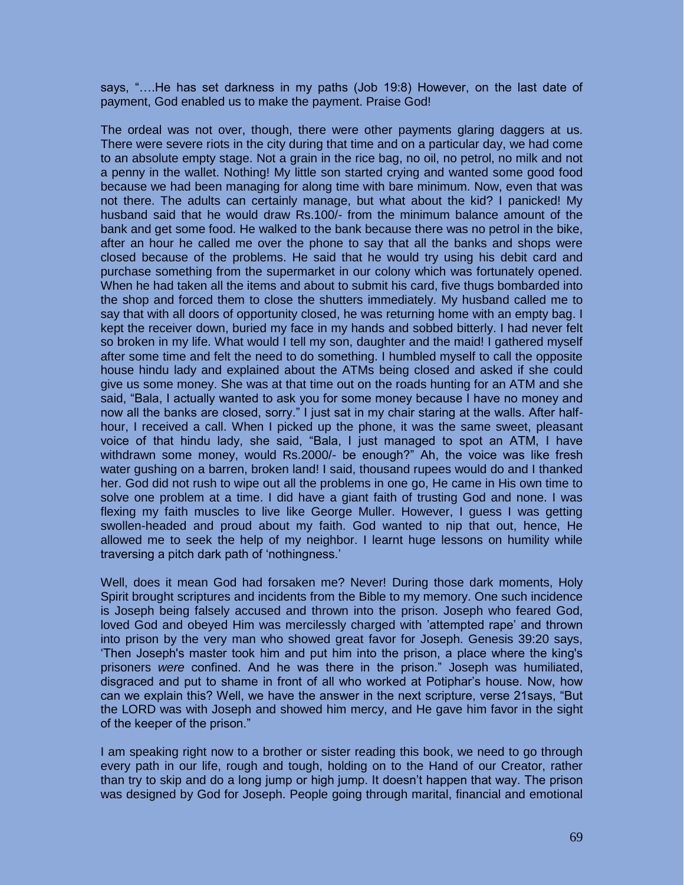says, "….He has set darkness in my paths (Job 19:8) However, on the last date of payment, God enabled us to make the payment. Praise God!

The ordeal was not over, though, there were other payments glaring daggers at us. There were severe riots in the city during that time and on a particular day, we had come to an absolute empty stage. Not a grain in the rice bag, no oil, no petrol, no milk and not a penny in the wallet. Nothing! My little son started crying and wanted some good food because we had been managing for along time with bare minimum. Now, even that was not there. The adults can certainly manage, but what about the kid? I panicked! My husband said that he would draw Rs.100/- from the minimum balance amount of the bank and get some food. He walked to the bank because there was no petrol in the bike, after an hour he called me over the phone to say that all the banks and shops were closed because of the problems. He said that he would try using his debit card and purchase something from the supermarket in our colony which was fortunately opened. When he had taken all the items and about to submit his card, five thugs bombarded into the shop and forced them to close the shutters immediately. My husband called me to say that with all doors of opportunity closed, he was returning home with an empty bag. I kept the receiver down, buried my face in my hands and sobbed bitterly. I had never felt so broken in my life. What would I tell my son, daughter and the maid! I gathered myself after some time and felt the need to do something. I humbled myself to call the opposite house hindu lady and explained about the ATMs being closed and asked if she could give us some money. She was at that time out on the roads hunting for an ATM and she said, "Bala, I actually wanted to ask you for some money because I have no money and now all the banks are closed, sorry." I just sat in my chair staring at the walls. After halfhour, I received a call. When I picked up the phone, it was the same sweet, pleasant voice of that hindu lady, she said, "Bala, I just managed to spot an ATM, I have withdrawn some money, would Rs.2000/- be enough?" Ah, the voice was like fresh water gushing on a barren, broken land! I said, thousand rupees would do and I thanked her. God did not rush to wipe out all the problems in one go, He came in His own time to solve one problem at a time. I did have a giant faith of trusting God and none. I was flexing my faith muscles to live like George Muller. However, I guess I was getting swollen-headed and proud about my faith. God wanted to nip that out, hence, He allowed me to seek the help of my neighbor. I learnt huge lessons on humility while traversing a pitch dark path of 'nothingness.'

Well, does it mean God had forsaken me? Never! During those dark moments, Holy Spirit brought scriptures and incidents from the Bible to my memory. One such incidence is Joseph being falsely accused and thrown into the prison. Joseph who feared God, loved God and obeyed Him was mercilessly charged with 'attempted rape' and thrown into prison by the very man who showed great favor for Joseph. Genesis 39:20 says, 'Then Joseph's master took him and put him into the prison, a place where the king's prisoners *were* confined. And he was there in the prison." Joseph was humiliated, disgraced and put to shame in front of all who worked at Potiphar's house. Now, how can we explain this? Well, we have the answer in the next scripture, verse 21says, "But the LORD was with Joseph and showed him mercy, and He gave him favor in the sight of the keeper of the prison."

I am speaking right now to a brother or sister reading this book, we need to go through every path in our life, rough and tough, holding on to the Hand of our Creator, rather than try to skip and do a long jump or high jump. It doesn't happen that way. The prison was designed by God for Joseph. People going through marital, financial and emotional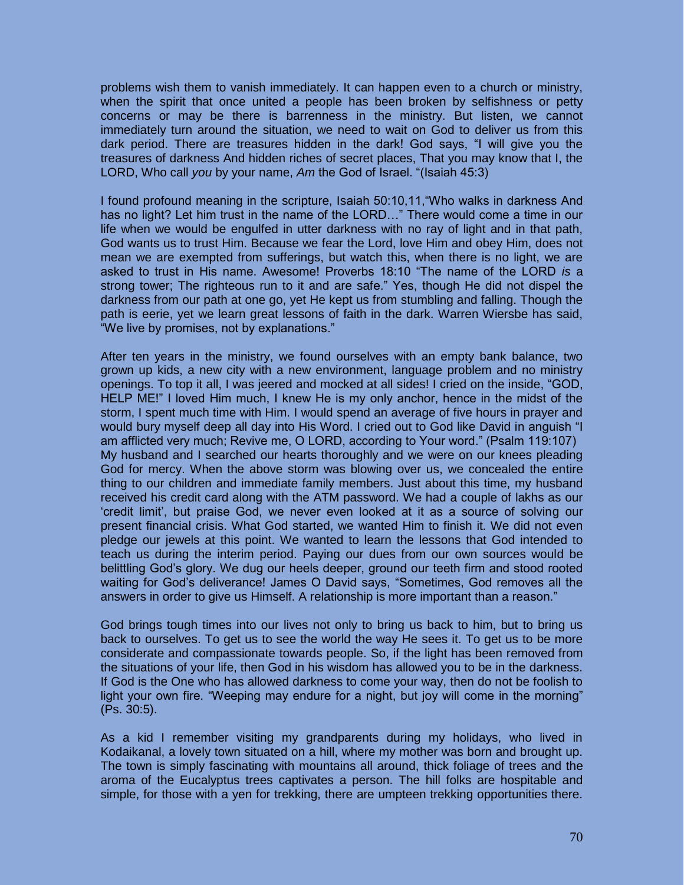problems wish them to vanish immediately. It can happen even to a church or ministry, when the spirit that once united a people has been broken by selfishness or petty concerns or may be there is barrenness in the ministry. But listen, we cannot immediately turn around the situation, we need to wait on God to deliver us from this dark period. There are treasures hidden in the dark! God says, "I will give you the treasures of darkness And hidden riches of secret places, That you may know that I, the LORD, Who call *you* by your name, *Am* the God of Israel. "(Isaiah 45:3)

I found profound meaning in the scripture, Isaiah 50:10,11,"Who walks in darkness And has no light? Let him trust in the name of the LORD…" There would come a time in our life when we would be engulfed in utter darkness with no ray of light and in that path, God wants us to trust Him. Because we fear the Lord, love Him and obey Him, does not mean we are exempted from sufferings, but watch this, when there is no light, we are asked to trust in His name. Awesome! Proverbs 18:10 "The name of the LORD *is* a strong tower; The righteous run to it and are safe." Yes, though He did not dispel the darkness from our path at one go, yet He kept us from stumbling and falling. Though the path is eerie, yet we learn great lessons of faith in the dark. Warren Wiersbe has said, "We live by promises, not by explanations."

After ten years in the ministry, we found ourselves with an empty bank balance, two grown up kids, a new city with a new environment, language problem and no ministry openings. To top it all, I was jeered and mocked at all sides! I cried on the inside, "GOD, HELP ME!" I loved Him much, I knew He is my only anchor, hence in the midst of the storm, I spent much time with Him. I would spend an average of five hours in prayer and would bury myself deep all day into His Word. I cried out to God like David in anguish "I am afflicted very much; Revive me, O LORD, according to Your word." (Psalm 119:107) My husband and I searched our hearts thoroughly and we were on our knees pleading God for mercy. When the above storm was blowing over us, we concealed the entire thing to our children and immediate family members. Just about this time, my husband received his credit card along with the ATM password. We had a couple of lakhs as our 'credit limit', but praise God, we never even looked at it as a source of solving our present financial crisis. What God started, we wanted Him to finish it. We did not even pledge our jewels at this point. We wanted to learn the lessons that God intended to teach us during the interim period. Paying our dues from our own sources would be belittling God's glory. We dug our heels deeper, ground our teeth firm and stood rooted waiting for God's deliverance! James O David says, "Sometimes, God removes all the answers in order to give us Himself. A relationship is more important than a reason."

God brings tough times into our lives not only to bring us back to him, but to bring us back to ourselves. To get us to see the world the way He sees it. To get us to be more considerate and compassionate towards people. So, if the light has been removed from the situations of your life, then God in his wisdom has allowed you to be in the darkness. If God is the One who has allowed darkness to come your way, then do not be foolish to light your own fire. "Weeping may endure for a night, but joy will come in the morning" (Ps. 30:5).

As a kid I remember visiting my grandparents during my holidays, who lived in Kodaikanal, a lovely town situated on a hill, where my mother was born and brought up. The town is simply fascinating with mountains all around, thick foliage of trees and the aroma of the Eucalyptus trees captivates a person. The hill folks are hospitable and simple, for those with a yen for trekking, there are umpteen trekking opportunities there.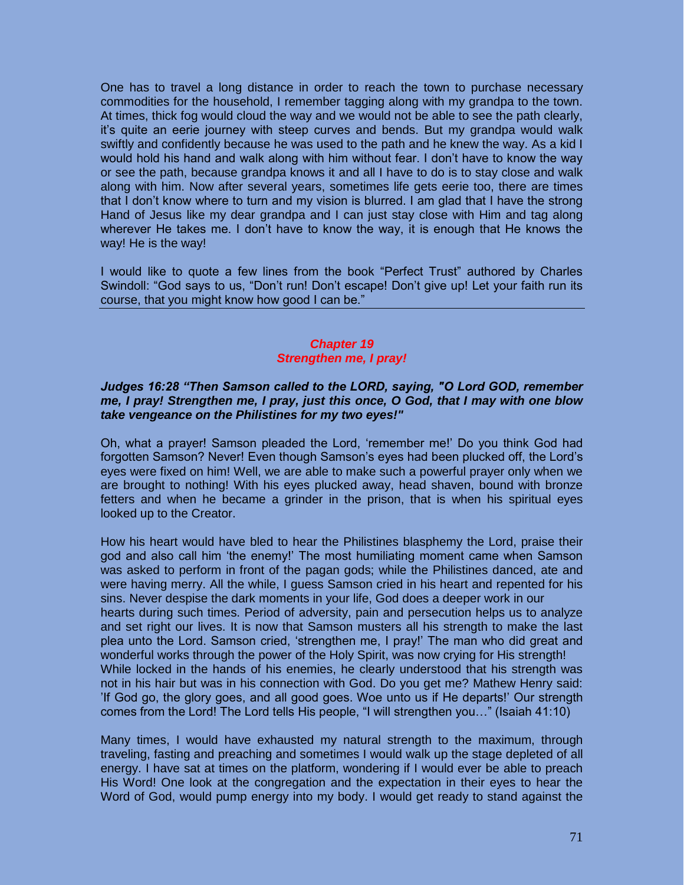One has to travel a long distance in order to reach the town to purchase necessary commodities for the household, I remember tagging along with my grandpa to the town. At times, thick fog would cloud the way and we would not be able to see the path clearly, it's quite an eerie journey with steep curves and bends. But my grandpa would walk swiftly and confidently because he was used to the path and he knew the way. As a kid I would hold his hand and walk along with him without fear. I don't have to know the way or see the path, because grandpa knows it and all I have to do is to stay close and walk along with him. Now after several years, sometimes life gets eerie too, there are times that I don't know where to turn and my vision is blurred. I am glad that I have the strong Hand of Jesus like my dear grandpa and I can just stay close with Him and tag along wherever He takes me. I don't have to know the way, it is enough that He knows the way! He is the way!

I would like to quote a few lines from the book "Perfect Trust" authored by Charles Swindoll: "God says to us, "Don't run! Don't escape! Don't give up! Let your faith run its course, that you might know how good I can be."

# *Chapter 19 Strengthen me, I pray!*

# *Judges 16:28 "Then Samson called to the LORD, saying, "O Lord GOD, remember me, I pray! Strengthen me, I pray, just this once, O God, that I may with one blow take vengeance on the Philistines for my two eyes!"*

Oh, what a prayer! Samson pleaded the Lord, 'remember me!' Do you think God had forgotten Samson? Never! Even though Samson's eyes had been plucked off, the Lord's eyes were fixed on him! Well, we are able to make such a powerful prayer only when we are brought to nothing! With his eyes plucked away, head shaven, bound with bronze fetters and when he became a grinder in the prison, that is when his spiritual eyes looked up to the Creator.

How his heart would have bled to hear the Philistines blasphemy the Lord, praise their god and also call him 'the enemy!' The most humiliating moment came when Samson was asked to perform in front of the pagan gods; while the Philistines danced, ate and were having merry. All the while, I guess Samson cried in his heart and repented for his sins. Never despise the dark moments in your life, God does a deeper work in our hearts during such times. Period of adversity, pain and persecution helps us to analyze and set right our lives. It is now that Samson musters all his strength to make the last plea unto the Lord. Samson cried, 'strengthen me, I pray!' The man who did great and wonderful works through the power of the Holy Spirit, was now crying for His strength! While locked in the hands of his enemies, he clearly understood that his strength was not in his hair but was in his connection with God. Do you get me? Mathew Henry said: 'If God go, the glory goes, and all good goes. Woe unto us if He departs!' Our strength comes from the Lord! The Lord tells His people, "I will strengthen you…" (Isaiah 41:10)

Many times, I would have exhausted my natural strength to the maximum, through traveling, fasting and preaching and sometimes I would walk up the stage depleted of all energy. I have sat at times on the platform, wondering if I would ever be able to preach His Word! One look at the congregation and the expectation in their eyes to hear the Word of God, would pump energy into my body. I would get ready to stand against the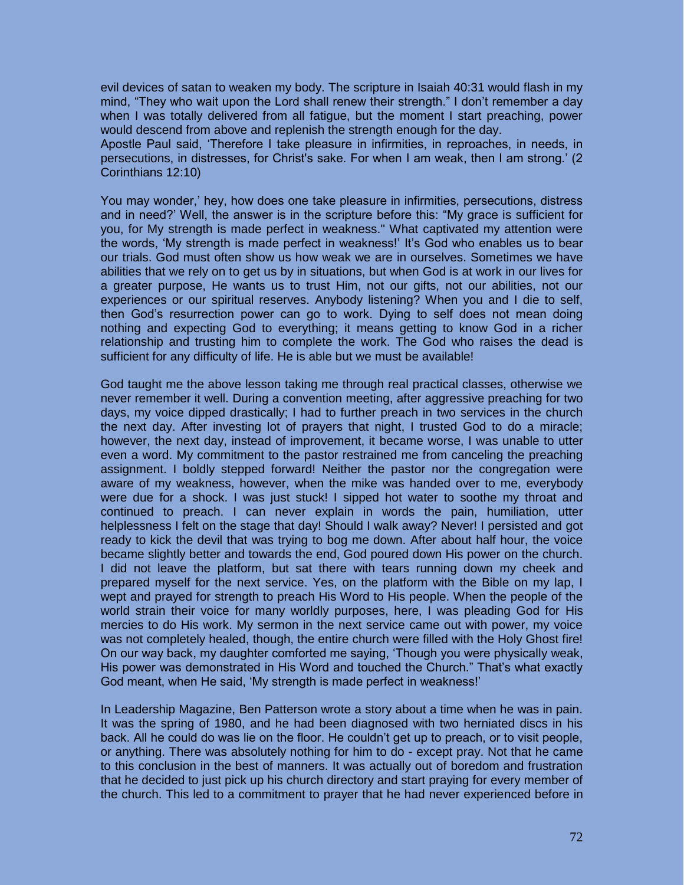evil devices of satan to weaken my body. The scripture in Isaiah 40:31 would flash in my mind, "They who wait upon the Lord shall renew their strength." I don't remember a day when I was totally delivered from all fatigue, but the moment I start preaching, power would descend from above and replenish the strength enough for the day.

Apostle Paul said, 'Therefore I take pleasure in infirmities, in reproaches, in needs, in persecutions, in distresses, for Christ's sake. For when I am weak, then I am strong.' (2 Corinthians 12:10)

You may wonder,' hey, how does one take pleasure in infirmities, persecutions, distress and in need?' Well, the answer is in the scripture before this: "My grace is sufficient for you, for My strength is made perfect in weakness." What captivated my attention were the words, 'My strength is made perfect in weakness!' It's God who enables us to bear our trials. God must often show us how weak we are in ourselves. Sometimes we have abilities that we rely on to get us by in situations, but when God is at work in our lives for a greater purpose, He wants us to trust Him, not our gifts, not our abilities, not our experiences or our spiritual reserves. Anybody listening? When you and I die to self, then God's resurrection power can go to work. Dying to self does not mean doing nothing and expecting God to everything; it means getting to know God in a richer relationship and trusting him to complete the work. The God who raises the dead is sufficient for any difficulty of life. He is able but we must be available!

God taught me the above lesson taking me through real practical classes, otherwise we never remember it well. During a convention meeting, after aggressive preaching for two days, my voice dipped drastically; I had to further preach in two services in the church the next day. After investing lot of prayers that night, I trusted God to do a miracle; however, the next day, instead of improvement, it became worse, I was unable to utter even a word. My commitment to the pastor restrained me from canceling the preaching assignment. I boldly stepped forward! Neither the pastor nor the congregation were aware of my weakness, however, when the mike was handed over to me, everybody were due for a shock. I was just stuck! I sipped hot water to soothe my throat and continued to preach. I can never explain in words the pain, humiliation, utter helplessness I felt on the stage that day! Should I walk away? Never! I persisted and got ready to kick the devil that was trying to bog me down. After about half hour, the voice became slightly better and towards the end, God poured down His power on the church. I did not leave the platform, but sat there with tears running down my cheek and prepared myself for the next service. Yes, on the platform with the Bible on my lap, I wept and prayed for strength to preach His Word to His people. When the people of the world strain their voice for many worldly purposes, here, I was pleading God for His mercies to do His work. My sermon in the next service came out with power, my voice was not completely healed, though, the entire church were filled with the Holy Ghost fire! On our way back, my daughter comforted me saying, 'Though you were physically weak, His power was demonstrated in His Word and touched the Church." That's what exactly God meant, when He said, 'My strength is made perfect in weakness!'

In Leadership Magazine, Ben Patterson wrote a story about a time when he was in pain. It was the spring of 1980, and he had been diagnosed with two herniated discs in his back. All he could do was lie on the floor. He couldn't get up to preach, or to visit people, or anything. There was absolutely nothing for him to do - except pray. Not that he came to this conclusion in the best of manners. It was actually out of boredom and frustration that he decided to just pick up his church directory and start praying for every member of the church. This led to a commitment to prayer that he had never experienced before in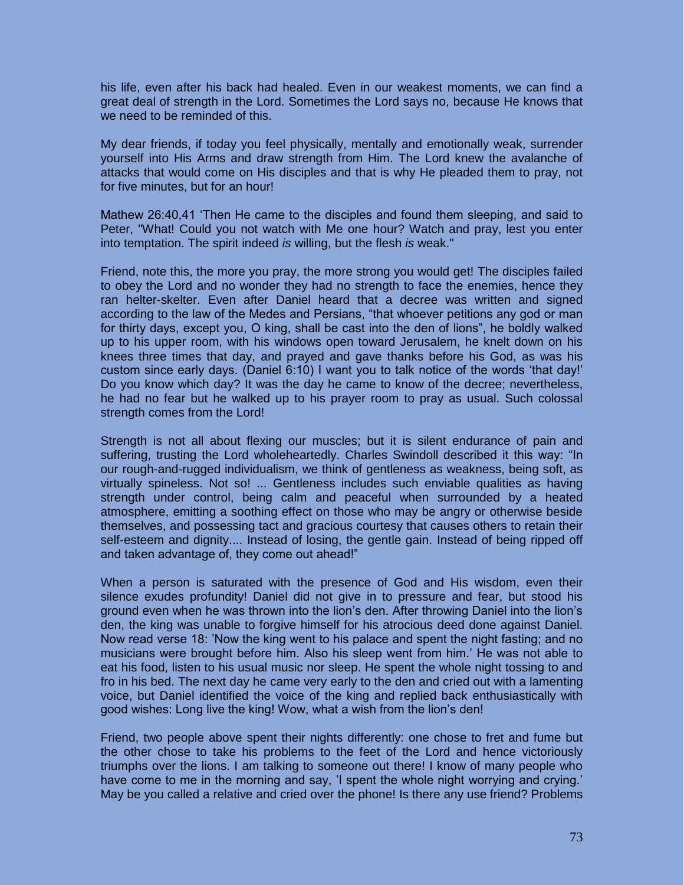his life, even after his back had healed. Even in our weakest moments, we can find a great deal of strength in the Lord. Sometimes the Lord says no, because He knows that we need to be reminded of this.

My dear friends, if today you feel physically, mentally and emotionally weak, surrender yourself into His Arms and draw strength from Him. The Lord knew the avalanche of attacks that would come on His disciples and that is why He pleaded them to pray, not for five minutes, but for an hour!

Mathew 26:40,41 'Then He came to the disciples and found them sleeping, and said to Peter, "What! Could you not watch with Me one hour? Watch and pray, lest you enter into temptation. The spirit indeed *is* willing, but the flesh *is* weak."

Friend, note this, the more you pray, the more strong you would get! The disciples failed to obey the Lord and no wonder they had no strength to face the enemies, hence they ran helter-skelter. Even after Daniel heard that a decree was written and signed according to the law of the Medes and Persians, "that whoever petitions any god or man for thirty days, except you, O king, shall be cast into the den of lions", he boldly walked up to his upper room, with his windows open toward Jerusalem, he knelt down on his knees three times that day, and prayed and gave thanks before his God, as was his custom since early days. (Daniel 6:10) I want you to talk notice of the words 'that day!' Do you know which day? It was the day he came to know of the decree; nevertheless, he had no fear but he walked up to his prayer room to pray as usual. Such colossal strength comes from the Lord!

Strength is not all about flexing our muscles; but it is silent endurance of pain and suffering, trusting the Lord wholeheartedly. Charles Swindoll described it this way: "In our rough-and-rugged individualism, we think of gentleness as weakness, being soft, as virtually spineless. Not so! ... Gentleness includes such enviable qualities as having strength under control, being calm and peaceful when surrounded by a heated atmosphere, emitting a soothing effect on those who may be angry or otherwise beside themselves, and possessing tact and gracious courtesy that causes others to retain their self-esteem and dignity.... Instead of losing, the gentle gain. Instead of being ripped off and taken advantage of, they come out ahead!"

When a person is saturated with the presence of God and His wisdom, even their silence exudes profundity! Daniel did not give in to pressure and fear, but stood his ground even when he was thrown into the lion's den. After throwing Daniel into the lion's den, the king was unable to forgive himself for his atrocious deed done against Daniel. Now read verse 18: 'Now the king went to his palace and spent the night fasting; and no musicians were brought before him. Also his sleep went from him.' He was not able to eat his food, listen to his usual music nor sleep. He spent the whole night tossing to and fro in his bed. The next day he came very early to the den and cried out with a lamenting voice, but Daniel identified the voice of the king and replied back enthusiastically with good wishes: Long live the king! Wow, what a wish from the lion's den!

Friend, two people above spent their nights differently: one chose to fret and fume but the other chose to take his problems to the feet of the Lord and hence victoriously triumphs over the lions. I am talking to someone out there! I know of many people who have come to me in the morning and say, 'I spent the whole night worrying and crying.' May be you called a relative and cried over the phone! Is there any use friend? Problems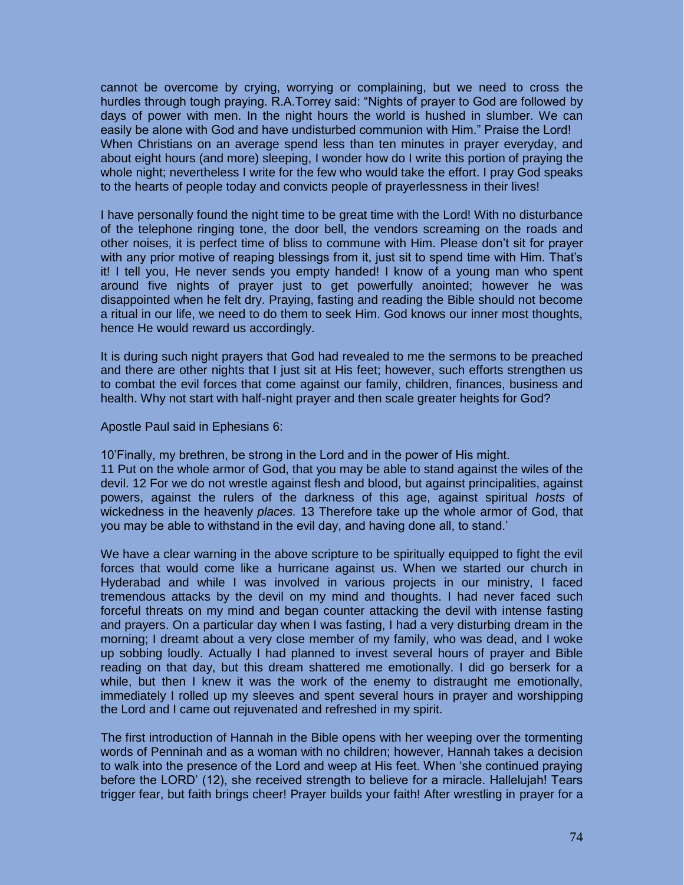cannot be overcome by crying, worrying or complaining, but we need to cross the hurdles through tough praying. R.A.Torrey said: "Nights of prayer to God are followed by days of power with men. In the night hours the world is hushed in slumber. We can easily be alone with God and have undisturbed communion with Him." Praise the Lord! When Christians on an average spend less than ten minutes in prayer everyday, and about eight hours (and more) sleeping, I wonder how do I write this portion of praying the whole night; nevertheless I write for the few who would take the effort. I pray God speaks to the hearts of people today and convicts people of prayerlessness in their lives!

I have personally found the night time to be great time with the Lord! With no disturbance of the telephone ringing tone, the door bell, the vendors screaming on the roads and other noises, it is perfect time of bliss to commune with Him. Please don't sit for prayer with any prior motive of reaping blessings from it, just sit to spend time with Him. That's it! I tell you, He never sends you empty handed! I know of a young man who spent around five nights of prayer just to get powerfully anointed; however he was disappointed when he felt dry. Praying, fasting and reading the Bible should not become a ritual in our life, we need to do them to seek Him. God knows our inner most thoughts, hence He would reward us accordingly.

It is during such night prayers that God had revealed to me the sermons to be preached and there are other nights that I just sit at His feet; however, such efforts strengthen us to combat the evil forces that come against our family, children, finances, business and health. Why not start with half-night prayer and then scale greater heights for God?

Apostle Paul said in Ephesians 6:

10'Finally, my brethren, be strong in the Lord and in the power of His might.

11 Put on the whole armor of God, that you may be able to stand against the wiles of the devil. 12 For we do not wrestle against flesh and blood, but against principalities, against powers, against the rulers of the darkness of this age, against spiritual *hosts* of wickedness in the heavenly *places.* 13 Therefore take up the whole armor of God, that you may be able to withstand in the evil day, and having done all, to stand.'

We have a clear warning in the above scripture to be spiritually equipped to fight the evil forces that would come like a hurricane against us. When we started our church in Hyderabad and while I was involved in various projects in our ministry, I faced tremendous attacks by the devil on my mind and thoughts. I had never faced such forceful threats on my mind and began counter attacking the devil with intense fasting and prayers. On a particular day when I was fasting, I had a very disturbing dream in the morning; I dreamt about a very close member of my family, who was dead, and I woke up sobbing loudly. Actually I had planned to invest several hours of prayer and Bible reading on that day, but this dream shattered me emotionally. I did go berserk for a while, but then I knew it was the work of the enemy to distraught me emotionally, immediately I rolled up my sleeves and spent several hours in prayer and worshipping the Lord and I came out rejuvenated and refreshed in my spirit.

The first introduction of Hannah in the Bible opens with her weeping over the tormenting words of Penninah and as a woman with no children; however, Hannah takes a decision to walk into the presence of the Lord and weep at His feet. When 'she continued praying before the LORD' (12), she received strength to believe for a miracle. Hallelujah! Tears trigger fear, but faith brings cheer! Prayer builds your faith! After wrestling in prayer for a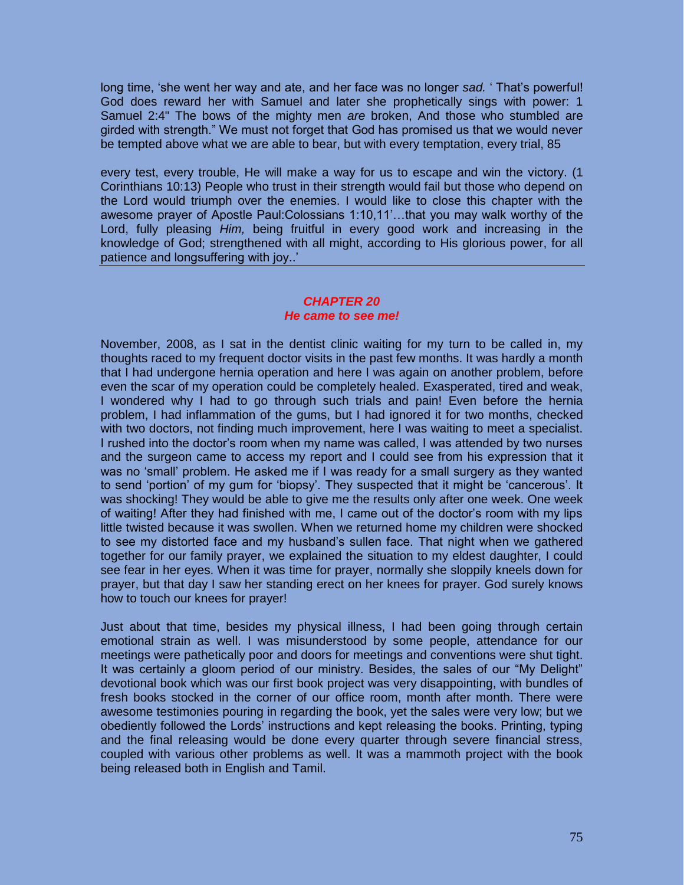long time, 'she went her way and ate, and her face was no longer *sad.* ' That's powerful! God does reward her with Samuel and later she prophetically sings with power: 1 Samuel 2:4" The bows of the mighty men *are* broken, And those who stumbled are girded with strength." We must not forget that God has promised us that we would never be tempted above what we are able to bear, but with every temptation, every trial, 85

every test, every trouble, He will make a way for us to escape and win the victory. (1 Corinthians 10:13) People who trust in their strength would fail but those who depend on the Lord would triumph over the enemies. I would like to close this chapter with the awesome prayer of Apostle Paul:Colossians 1:10,11'…that you may walk worthy of the Lord, fully pleasing *Him,* being fruitful in every good work and increasing in the knowledge of God; strengthened with all might, according to His glorious power, for all patience and longsuffering with joy..'

## *CHAPTER 20 He came to see me!*

November, 2008, as I sat in the dentist clinic waiting for my turn to be called in, my thoughts raced to my frequent doctor visits in the past few months. It was hardly a month that I had undergone hernia operation and here I was again on another problem, before even the scar of my operation could be completely healed. Exasperated, tired and weak, I wondered why I had to go through such trials and pain! Even before the hernia problem, I had inflammation of the gums, but I had ignored it for two months, checked with two doctors, not finding much improvement, here I was waiting to meet a specialist. I rushed into the doctor's room when my name was called, I was attended by two nurses and the surgeon came to access my report and I could see from his expression that it was no 'small' problem. He asked me if I was ready for a small surgery as they wanted to send 'portion' of my gum for 'biopsy'. They suspected that it might be 'cancerous'. It was shocking! They would be able to give me the results only after one week. One week of waiting! After they had finished with me, I came out of the doctor's room with my lips little twisted because it was swollen. When we returned home my children were shocked to see my distorted face and my husband's sullen face. That night when we gathered together for our family prayer, we explained the situation to my eldest daughter, I could see fear in her eyes. When it was time for prayer, normally she sloppily kneels down for prayer, but that day I saw her standing erect on her knees for prayer. God surely knows how to touch our knees for prayer!

Just about that time, besides my physical illness, I had been going through certain emotional strain as well. I was misunderstood by some people, attendance for our meetings were pathetically poor and doors for meetings and conventions were shut tight. It was certainly a gloom period of our ministry. Besides, the sales of our "My Delight" devotional book which was our first book project was very disappointing, with bundles of fresh books stocked in the corner of our office room, month after month. There were awesome testimonies pouring in regarding the book, yet the sales were very low; but we obediently followed the Lords' instructions and kept releasing the books. Printing, typing and the final releasing would be done every quarter through severe financial stress, coupled with various other problems as well. It was a mammoth project with the book being released both in English and Tamil.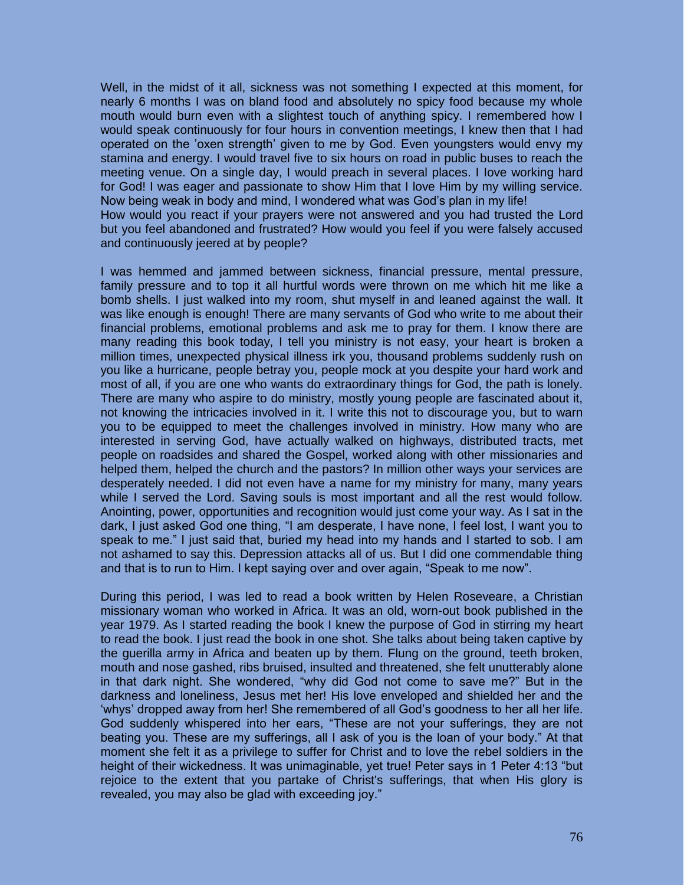Well, in the midst of it all, sickness was not something I expected at this moment, for nearly 6 months I was on bland food and absolutely no spicy food because my whole mouth would burn even with a slightest touch of anything spicy. I remembered how I would speak continuously for four hours in convention meetings, I knew then that I had operated on the 'oxen strength' given to me by God. Even youngsters would envy my stamina and energy. I would travel five to six hours on road in public buses to reach the meeting venue. On a single day, I would preach in several places. I Iove working hard for God! I was eager and passionate to show Him that I love Him by my willing service. Now being weak in body and mind, I wondered what was God's plan in my life! How would you react if your prayers were not answered and you had trusted the Lord

but you feel abandoned and frustrated? How would you feel if you were falsely accused and continuously jeered at by people?

I was hemmed and jammed between sickness, financial pressure, mental pressure, family pressure and to top it all hurtful words were thrown on me which hit me like a bomb shells. I just walked into my room, shut myself in and leaned against the wall. It was like enough is enough! There are many servants of God who write to me about their financial problems, emotional problems and ask me to pray for them. I know there are many reading this book today, I tell you ministry is not easy, your heart is broken a million times, unexpected physical illness irk you, thousand problems suddenly rush on you like a hurricane, people betray you, people mock at you despite your hard work and most of all, if you are one who wants do extraordinary things for God, the path is lonely. There are many who aspire to do ministry, mostly young people are fascinated about it, not knowing the intricacies involved in it. I write this not to discourage you, but to warn you to be equipped to meet the challenges involved in ministry. How many who are interested in serving God, have actually walked on highways, distributed tracts, met people on roadsides and shared the Gospel, worked along with other missionaries and helped them, helped the church and the pastors? In million other ways your services are desperately needed. I did not even have a name for my ministry for many, many years while I served the Lord. Saving souls is most important and all the rest would follow. Anointing, power, opportunities and recognition would just come your way. As I sat in the dark, I just asked God one thing, "I am desperate, I have none, I feel lost, I want you to speak to me." I just said that, buried my head into my hands and I started to sob. I am not ashamed to say this. Depression attacks all of us. But I did one commendable thing and that is to run to Him. I kept saying over and over again, "Speak to me now".

During this period, I was led to read a book written by Helen Roseveare, a Christian missionary woman who worked in Africa. It was an old, worn-out book published in the year 1979. As I started reading the book I knew the purpose of God in stirring my heart to read the book. I just read the book in one shot. She talks about being taken captive by the guerilla army in Africa and beaten up by them. Flung on the ground, teeth broken, mouth and nose gashed, ribs bruised, insulted and threatened, she felt unutterably alone in that dark night. She wondered, "why did God not come to save me?" But in the darkness and loneliness, Jesus met her! His love enveloped and shielded her and the 'whys' dropped away from her! She remembered of all God's goodness to her all her life. God suddenly whispered into her ears, "These are not your sufferings, they are not beating you. These are my sufferings, all I ask of you is the loan of your body." At that moment she felt it as a privilege to suffer for Christ and to love the rebel soldiers in the height of their wickedness. It was unimaginable, yet true! Peter says in 1 Peter 4:13 "but rejoice to the extent that you partake of Christ's sufferings, that when His glory is revealed, you may also be glad with exceeding joy."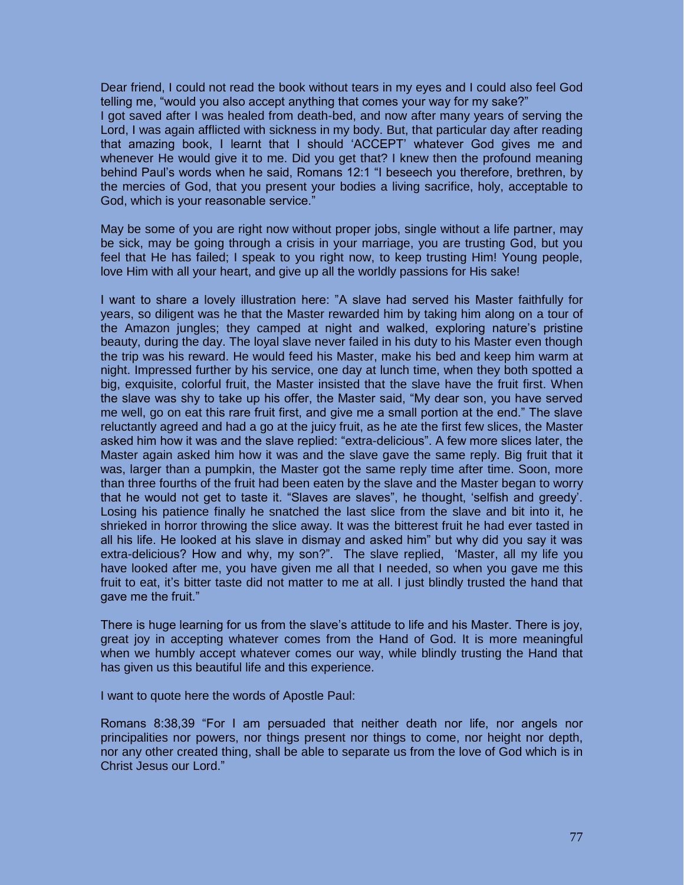Dear friend, I could not read the book without tears in my eyes and I could also feel God telling me, "would you also accept anything that comes your way for my sake?"

I got saved after I was healed from death-bed, and now after many years of serving the Lord, I was again afflicted with sickness in my body. But, that particular day after reading that amazing book, I learnt that I should 'ACCEPT' whatever God gives me and whenever He would give it to me. Did you get that? I knew then the profound meaning behind Paul's words when he said, Romans 12:1 "I beseech you therefore, brethren, by the mercies of God, that you present your bodies a living sacrifice, holy, acceptable to God, which is your reasonable service."

May be some of you are right now without proper jobs, single without a life partner, may be sick, may be going through a crisis in your marriage, you are trusting God, but you feel that He has failed; I speak to you right now, to keep trusting Him! Young people, love Him with all your heart, and give up all the worldly passions for His sake!

I want to share a lovely illustration here: "A slave had served his Master faithfully for years, so diligent was he that the Master rewarded him by taking him along on a tour of the Amazon jungles; they camped at night and walked, exploring nature's pristine beauty, during the day. The loyal slave never failed in his duty to his Master even though the trip was his reward. He would feed his Master, make his bed and keep him warm at night. Impressed further by his service, one day at lunch time, when they both spotted a big, exquisite, colorful fruit, the Master insisted that the slave have the fruit first. When the slave was shy to take up his offer, the Master said, "My dear son, you have served me well, go on eat this rare fruit first, and give me a small portion at the end." The slave reluctantly agreed and had a go at the juicy fruit, as he ate the first few slices, the Master asked him how it was and the slave replied: "extra-delicious". A few more slices later, the Master again asked him how it was and the slave gave the same reply. Big fruit that it was, larger than a pumpkin, the Master got the same reply time after time. Soon, more than three fourths of the fruit had been eaten by the slave and the Master began to worry that he would not get to taste it. "Slaves are slaves", he thought, 'selfish and greedy'. Losing his patience finally he snatched the last slice from the slave and bit into it, he shrieked in horror throwing the slice away. It was the bitterest fruit he had ever tasted in all his life. He looked at his slave in dismay and asked him" but why did you say it was extra-delicious? How and why, my son?". The slave replied, 'Master, all my life you have looked after me, you have given me all that I needed, so when you gave me this fruit to eat, it's bitter taste did not matter to me at all. I just blindly trusted the hand that gave me the fruit."

There is huge learning for us from the slave's attitude to life and his Master. There is joy, great joy in accepting whatever comes from the Hand of God. It is more meaningful when we humbly accept whatever comes our way, while blindly trusting the Hand that has given us this beautiful life and this experience.

I want to quote here the words of Apostle Paul:

Romans 8:38,39 "For I am persuaded that neither death nor life, nor angels nor principalities nor powers, nor things present nor things to come, nor height nor depth, nor any other created thing, shall be able to separate us from the love of God which is in Christ Jesus our Lord."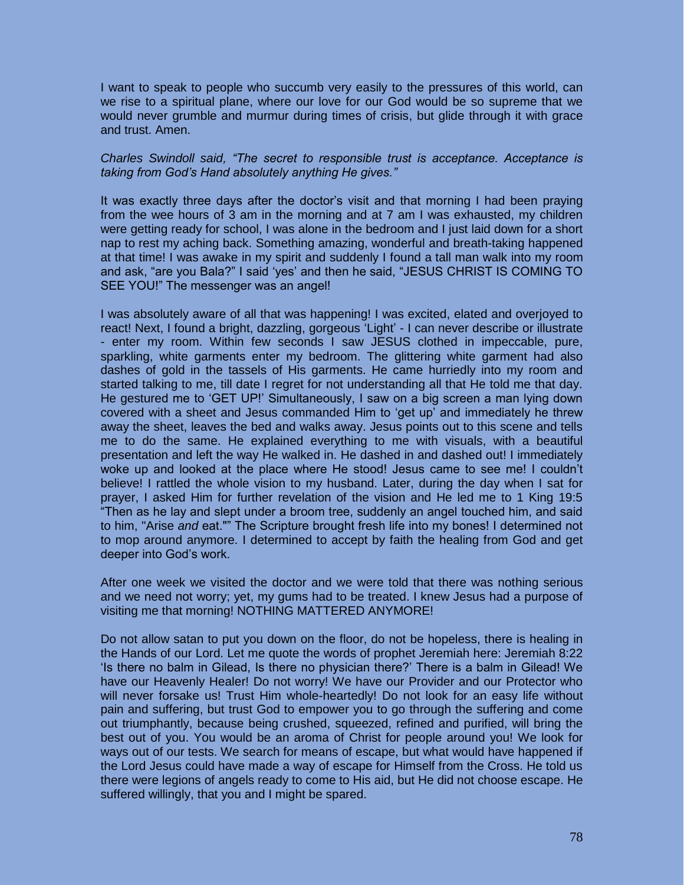I want to speak to people who succumb very easily to the pressures of this world, can we rise to a spiritual plane, where our love for our God would be so supreme that we would never grumble and murmur during times of crisis, but glide through it with grace and trust. Amen.

*Charles Swindoll said, "The secret to responsible trust is acceptance. Acceptance is taking from God's Hand absolutely anything He gives."* 

It was exactly three days after the doctor's visit and that morning I had been praying from the wee hours of 3 am in the morning and at 7 am I was exhausted, my children were getting ready for school, I was alone in the bedroom and I just laid down for a short nap to rest my aching back. Something amazing, wonderful and breath-taking happened at that time! I was awake in my spirit and suddenly I found a tall man walk into my room and ask, "are you Bala?" I said 'yes' and then he said, "JESUS CHRIST IS COMING TO SEE YOU!" The messenger was an angel!

I was absolutely aware of all that was happening! I was excited, elated and overjoyed to react! Next, I found a bright, dazzling, gorgeous 'Light' - I can never describe or illustrate - enter my room. Within few seconds I saw JESUS clothed in impeccable, pure, sparkling, white garments enter my bedroom. The glittering white garment had also dashes of gold in the tassels of His garments. He came hurriedly into my room and started talking to me, till date I regret for not understanding all that He told me that day. He gestured me to 'GET UP!' Simultaneously, I saw on a big screen a man lying down covered with a sheet and Jesus commanded Him to 'get up' and immediately he threw away the sheet, leaves the bed and walks away. Jesus points out to this scene and tells me to do the same. He explained everything to me with visuals, with a beautiful presentation and left the way He walked in. He dashed in and dashed out! I immediately woke up and looked at the place where He stood! Jesus came to see me! I couldn't believe! I rattled the whole vision to my husband. Later, during the day when I sat for prayer, I asked Him for further revelation of the vision and He led me to 1 King 19:5 "Then as he lay and slept under a broom tree, suddenly an angel touched him, and said to him, "Arise *and* eat."" The Scripture brought fresh life into my bones! I determined not to mop around anymore. I determined to accept by faith the healing from God and get deeper into God's work.

After one week we visited the doctor and we were told that there was nothing serious and we need not worry; yet, my gums had to be treated. I knew Jesus had a purpose of visiting me that morning! NOTHING MATTERED ANYMORE!

Do not allow satan to put you down on the floor, do not be hopeless, there is healing in the Hands of our Lord. Let me quote the words of prophet Jeremiah here: Jeremiah 8:22 'Is there no balm in Gilead, Is there no physician there?' There is a balm in Gilead! We have our Heavenly Healer! Do not worry! We have our Provider and our Protector who will never forsake us! Trust Him whole-heartedly! Do not look for an easy life without pain and suffering, but trust God to empower you to go through the suffering and come out triumphantly, because being crushed, squeezed, refined and purified, will bring the best out of you. You would be an aroma of Christ for people around you! We look for ways out of our tests. We search for means of escape, but what would have happened if the Lord Jesus could have made a way of escape for Himself from the Cross. He told us there were legions of angels ready to come to His aid, but He did not choose escape. He suffered willingly, that you and I might be spared.